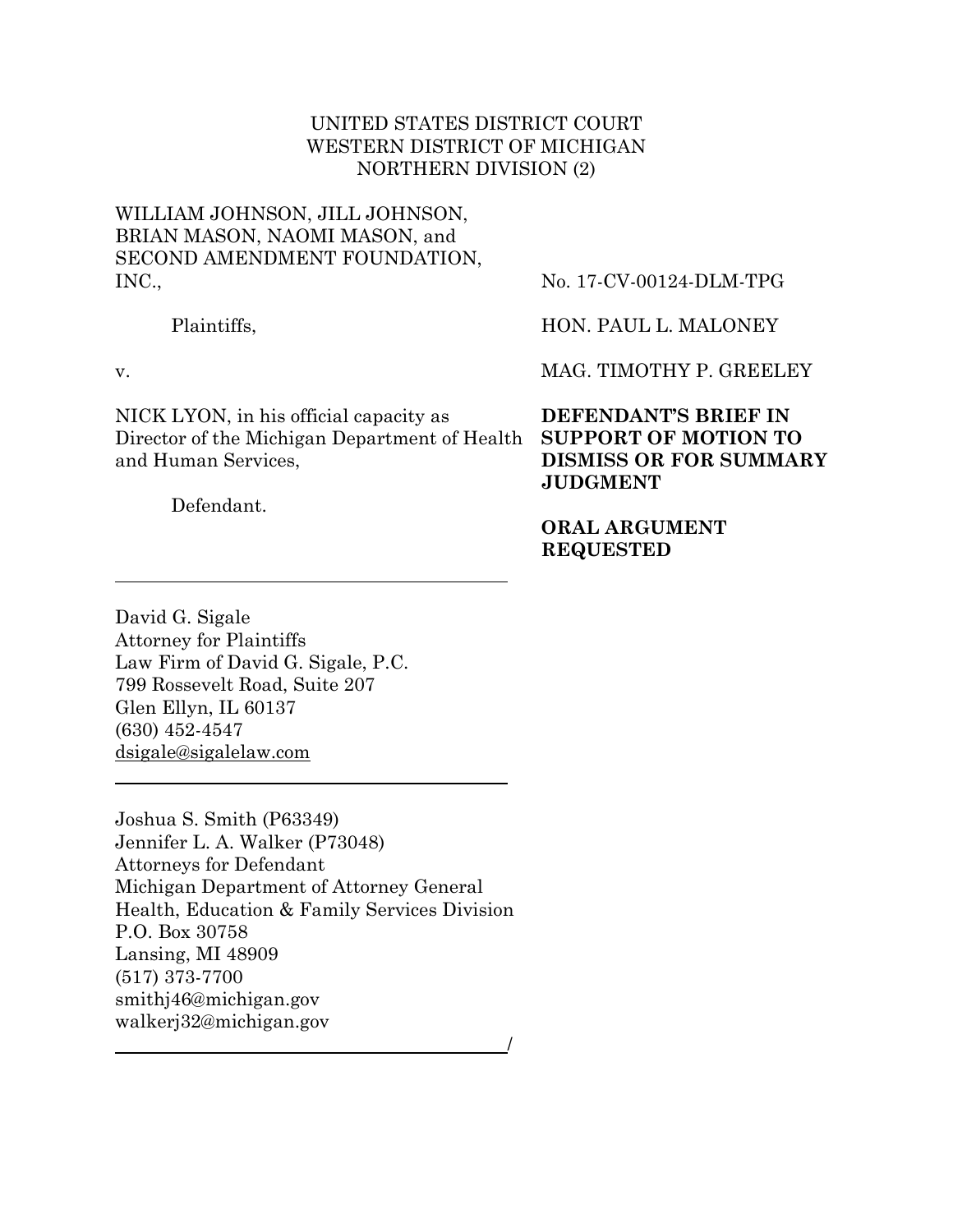# UNITED STATES DISTRICT COURT WESTERN DISTRICT OF MICHIGAN NORTHERN DIVISION (2)

# WILLIAM JOHNSON, JILL JOHNSON, BRIAN MASON, NAOMI MASON, and SECOND AMENDMENT FOUNDATION, INC.,

Plaintiffs,

v.

NICK LYON, in his official capacity as Director of the Michigan Department of Health **SUPPORT OF MOTION TO** and Human Services,

Defendant.

No. 17-CV-00124-DLM-TPG

HON. PAUL L. MALONEY

MAG. TIMOTHY P. GREELEY

**DEFENDANT'S BRIEF IN DISMISS OR FOR SUMMARY JUDGMENT**

**ORAL ARGUMENT REQUESTED**

David G. Sigale Attorney for Plaintiffs Law Firm of David G. Sigale, P.C. 799 Rossevelt Road, Suite 207 Glen Ellyn, IL 60137 (630) 452-4547 dsigale@sigalelaw.com

Joshua S. Smith (P63349) Jennifer L. A. Walker (P73048) Attorneys for Defendant Michigan Department of Attorney General Health, Education & Family Services Division P.O. Box 30758 Lansing, MI 48909 (517) 373-7700 smithj46@michigan.gov walkerj32@michigan.gov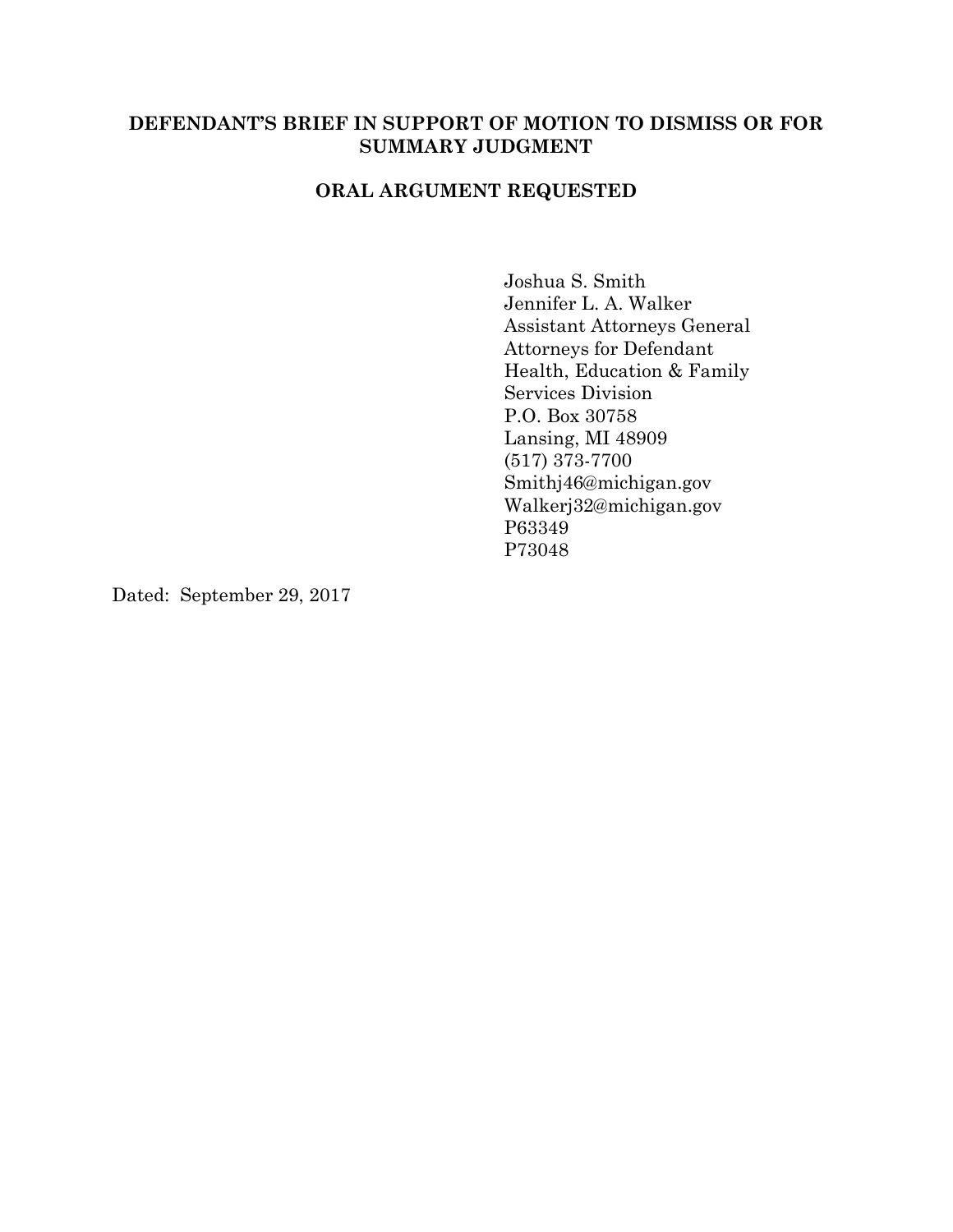# **DEFENDANT'S BRIEF IN SUPPORT OF MOTION TO DISMISS OR FOR SUMMARY JUDGMENT**

# **ORAL ARGUMENT REQUESTED**

Joshua S. Smith Jennifer L. A. Walker Assistant Attorneys General Attorneys for Defendant Health, Education & Family Services Division P.O. Box 30758 Lansing, MI 48909 (517) 373-7700 Smithj46@michigan.gov Walkerj32@michigan.gov P63349 P73048

Dated: September 29, 2017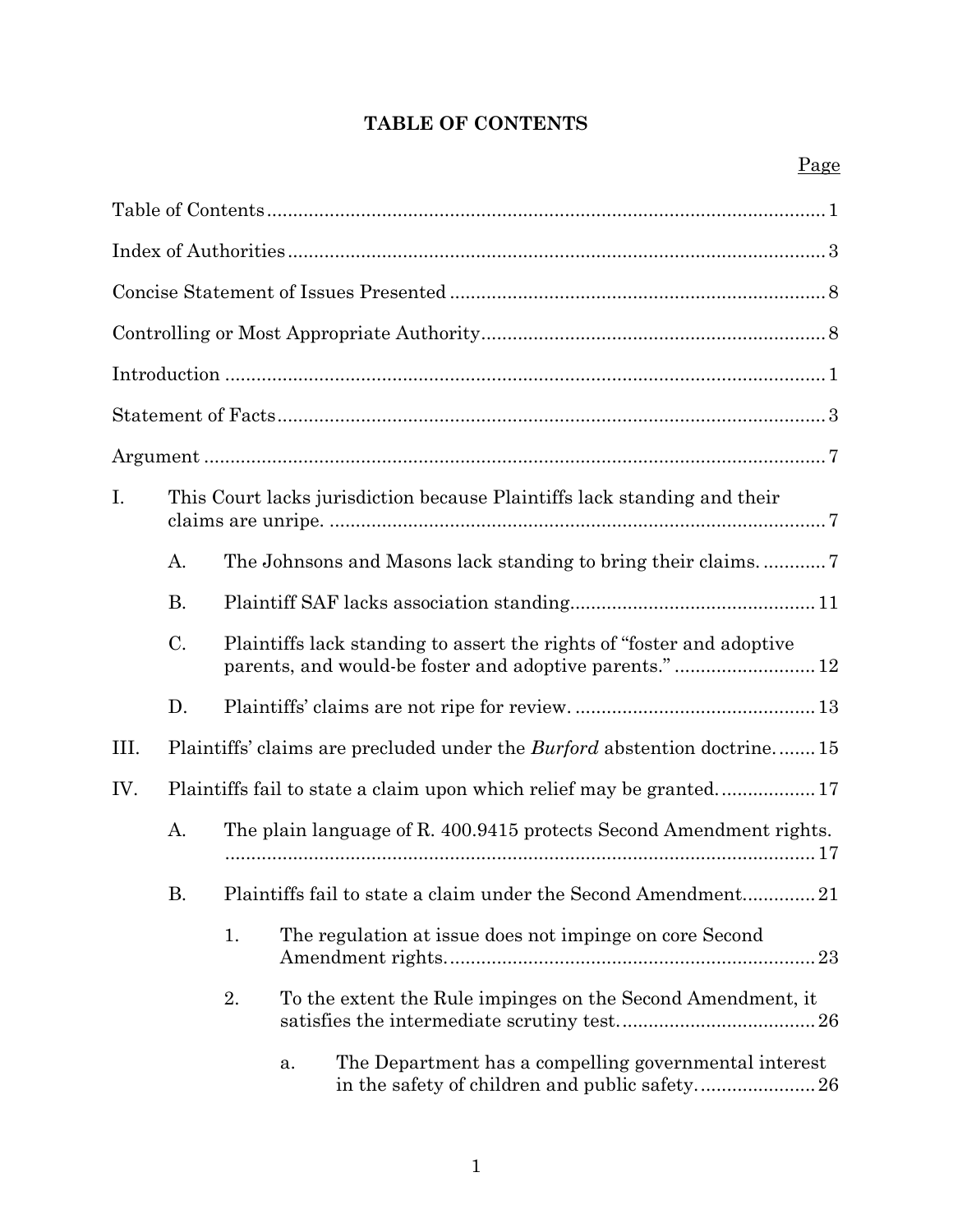# **TABLE OF CONTENTS**

| I.   | This Court lacks jurisdiction because Plaintiffs lack standing and their |                                                                                                                                  |    |                                                                                 |  |
|------|--------------------------------------------------------------------------|----------------------------------------------------------------------------------------------------------------------------------|----|---------------------------------------------------------------------------------|--|
|      | A.                                                                       |                                                                                                                                  |    |                                                                                 |  |
|      | <b>B.</b>                                                                |                                                                                                                                  |    |                                                                                 |  |
|      | C.                                                                       | Plaintiffs lack standing to assert the rights of "foster and adoptive"<br>parents, and would-be foster and adoptive parents." 12 |    |                                                                                 |  |
|      | D.                                                                       |                                                                                                                                  |    |                                                                                 |  |
| III. |                                                                          |                                                                                                                                  |    | Plaintiffs' claims are precluded under the <i>Burford</i> abstention doctrine15 |  |
| IV.  |                                                                          |                                                                                                                                  |    |                                                                                 |  |
|      | А.                                                                       | The plain language of R. 400.9415 protects Second Amendment rights.                                                              |    |                                                                                 |  |
|      | Β.                                                                       | Plaintiffs fail to state a claim under the Second Amendment21                                                                    |    |                                                                                 |  |
|      |                                                                          | The regulation at issue does not impinge on core Second<br>1.                                                                    |    |                                                                                 |  |
|      |                                                                          | 2.                                                                                                                               |    | To the extent the Rule impinges on the Second Amendment, it                     |  |
|      |                                                                          |                                                                                                                                  | a. | The Department has a compelling governmental interest                           |  |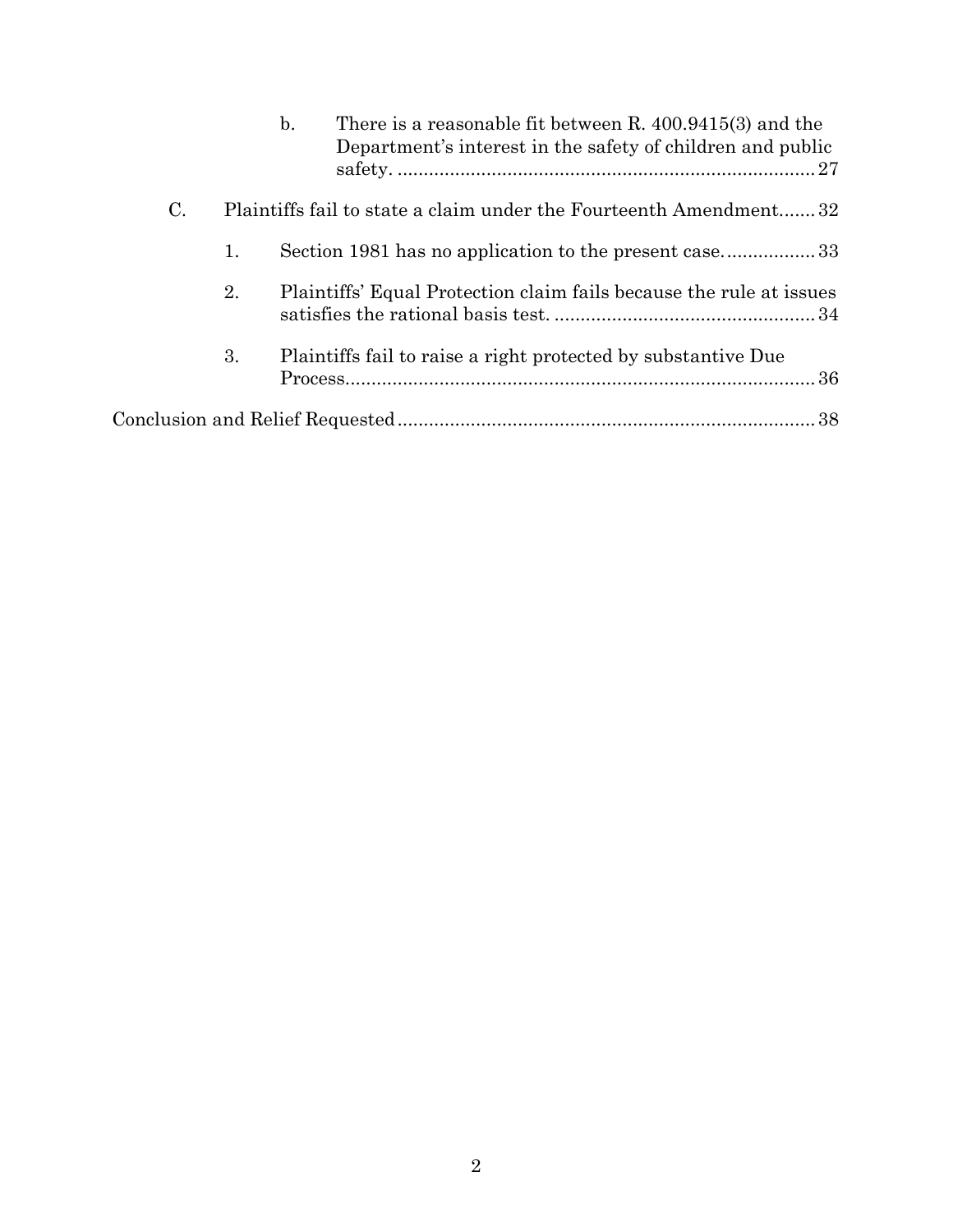|    |    | There is a reasonable fit between R. $400.9415(3)$ and the<br>$\mathbf{b}$ .<br>Department's interest in the safety of children and public |
|----|----|--------------------------------------------------------------------------------------------------------------------------------------------|
| C. |    | Plaintiffs fail to state a claim under the Fourteenth Amendment 32                                                                         |
|    | 1. | Section 1981 has no application to the present case33                                                                                      |
|    | 2. | Plaintiffs' Equal Protection claim fails because the rule at issues                                                                        |
|    | 3. | Plaintiffs fail to raise a right protected by substantive Due                                                                              |
|    |    |                                                                                                                                            |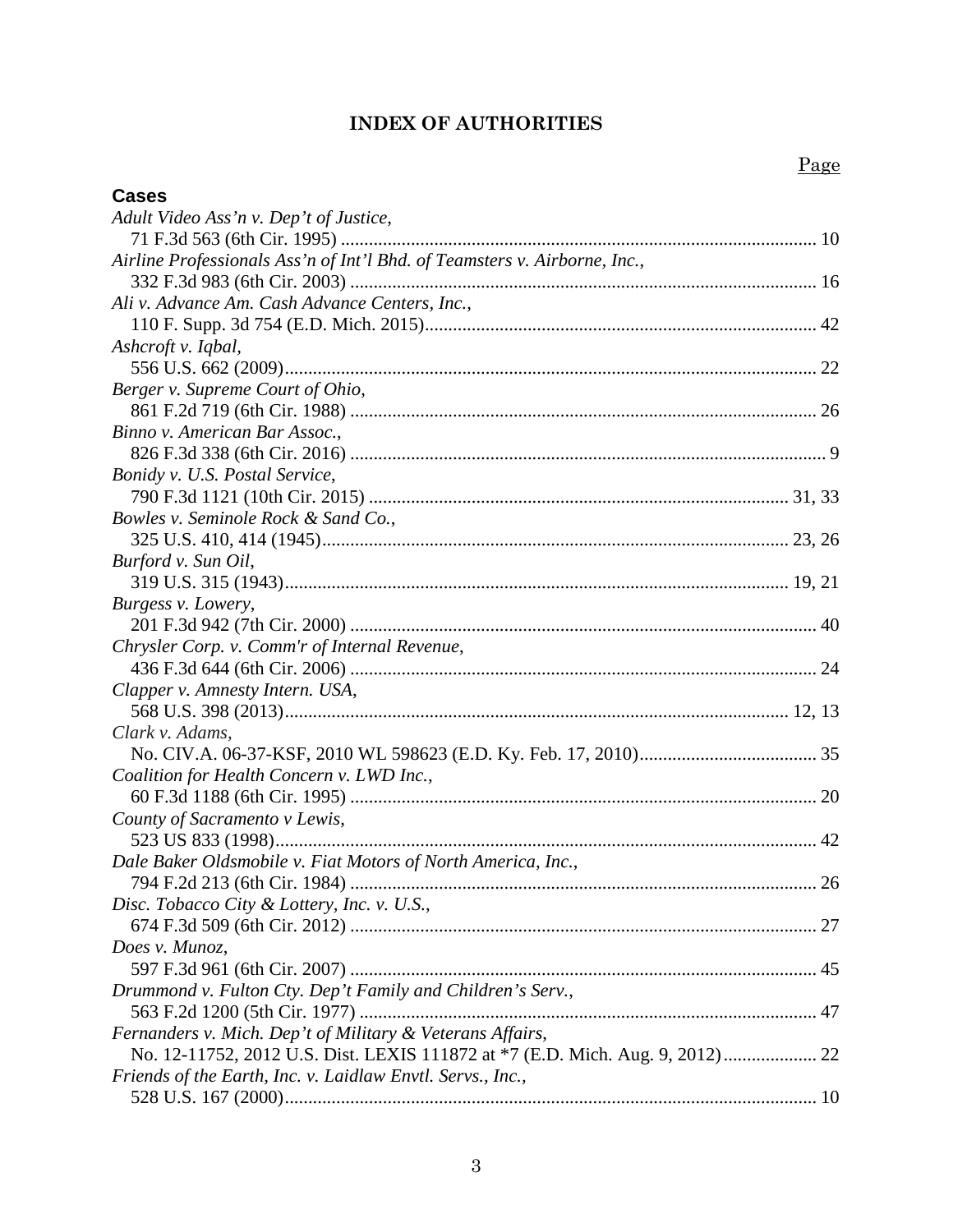# **INDEX OF AUTHORITIES**

| <b>Cases</b>                                                              |  |
|---------------------------------------------------------------------------|--|
| Adult Video Ass'n v. Dep't of Justice,                                    |  |
|                                                                           |  |
| Airline Professionals Ass'n of Int'l Bhd. of Teamsters v. Airborne, Inc., |  |
|                                                                           |  |
| Ali v. Advance Am. Cash Advance Centers, Inc.,                            |  |
|                                                                           |  |
| Ashcroft v. Iqbal,                                                        |  |
|                                                                           |  |
| Berger v. Supreme Court of Ohio,                                          |  |
|                                                                           |  |
| Binno v. American Bar Assoc.,                                             |  |
|                                                                           |  |
| Bonidy v. U.S. Postal Service,                                            |  |
|                                                                           |  |
| Bowles v. Seminole Rock & Sand Co.,                                       |  |
|                                                                           |  |
| Burford v. Sun Oil,                                                       |  |
|                                                                           |  |
| Burgess v. Lowery,                                                        |  |
|                                                                           |  |
| Chrysler Corp. v. Comm'r of Internal Revenue,                             |  |
|                                                                           |  |
| Clapper v. Amnesty Intern. USA,                                           |  |
|                                                                           |  |
| Clark v. Adams,                                                           |  |
|                                                                           |  |
| Coalition for Health Concern v. LWD Inc.,                                 |  |
|                                                                           |  |
| County of Sacramento v Lewis,                                             |  |
|                                                                           |  |
| Dale Baker Oldsmobile v. Fiat Motors of North America, Inc.,              |  |
|                                                                           |  |
| Disc. Tobacco City & Lottery, Inc. v. U.S.,                               |  |
|                                                                           |  |
| Does v. Munoz,                                                            |  |
|                                                                           |  |
| Drummond v. Fulton Cty. Dep't Family and Children's Serv.,                |  |
|                                                                           |  |
| Fernanders v. Mich. Dep't of Military & Veterans Affairs,                 |  |
|                                                                           |  |
| Friends of the Earth, Inc. v. Laidlaw Envtl. Servs., Inc.,                |  |
|                                                                           |  |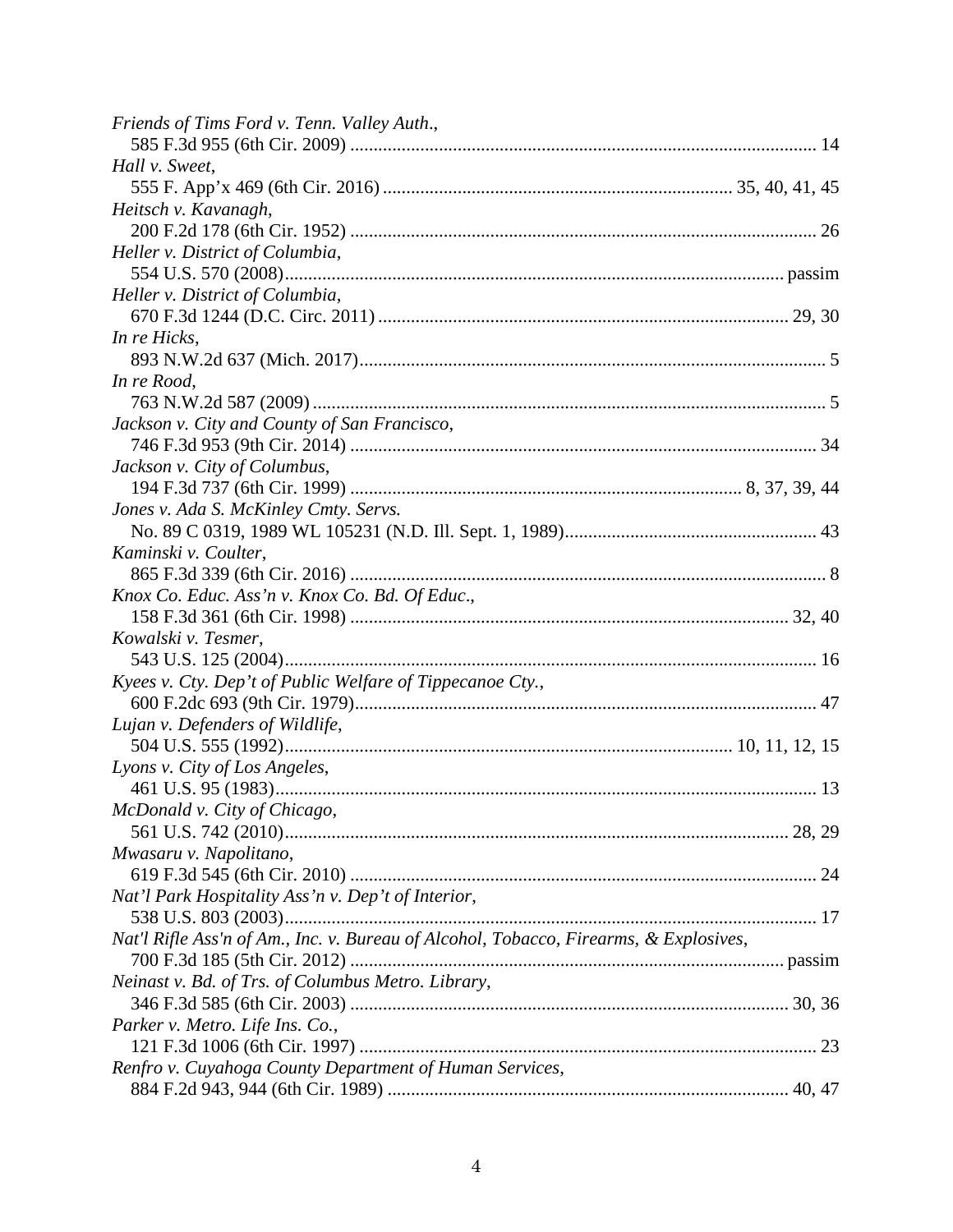| Friends of Tims Ford v. Tenn. Valley Auth.,                                           |  |
|---------------------------------------------------------------------------------------|--|
|                                                                                       |  |
| Hall v. Sweet,                                                                        |  |
|                                                                                       |  |
| Heitsch v. Kavanagh,                                                                  |  |
|                                                                                       |  |
| Heller v. District of Columbia,                                                       |  |
|                                                                                       |  |
| Heller v. District of Columbia,                                                       |  |
|                                                                                       |  |
| In re Hicks,                                                                          |  |
|                                                                                       |  |
| In re Rood,                                                                           |  |
|                                                                                       |  |
| Jackson v. City and County of San Francisco,                                          |  |
|                                                                                       |  |
| Jackson v. City of Columbus,                                                          |  |
|                                                                                       |  |
| Jones v. Ada S. McKinley Cmty. Servs.                                                 |  |
|                                                                                       |  |
| Kaminski v. Coulter,                                                                  |  |
|                                                                                       |  |
| Knox Co. Educ. Ass'n v. Knox Co. Bd. Of Educ.,                                        |  |
|                                                                                       |  |
| Kowalski v. Tesmer,                                                                   |  |
|                                                                                       |  |
| Kyees v. Cty. Dep't of Public Welfare of Tippecanoe Cty.,                             |  |
|                                                                                       |  |
| Lujan v. Defenders of Wildlife,                                                       |  |
|                                                                                       |  |
| Lyons v. City of Los Angeles,                                                         |  |
|                                                                                       |  |
| McDonald v. City of Chicago,                                                          |  |
|                                                                                       |  |
| Mwasaru v. Napolitano,                                                                |  |
|                                                                                       |  |
| Nat'l Park Hospitality Ass'n v. Dep't of Interior,                                    |  |
|                                                                                       |  |
| Nat'l Rifle Ass'n of Am., Inc. v. Bureau of Alcohol, Tobacco, Firearms, & Explosives, |  |
|                                                                                       |  |
| Neinast v. Bd. of Trs. of Columbus Metro. Library,                                    |  |
|                                                                                       |  |
| Parker v. Metro. Life Ins. Co.,                                                       |  |
|                                                                                       |  |
| Renfro v. Cuyahoga County Department of Human Services,                               |  |
|                                                                                       |  |
|                                                                                       |  |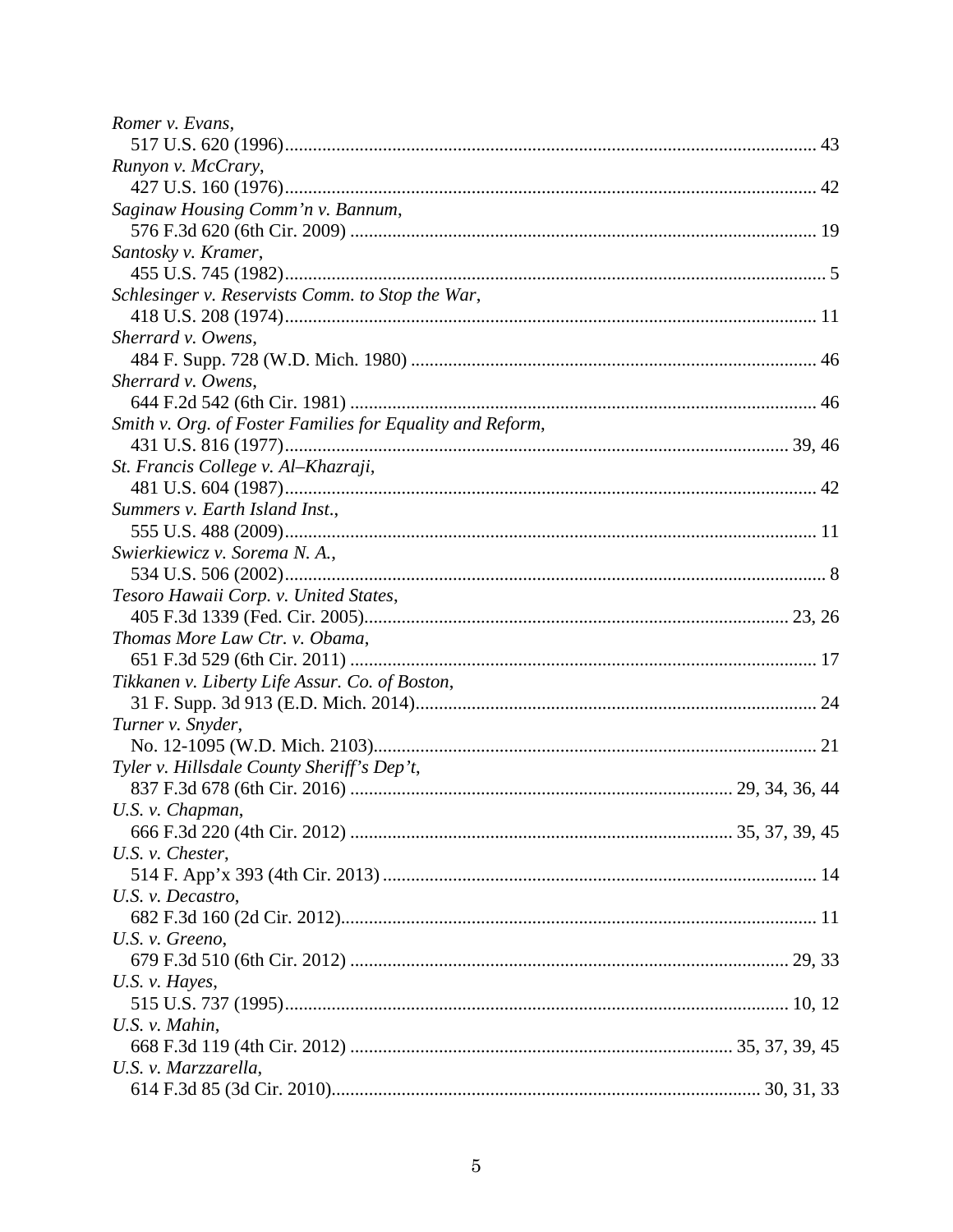| Romer v. Evans,                                           |  |
|-----------------------------------------------------------|--|
|                                                           |  |
| Runyon v. McCrary,                                        |  |
|                                                           |  |
| Saginaw Housing Comm'n v. Bannum,                         |  |
|                                                           |  |
| Santosky v. Kramer,                                       |  |
|                                                           |  |
| Schlesinger v. Reservists Comm. to Stop the War,          |  |
|                                                           |  |
| Sherrard v. Owens,                                        |  |
|                                                           |  |
| Sherrard v. Owens,                                        |  |
|                                                           |  |
| Smith v. Org. of Foster Families for Equality and Reform, |  |
|                                                           |  |
| St. Francis College v. Al-Khazraji,                       |  |
|                                                           |  |
| Summers v. Earth Island Inst.,                            |  |
|                                                           |  |
| Swierkiewicz v. Sorema N. A.,                             |  |
|                                                           |  |
| Tesoro Hawaii Corp. v. United States,                     |  |
|                                                           |  |
| Thomas More Law Ctr. v. Obama,                            |  |
|                                                           |  |
| Tikkanen v. Liberty Life Assur. Co. of Boston,            |  |
|                                                           |  |
| Turner v. Snyder,                                         |  |
|                                                           |  |
| Tyler v. Hillsdale County Sheriff's Dep't,                |  |
|                                                           |  |
| U.S. v. Chapman,                                          |  |
|                                                           |  |
| $U.S.$ v. Chester,                                        |  |
|                                                           |  |
| U.S. v. Decastro,                                         |  |
|                                                           |  |
| U.S. v. Greeno,                                           |  |
|                                                           |  |
| U.S. v. Hayes,                                            |  |
|                                                           |  |
| U.S. v. Mahin,                                            |  |
|                                                           |  |
| U.S. v. Marzzarella,                                      |  |
|                                                           |  |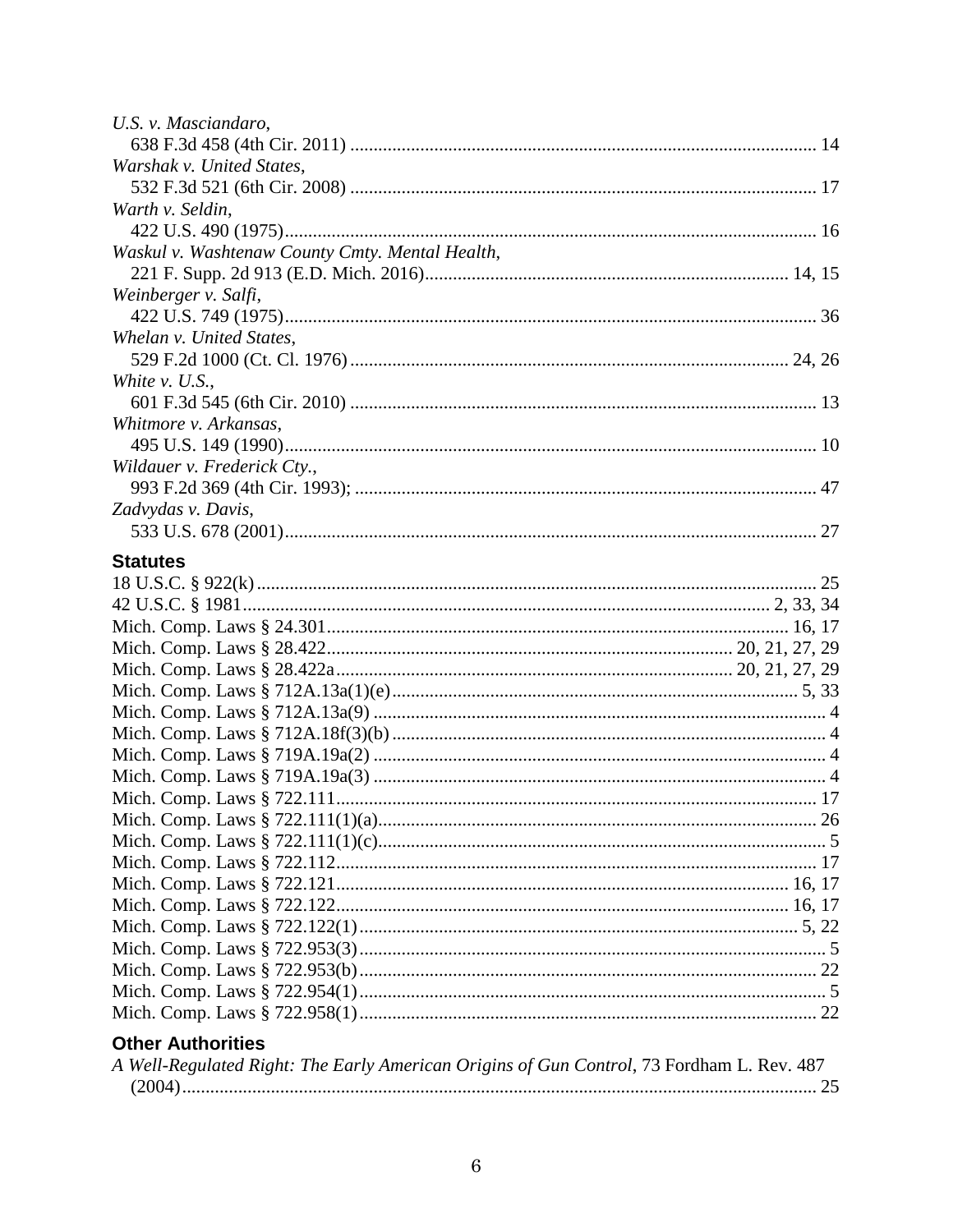| U.S. v. Masciandaro,                            |  |
|-------------------------------------------------|--|
|                                                 |  |
| Warshak v. United States,                       |  |
|                                                 |  |
| Warth v. Seldin,                                |  |
|                                                 |  |
| Waskul v. Washtenaw County Cmty. Mental Health, |  |
|                                                 |  |
| Weinberger v. Salfi,                            |  |
|                                                 |  |
| Whelan v. United States,                        |  |
|                                                 |  |
| White $v.$ U.S.,                                |  |
|                                                 |  |
| Whitmore v. Arkansas,                           |  |
|                                                 |  |
| Wildauer v. Frederick Cty.,                     |  |
|                                                 |  |
| Zadvydas v. Davis,                              |  |
|                                                 |  |
| <b>Statutes</b>                                 |  |
|                                                 |  |
|                                                 |  |
|                                                 |  |
|                                                 |  |
|                                                 |  |
|                                                 |  |
|                                                 |  |
|                                                 |  |
|                                                 |  |
|                                                 |  |
|                                                 |  |
|                                                 |  |
|                                                 |  |
|                                                 |  |
|                                                 |  |
|                                                 |  |
|                                                 |  |
|                                                 |  |
|                                                 |  |
|                                                 |  |
|                                                 |  |
| <b>Other Authorities</b>                        |  |

| A Well-Regulated Right: The Early American Origins of Gun Control, 73 Fordham L. Rev. 487 |  |
|-------------------------------------------------------------------------------------------|--|
|                                                                                           |  |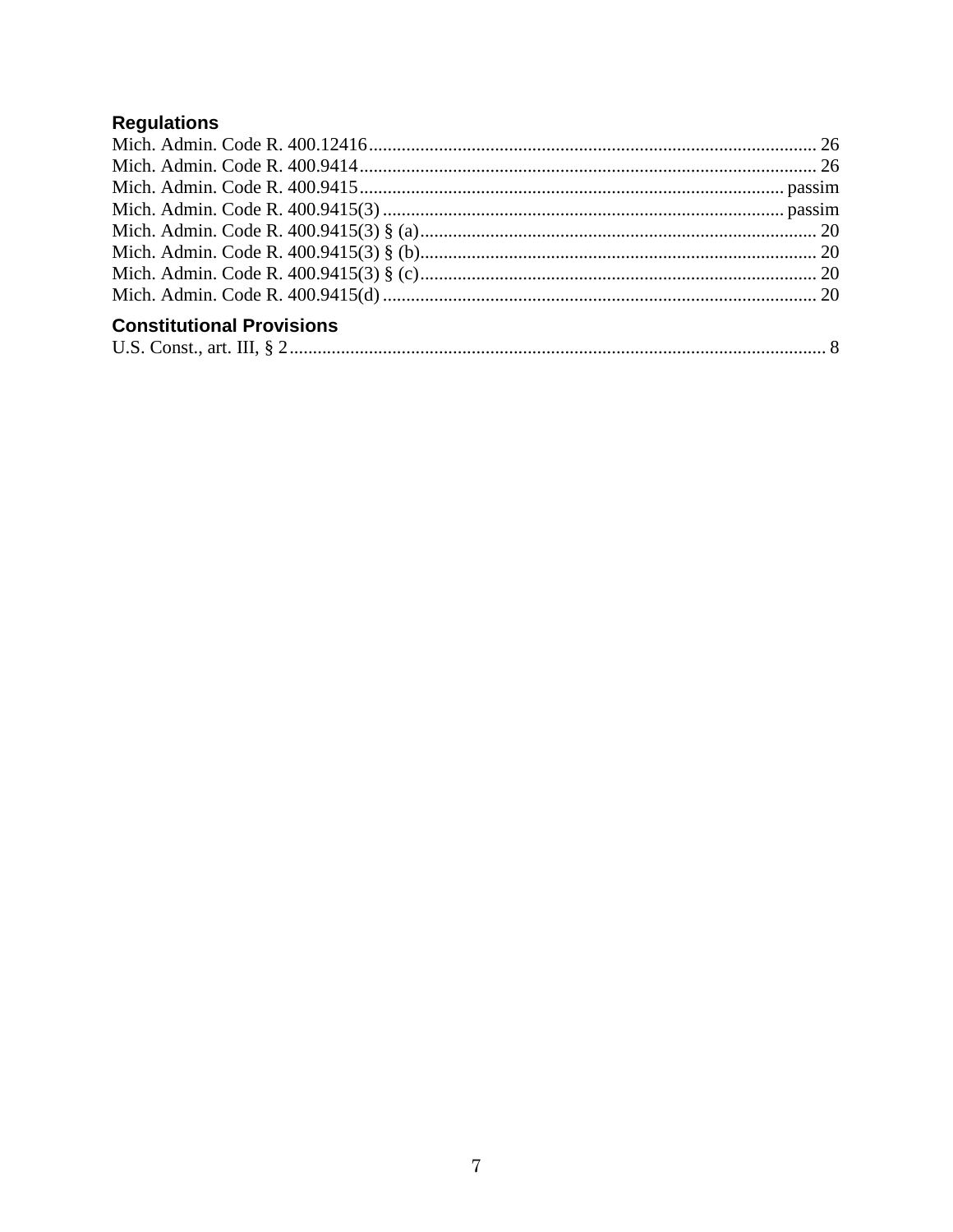# Regulations

| <b>Constitutional Provisions</b> |  |
|----------------------------------|--|
|                                  |  |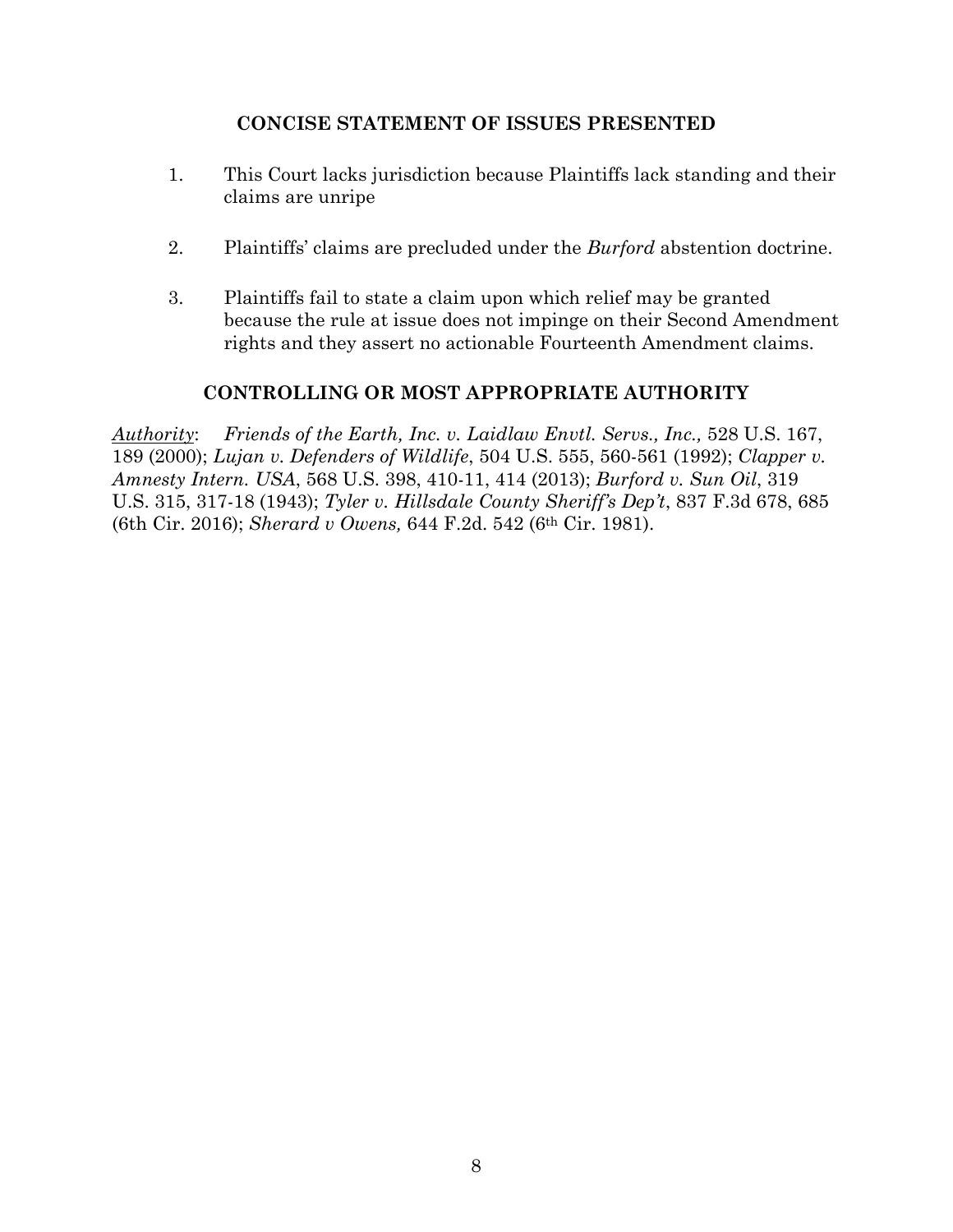# **CONCISE STATEMENT OF ISSUES PRESENTED**

- 1. This Court lacks jurisdiction because Plaintiffs lack standing and their claims are unripe
- 2. Plaintiffs' claims are precluded under the *Burford* abstention doctrine.
- 3. Plaintiffs fail to state a claim upon which relief may be granted because the rule at issue does not impinge on their Second Amendment rights and they assert no actionable Fourteenth Amendment claims.

# **CONTROLLING OR MOST APPROPRIATE AUTHORITY**

*Authority*: *Friends of the Earth, Inc. v. Laidlaw Envtl. Servs., Inc.,* 528 U.S. 167, 189 (2000); *Lujan v. Defenders of Wildlife*, 504 U.S. 555, 560-561 (1992); *Clapper v. Amnesty Intern. USA*, 568 U.S. 398, 410-11, 414 (2013); *Burford v. Sun Oil*, 319 U.S. 315, 317-18 (1943); *Tyler v. Hillsdale County Sheriff's Dep't*, 837 F.3d 678, 685 (6th Cir. 2016); *Sherard v Owens,* 644 F.2d. 542 (6th Cir. 1981).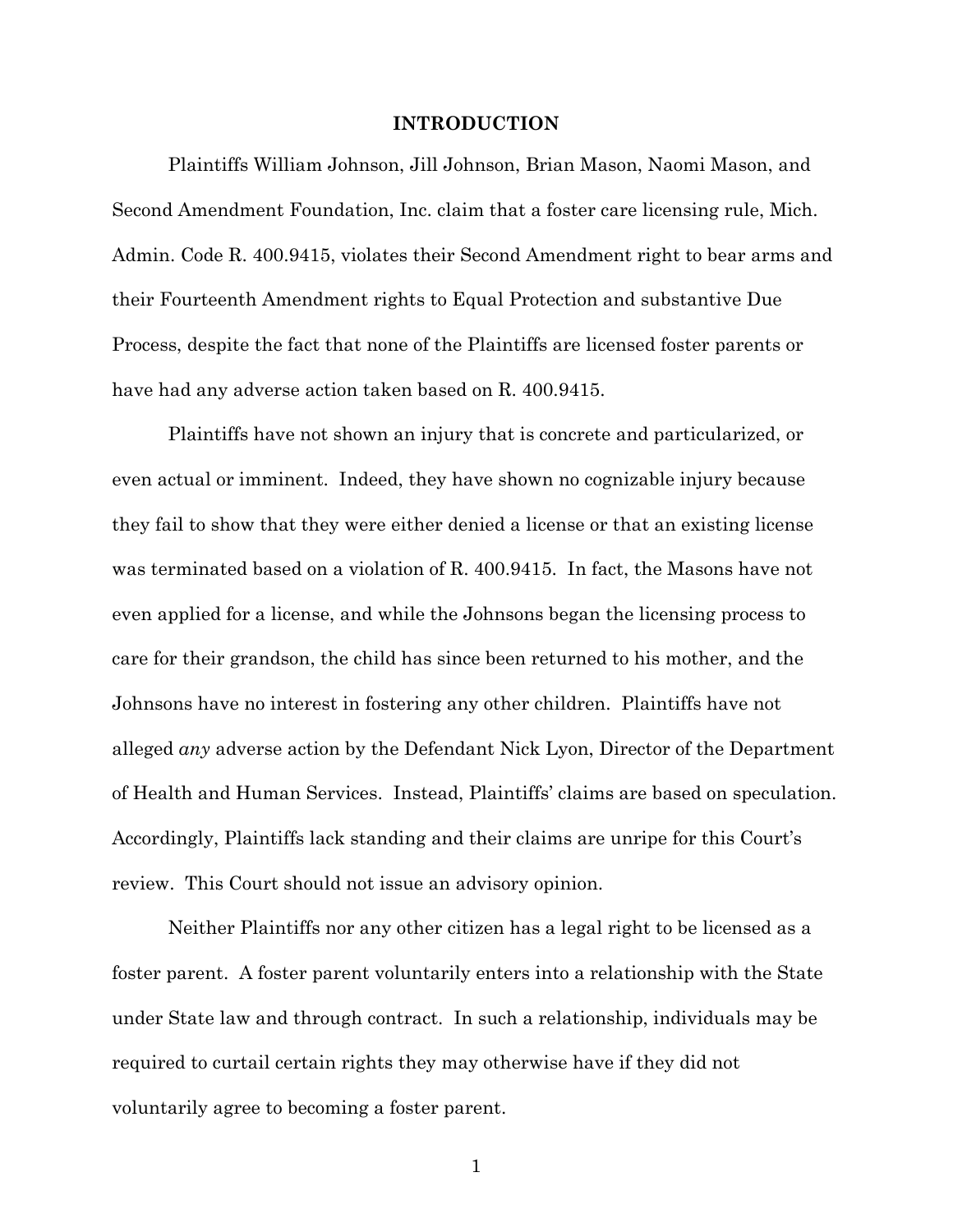#### **INTRODUCTION**

Plaintiffs William Johnson, Jill Johnson, Brian Mason, Naomi Mason, and Second Amendment Foundation, Inc. claim that a foster care licensing rule, Mich. Admin. Code R. 400.9415, violates their Second Amendment right to bear arms and their Fourteenth Amendment rights to Equal Protection and substantive Due Process, despite the fact that none of the Plaintiffs are licensed foster parents or have had any adverse action taken based on R. 400.9415.

Plaintiffs have not shown an injury that is concrete and particularized, or even actual or imminent. Indeed, they have shown no cognizable injury because they fail to show that they were either denied a license or that an existing license was terminated based on a violation of R. 400.9415. In fact, the Masons have not even applied for a license, and while the Johnsons began the licensing process to care for their grandson, the child has since been returned to his mother, and the Johnsons have no interest in fostering any other children. Plaintiffs have not alleged *any* adverse action by the Defendant Nick Lyon, Director of the Department of Health and Human Services. Instead, Plaintiffs' claims are based on speculation. Accordingly, Plaintiffs lack standing and their claims are unripe for this Court's review. This Court should not issue an advisory opinion.

Neither Plaintiffs nor any other citizen has a legal right to be licensed as a foster parent. A foster parent voluntarily enters into a relationship with the State under State law and through contract. In such a relationship, individuals may be required to curtail certain rights they may otherwise have if they did not voluntarily agree to becoming a foster parent.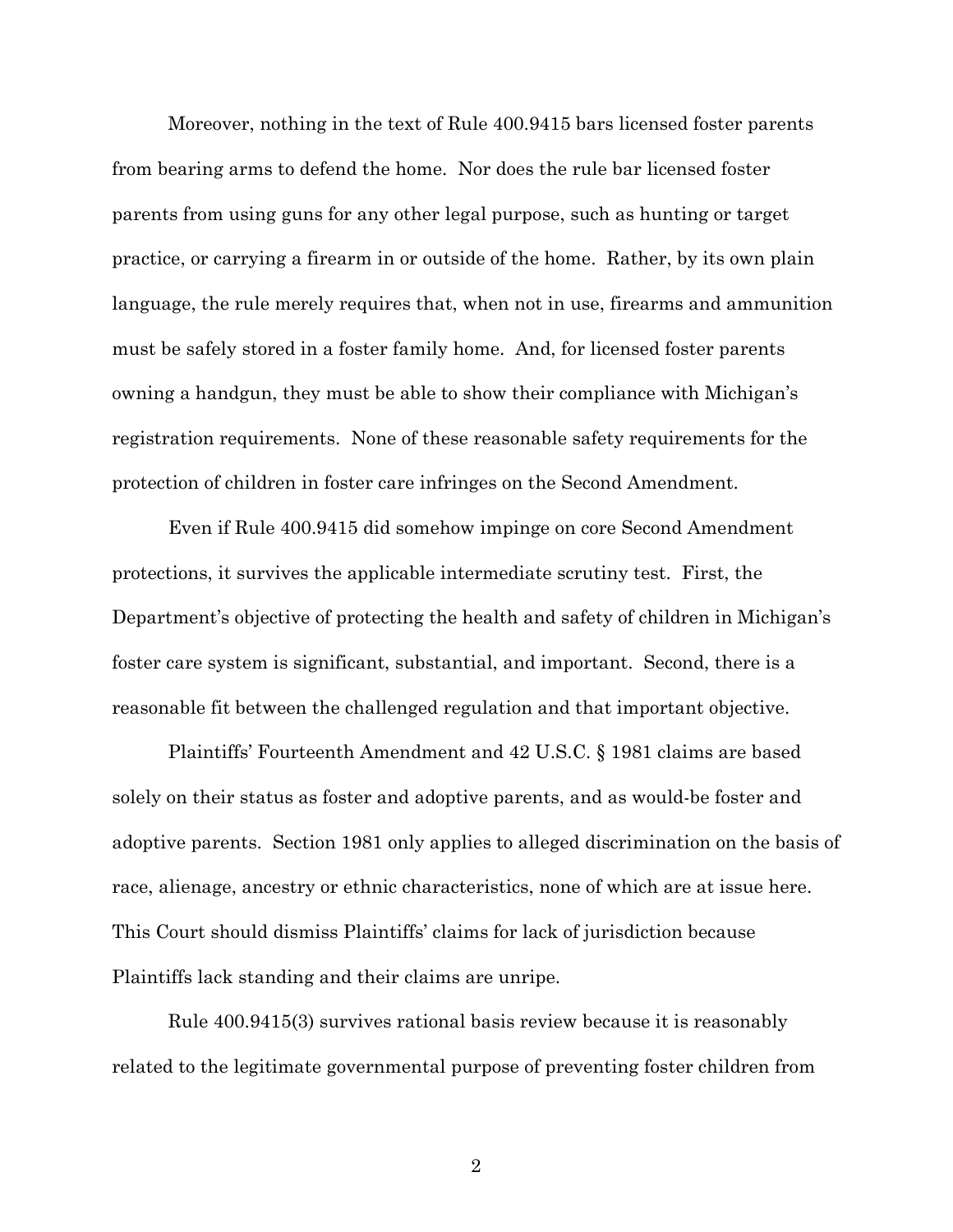Moreover, nothing in the text of Rule 400.9415 bars licensed foster parents from bearing arms to defend the home. Nor does the rule bar licensed foster parents from using guns for any other legal purpose, such as hunting or target practice, or carrying a firearm in or outside of the home. Rather, by its own plain language, the rule merely requires that, when not in use, firearms and ammunition must be safely stored in a foster family home. And, for licensed foster parents owning a handgun, they must be able to show their compliance with Michigan's registration requirements. None of these reasonable safety requirements for the protection of children in foster care infringes on the Second Amendment.

Even if Rule 400.9415 did somehow impinge on core Second Amendment protections, it survives the applicable intermediate scrutiny test. First, the Department's objective of protecting the health and safety of children in Michigan's foster care system is significant, substantial, and important. Second, there is a reasonable fit between the challenged regulation and that important objective.

Plaintiffs' Fourteenth Amendment and 42 U.S.C. § 1981 claims are based solely on their status as foster and adoptive parents, and as would-be foster and adoptive parents. Section 1981 only applies to alleged discrimination on the basis of race, alienage, ancestry or ethnic characteristics, none of which are at issue here. This Court should dismiss Plaintiffs' claims for lack of jurisdiction because Plaintiffs lack standing and their claims are unripe.

Rule 400.9415(3) survives rational basis review because it is reasonably related to the legitimate governmental purpose of preventing foster children from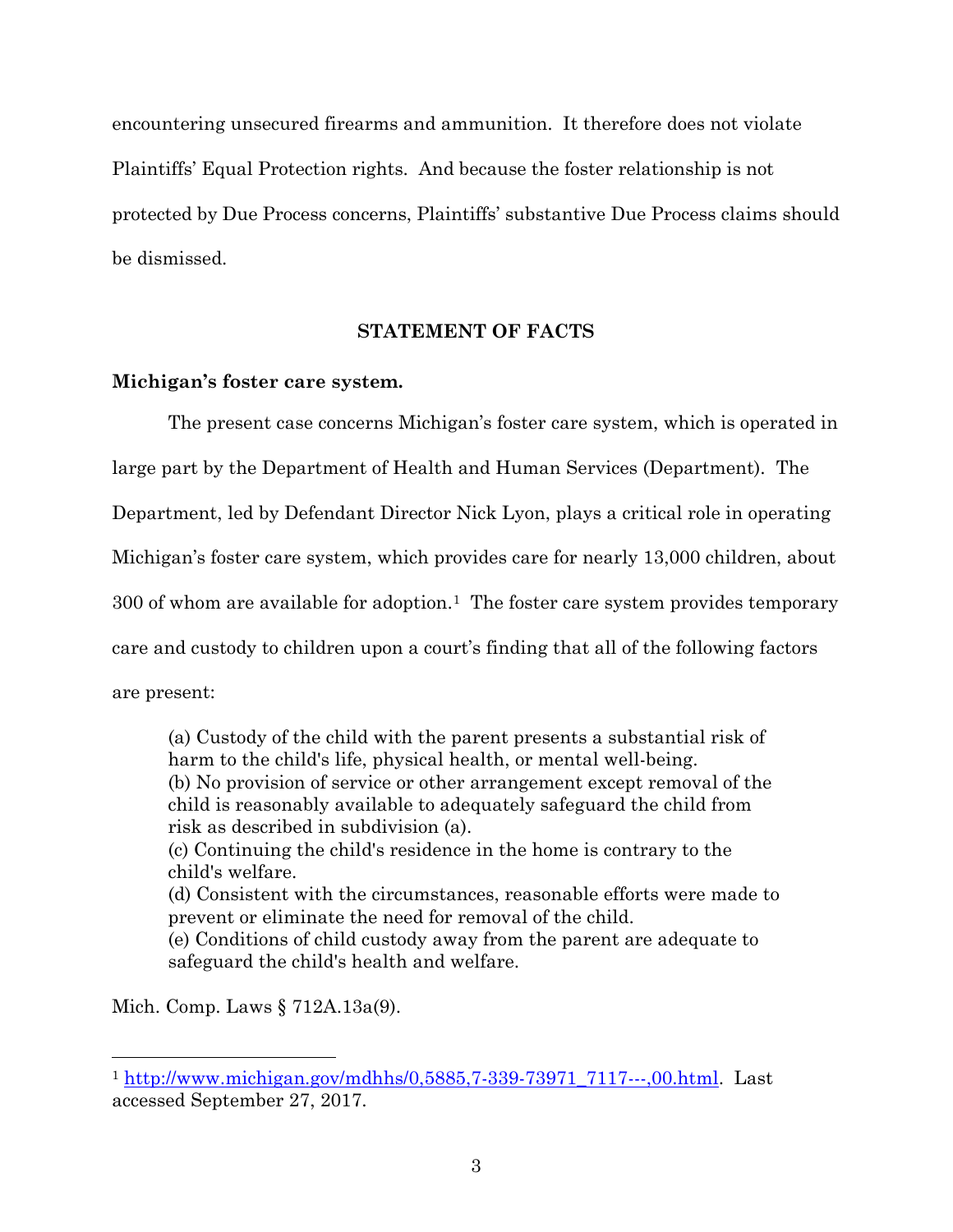encountering unsecured firearms and ammunition. It therefore does not violate Plaintiffs' Equal Protection rights. And because the foster relationship is not protected by Due Process concerns, Plaintiffs' substantive Due Process claims should be dismissed.

## **STATEMENT OF FACTS**

#### **Michigan's foster care system.**

The present case concerns Michigan's foster care system, which is operated in large part by the Department of Health and Human Services (Department). The Department, led by Defendant Director Nick Lyon, plays a critical role in operating Michigan's foster care system, which provides care for nearly 13,000 children, about  $300$  of whom are available for adoption.<sup>1</sup> The foster care system provides temporary care and custody to children upon a court's finding that all of the following factors are present:

(a) Custody of the child with the parent presents a substantial risk of harm to the child's life, physical health, or mental well-being. (b) No provision of service or other arrangement except removal of the child is reasonably available to adequately safeguard the child from risk as described in subdivision (a).

(c) Continuing the child's residence in the home is contrary to the child's welfare.

(d) Consistent with the circumstances, reasonable efforts were made to prevent or eliminate the need for removal of the child.

(e) Conditions of child custody away from the parent are adequate to safeguard the child's health and welfare.

Mich. Comp. Laws § 712A.13a(9).

 $\overline{a}$ 

<sup>1</sup> http://www.michigan.gov/mdhhs/0,5885,7-339-73971\_7117---,00.html. Last accessed September 27, 2017.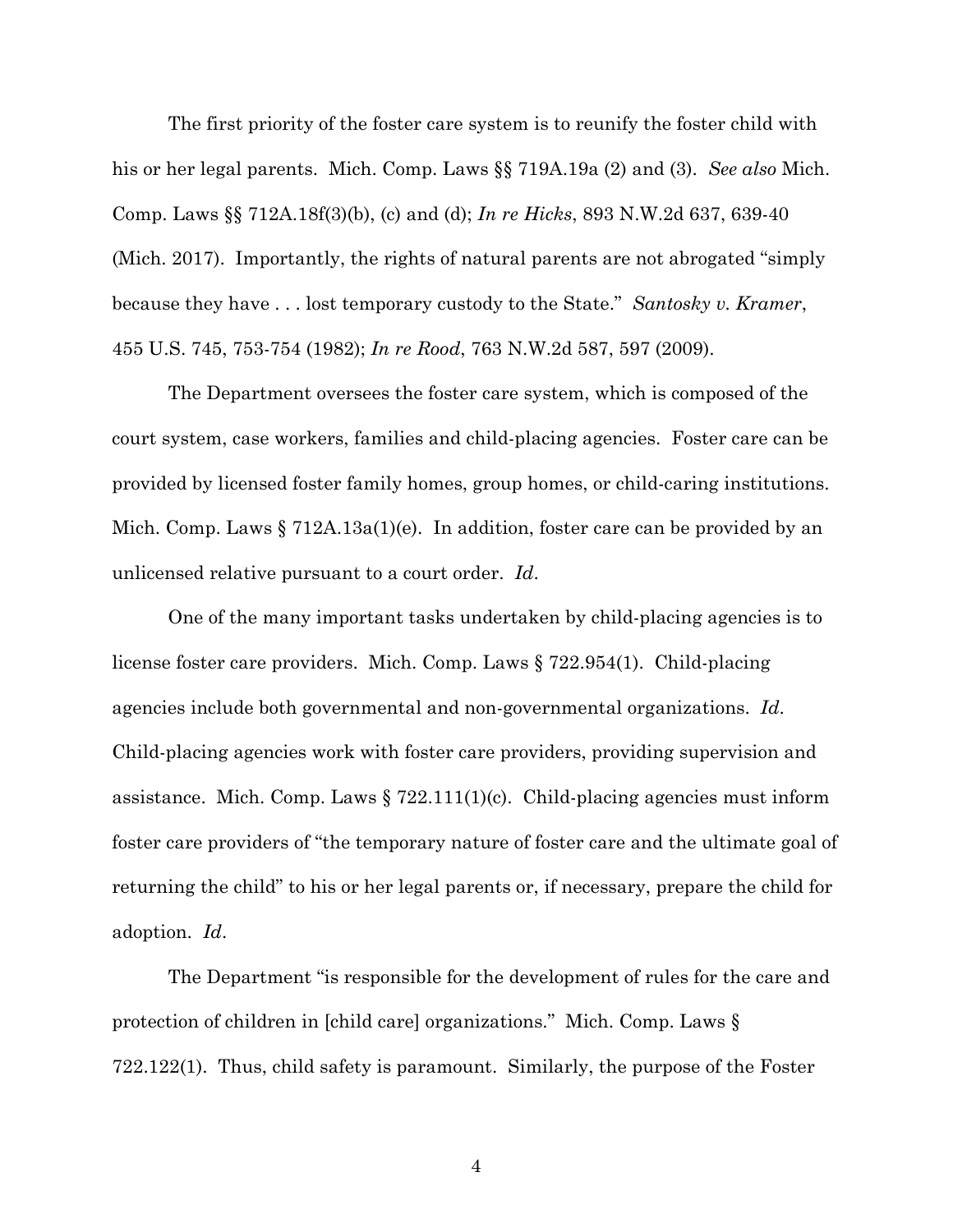The first priority of the foster care system is to reunify the foster child with his or her legal parents. Mich. Comp. Laws §§ 719A.19a (2) and (3). *See also* Mich. Comp. Laws §§ 712A.18f(3)(b), (c) and (d); *In re Hicks*, 893 N.W.2d 637, 639-40 (Mich. 2017). Importantly, the rights of natural parents are not abrogated "simply because they have . . . lost temporary custody to the State." *Santosky v. Kramer*, 455 U.S. 745, 753-754 (1982); *In re Rood*, 763 N.W.2d 587, 597 (2009).

The Department oversees the foster care system, which is composed of the court system, case workers, families and child-placing agencies. Foster care can be provided by licensed foster family homes, group homes, or child-caring institutions. Mich. Comp. Laws  $\S 712A.13a(1)(e)$ . In addition, foster care can be provided by an unlicensed relative pursuant to a court order. *Id*.

One of the many important tasks undertaken by child-placing agencies is to license foster care providers. Mich. Comp. Laws § 722.954(1). Child-placing agencies include both governmental and non-governmental organizations. *Id*. Child-placing agencies work with foster care providers, providing supervision and assistance. Mich. Comp. Laws  $\S 722.111(1)(c)$ . Child-placing agencies must inform foster care providers of "the temporary nature of foster care and the ultimate goal of returning the child" to his or her legal parents or, if necessary, prepare the child for adoption. *Id*.

The Department "is responsible for the development of rules for the care and protection of children in [child care] organizations." Mich. Comp. Laws § 722.122(1). Thus, child safety is paramount. Similarly, the purpose of the Foster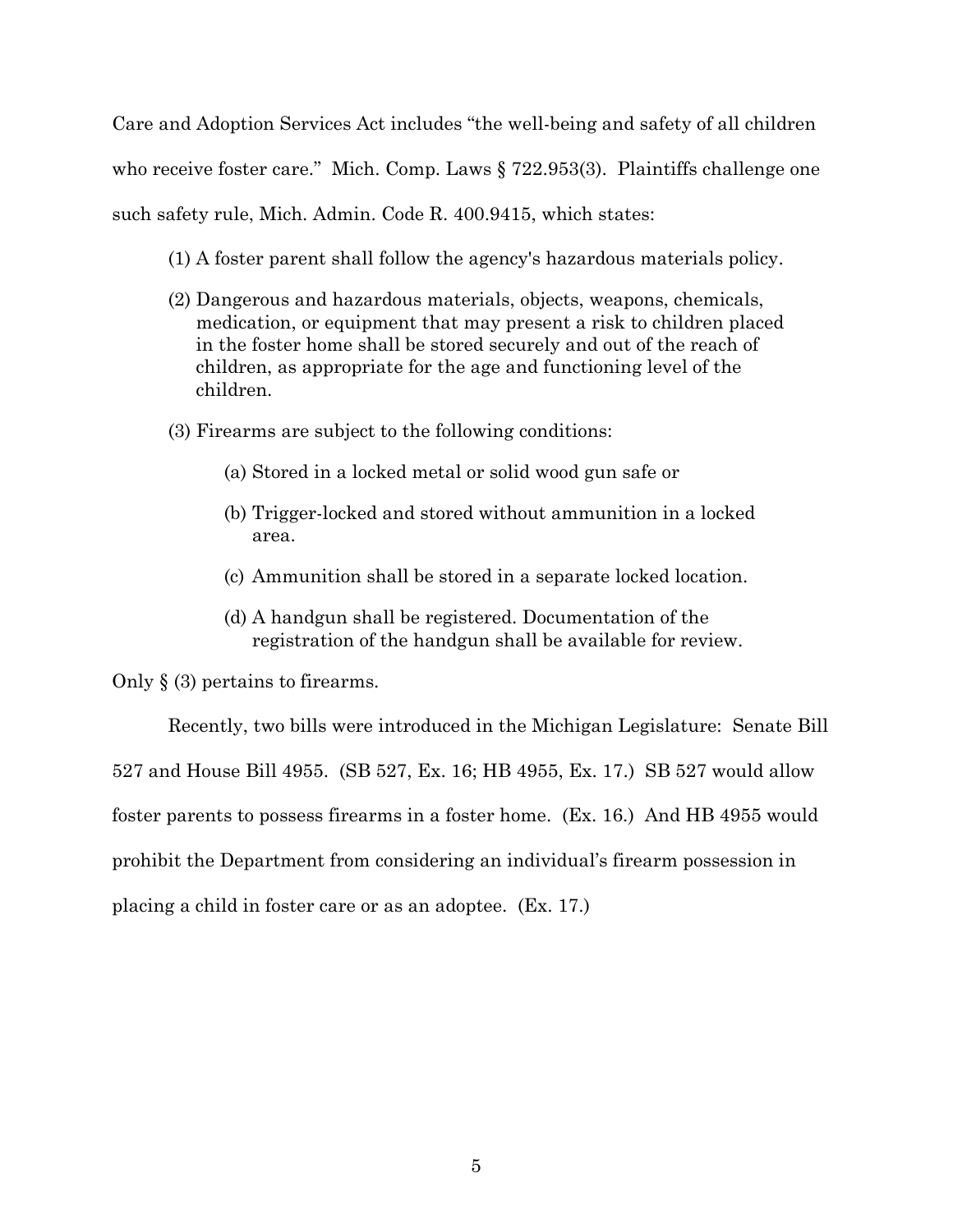Care and Adoption Services Act includes "the well-being and safety of all children who receive foster care." Mich. Comp. Laws § 722.953(3). Plaintiffs challenge one such safety rule, Mich. Admin. Code R. 400.9415, which states:

- (1) A foster parent shall follow the agency's hazardous materials policy.
- (2) Dangerous and hazardous materials, objects, weapons, chemicals, medication, or equipment that may present a risk to children placed in the foster home shall be stored securely and out of the reach of children, as appropriate for the age and functioning level of the children.
- (3) Firearms are subject to the following conditions:
	- (a) Stored in a locked metal or solid wood gun safe or
	- (b) Trigger-locked and stored without ammunition in a locked area.
	- (c) Ammunition shall be stored in a separate locked location.
	- (d) A handgun shall be registered. Documentation of the registration of the handgun shall be available for review.

Only § (3) pertains to firearms.

Recently, two bills were introduced in the Michigan Legislature: Senate Bill 527 and House Bill 4955. (SB 527, Ex. 16; HB 4955, Ex. 17.) SB 527 would allow foster parents to possess firearms in a foster home. (Ex. 16.) And HB 4955 would prohibit the Department from considering an individual's firearm possession in placing a child in foster care or as an adoptee. (Ex. 17.)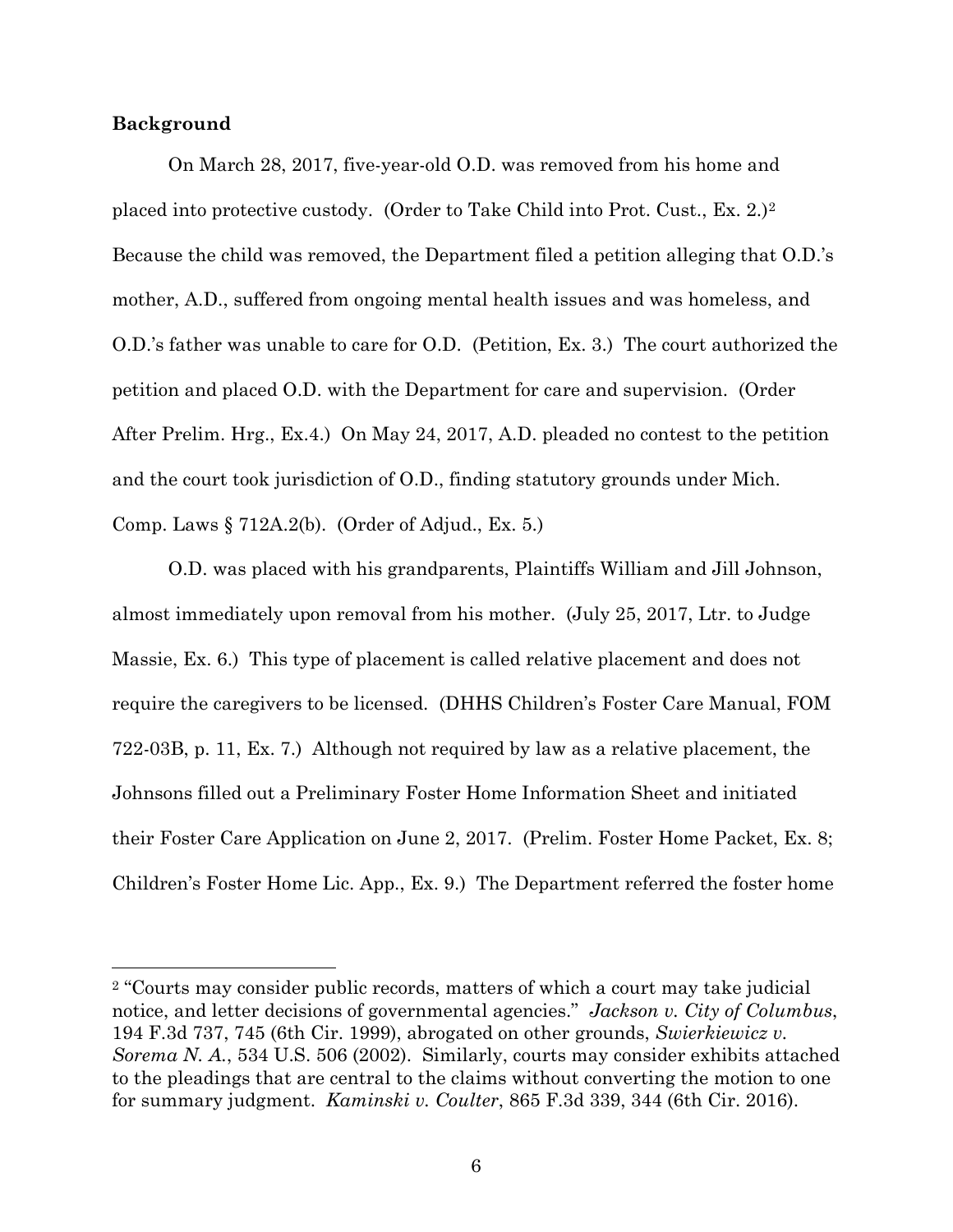#### **Background**

 $\overline{a}$ 

On March 28, 2017, five-year-old O.D. was removed from his home and placed into protective custody. (Order to Take Child into Prot. Cust., Ex. 2.)2 Because the child was removed, the Department filed a petition alleging that O.D.'s mother, A.D., suffered from ongoing mental health issues and was homeless, and O.D.'s father was unable to care for O.D. (Petition, Ex. 3.) The court authorized the petition and placed O.D. with the Department for care and supervision. (Order After Prelim. Hrg., Ex.4.) On May 24, 2017, A.D. pleaded no contest to the petition and the court took jurisdiction of O.D., finding statutory grounds under Mich. Comp. Laws § 712A.2(b). (Order of Adjud., Ex. 5.)

O.D. was placed with his grandparents, Plaintiffs William and Jill Johnson, almost immediately upon removal from his mother. (July 25, 2017, Ltr. to Judge Massie, Ex. 6.) This type of placement is called relative placement and does not require the caregivers to be licensed. (DHHS Children's Foster Care Manual, FOM 722-03B, p. 11, Ex. 7.) Although not required by law as a relative placement, the Johnsons filled out a Preliminary Foster Home Information Sheet and initiated their Foster Care Application on June 2, 2017. (Prelim. Foster Home Packet, Ex. 8; Children's Foster Home Lic. App., Ex. 9.) The Department referred the foster home

<sup>2</sup> "Courts may consider public records, matters of which a court may take judicial notice, and letter decisions of governmental agencies." *Jackson v. City of Columbus*, 194 F.3d 737, 745 (6th Cir. 1999), abrogated on other grounds, *Swierkiewicz v. Sorema N. A.*, 534 U.S. 506 (2002). Similarly, courts may consider exhibits attached to the pleadings that are central to the claims without converting the motion to one for summary judgment. *Kaminski v. Coulter*, 865 F.3d 339, 344 (6th Cir. 2016).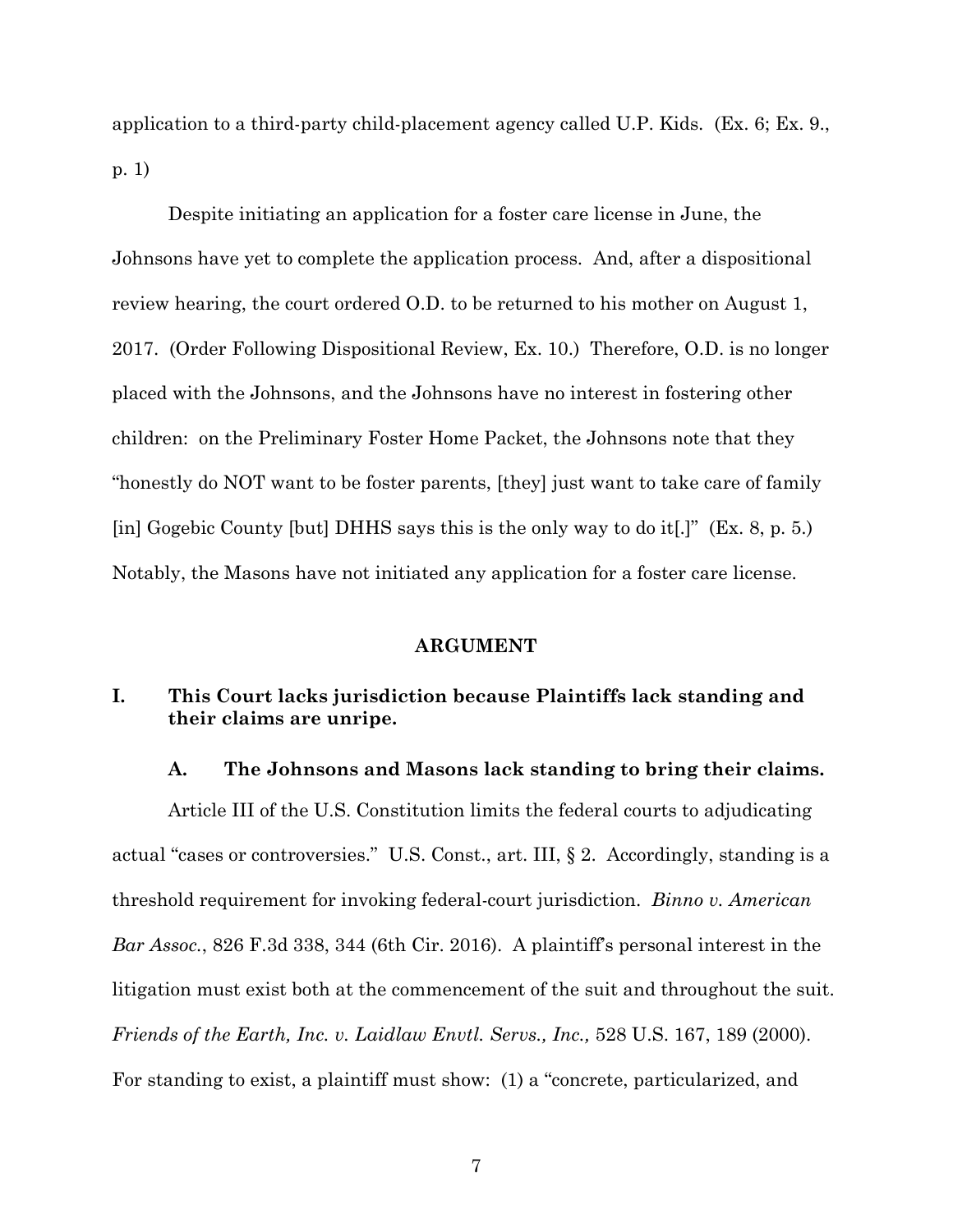application to a third-party child-placement agency called U.P. Kids. (Ex. 6; Ex. 9., p. 1)

Despite initiating an application for a foster care license in June, the Johnsons have yet to complete the application process. And, after a dispositional review hearing, the court ordered O.D. to be returned to his mother on August 1, 2017. (Order Following Dispositional Review, Ex. 10.) Therefore, O.D. is no longer placed with the Johnsons, and the Johnsons have no interest in fostering other children: on the Preliminary Foster Home Packet, the Johnsons note that they "honestly do NOT want to be foster parents, [they] just want to take care of family [in] Gogebic County [but] DHHS says this is the only way to do it[.]" (Ex. 8, p. 5.) Notably, the Masons have not initiated any application for a foster care license.

#### **ARGUMENT**

# **I. This Court lacks jurisdiction because Plaintiffs lack standing and their claims are unripe.**

#### **A. The Johnsons and Masons lack standing to bring their claims.**

Article III of the U.S. Constitution limits the federal courts to adjudicating actual "cases or controversies." U.S. Const., art. III, § 2. Accordingly, standing is a threshold requirement for invoking federal-court jurisdiction. *Binno v. American Bar Assoc.*, 826 F.3d 338, 344 (6th Cir. 2016). A plaintiff's personal interest in the litigation must exist both at the commencement of the suit and throughout the suit. *Friends of the Earth, Inc. v. Laidlaw Envtl. Servs., Inc.,* 528 U.S. 167, 189 (2000). For standing to exist, a plaintiff must show: (1) a "concrete, particularized, and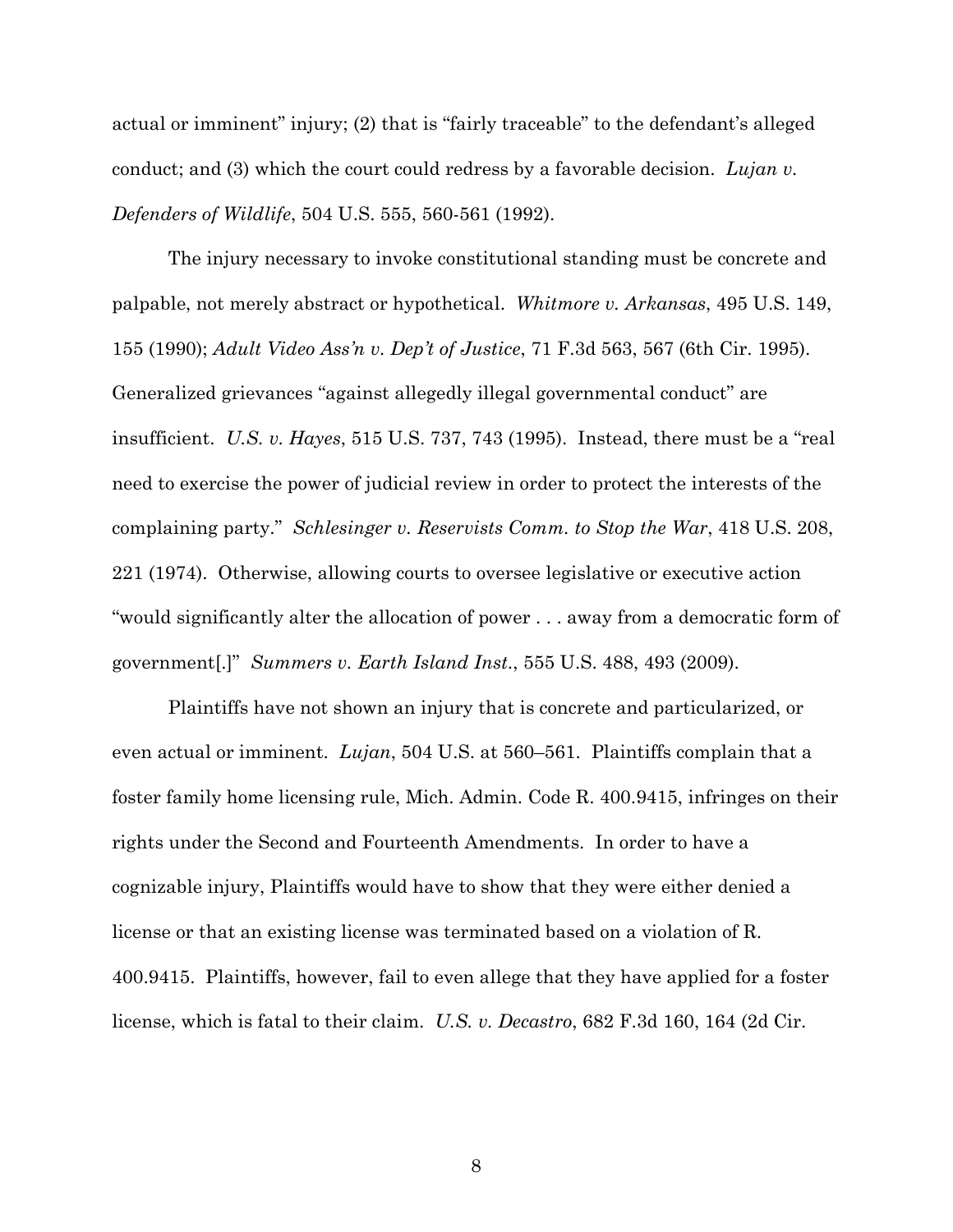actual or imminent" injury; (2) that is "fairly traceable" to the defendant's alleged conduct; and (3) which the court could redress by a favorable decision. *Lujan v. Defenders of Wildlife*, 504 U.S. 555, 560-561 (1992).

The injury necessary to invoke constitutional standing must be concrete and palpable, not merely abstract or hypothetical. *Whitmore v. Arkansas*, 495 U.S. 149, 155 (1990); *Adult Video Ass'n v. Dep't of Justice*, 71 F.3d 563, 567 (6th Cir. 1995). Generalized grievances "against allegedly illegal governmental conduct" are insufficient. *U.S. v. Hayes*, 515 U.S. 737, 743 (1995). Instead, there must be a "real need to exercise the power of judicial review in order to protect the interests of the complaining party." *Schlesinger v. Reservists Comm. to Stop the War*, 418 U.S. 208, 221 (1974). Otherwise, allowing courts to oversee legislative or executive action "would significantly alter the allocation of power . . . away from a democratic form of government[.]" *Summers v. Earth Island Inst*., 555 U.S. 488, 493 (2009).

Plaintiffs have not shown an injury that is concrete and particularized, or even actual or imminent. *Lujan*, 504 U.S. at 560–561. Plaintiffs complain that a foster family home licensing rule, Mich. Admin. Code R. 400.9415, infringes on their rights under the Second and Fourteenth Amendments. In order to have a cognizable injury, Plaintiffs would have to show that they were either denied a license or that an existing license was terminated based on a violation of R. 400.9415. Plaintiffs, however, fail to even allege that they have applied for a foster license, which is fatal to their claim. *U.S. v. Decastro*, 682 F.3d 160, 164 (2d Cir.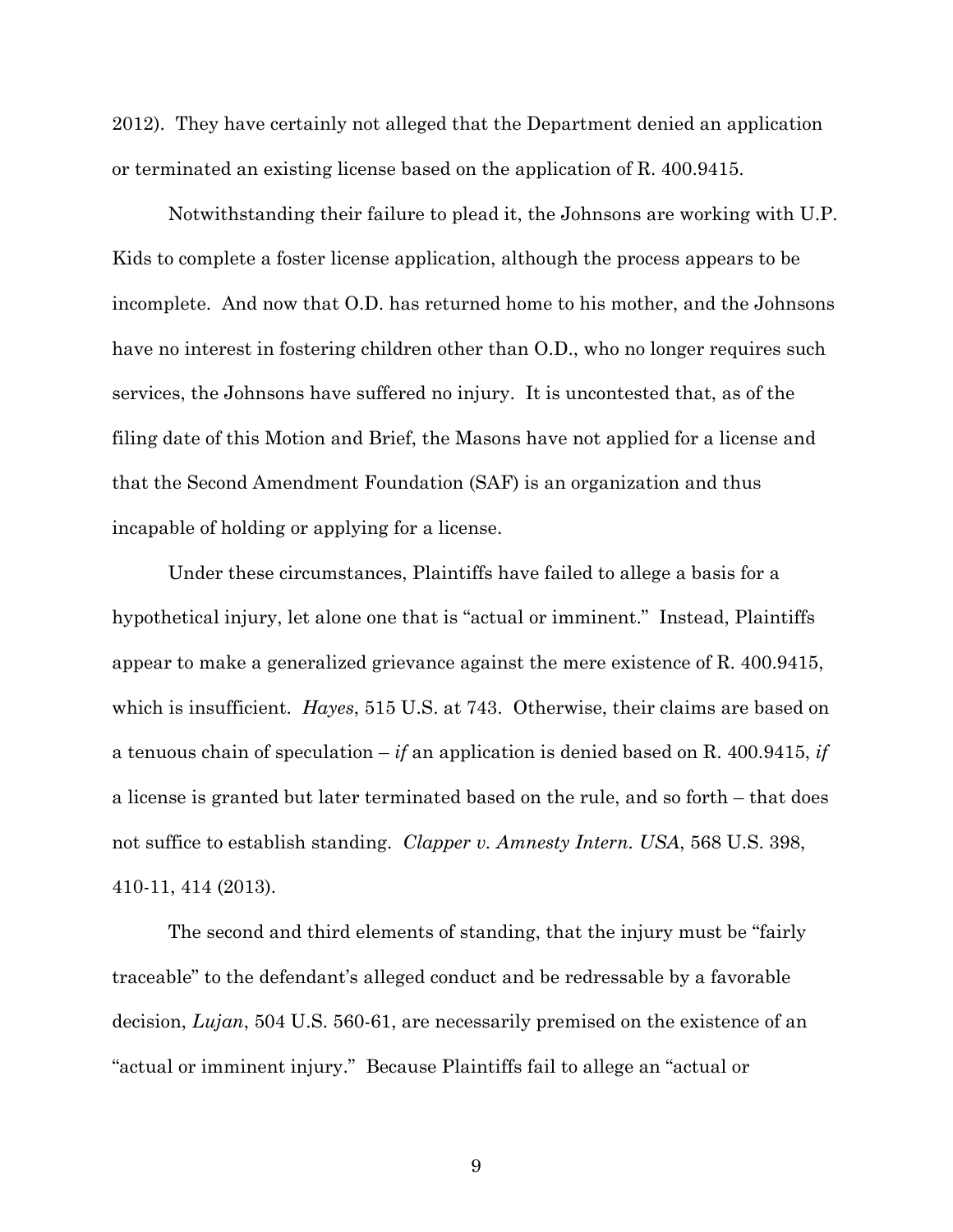2012). They have certainly not alleged that the Department denied an application or terminated an existing license based on the application of R. 400.9415.

Notwithstanding their failure to plead it, the Johnsons are working with U.P. Kids to complete a foster license application, although the process appears to be incomplete. And now that O.D. has returned home to his mother, and the Johnsons have no interest in fostering children other than O.D., who no longer requires such services, the Johnsons have suffered no injury. It is uncontested that, as of the filing date of this Motion and Brief, the Masons have not applied for a license and that the Second Amendment Foundation (SAF) is an organization and thus incapable of holding or applying for a license.

Under these circumstances, Plaintiffs have failed to allege a basis for a hypothetical injury, let alone one that is "actual or imminent." Instead, Plaintiffs appear to make a generalized grievance against the mere existence of R. 400.9415, which is insufficient. *Hayes*, 515 U.S. at 743. Otherwise, their claims are based on a tenuous chain of speculation – *if* an application is denied based on R. 400.9415, *if* a license is granted but later terminated based on the rule, and so forth – that does not suffice to establish standing. *Clapper v. Amnesty Intern. USA*, 568 U.S. 398, 410-11, 414 (2013).

The second and third elements of standing, that the injury must be "fairly traceable" to the defendant's alleged conduct and be redressable by a favorable decision, *Lujan*, 504 U.S. 560-61, are necessarily premised on the existence of an "actual or imminent injury." Because Plaintiffs fail to allege an "actual or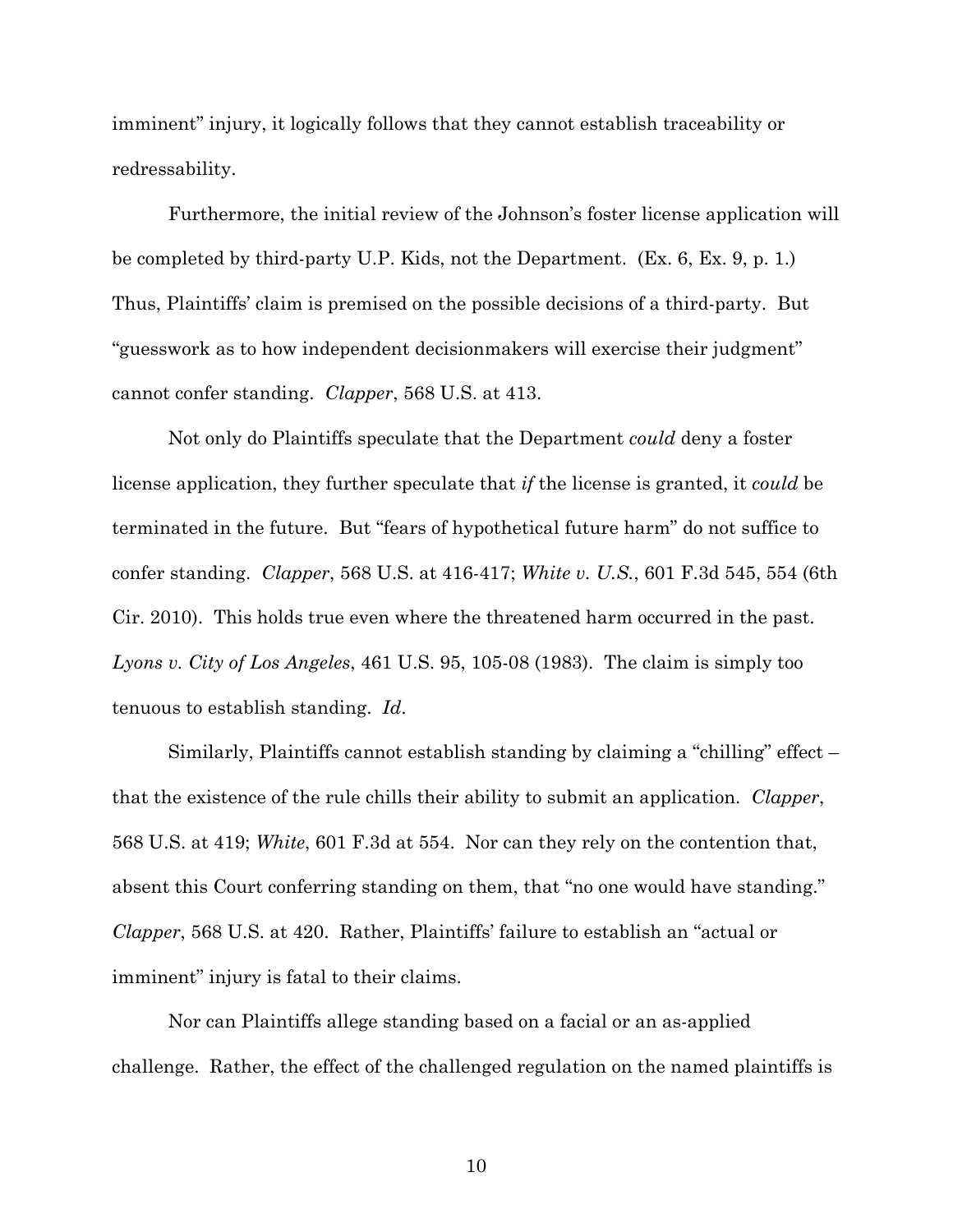imminent" injury, it logically follows that they cannot establish traceability or redressability.

Furthermore, the initial review of the Johnson's foster license application will be completed by third-party U.P. Kids, not the Department. (Ex. 6, Ex. 9, p. 1.) Thus, Plaintiffs' claim is premised on the possible decisions of a third-party. But "guesswork as to how independent decisionmakers will exercise their judgment" cannot confer standing. *Clapper*, 568 U.S. at 413.

Not only do Plaintiffs speculate that the Department *could* deny a foster license application, they further speculate that *if* the license is granted, it *could* be terminated in the future. But "fears of hypothetical future harm" do not suffice to confer standing. *Clapper*, 568 U.S. at 416-417; *White v. U.S.*, 601 F.3d 545, 554 (6th Cir. 2010). This holds true even where the threatened harm occurred in the past. *Lyons v. City of Los Angeles*, 461 U.S. 95, 105-08 (1983). The claim is simply too tenuous to establish standing. *Id*.

Similarly, Plaintiffs cannot establish standing by claiming a "chilling" effect – that the existence of the rule chills their ability to submit an application. *Clapper*, 568 U.S. at 419; *White*, 601 F.3d at 554. Nor can they rely on the contention that, absent this Court conferring standing on them, that "no one would have standing." *Clapper*, 568 U.S. at 420. Rather, Plaintiffs' failure to establish an "actual or imminent" injury is fatal to their claims.

Nor can Plaintiffs allege standing based on a facial or an as-applied challenge. Rather, the effect of the challenged regulation on the named plaintiffs is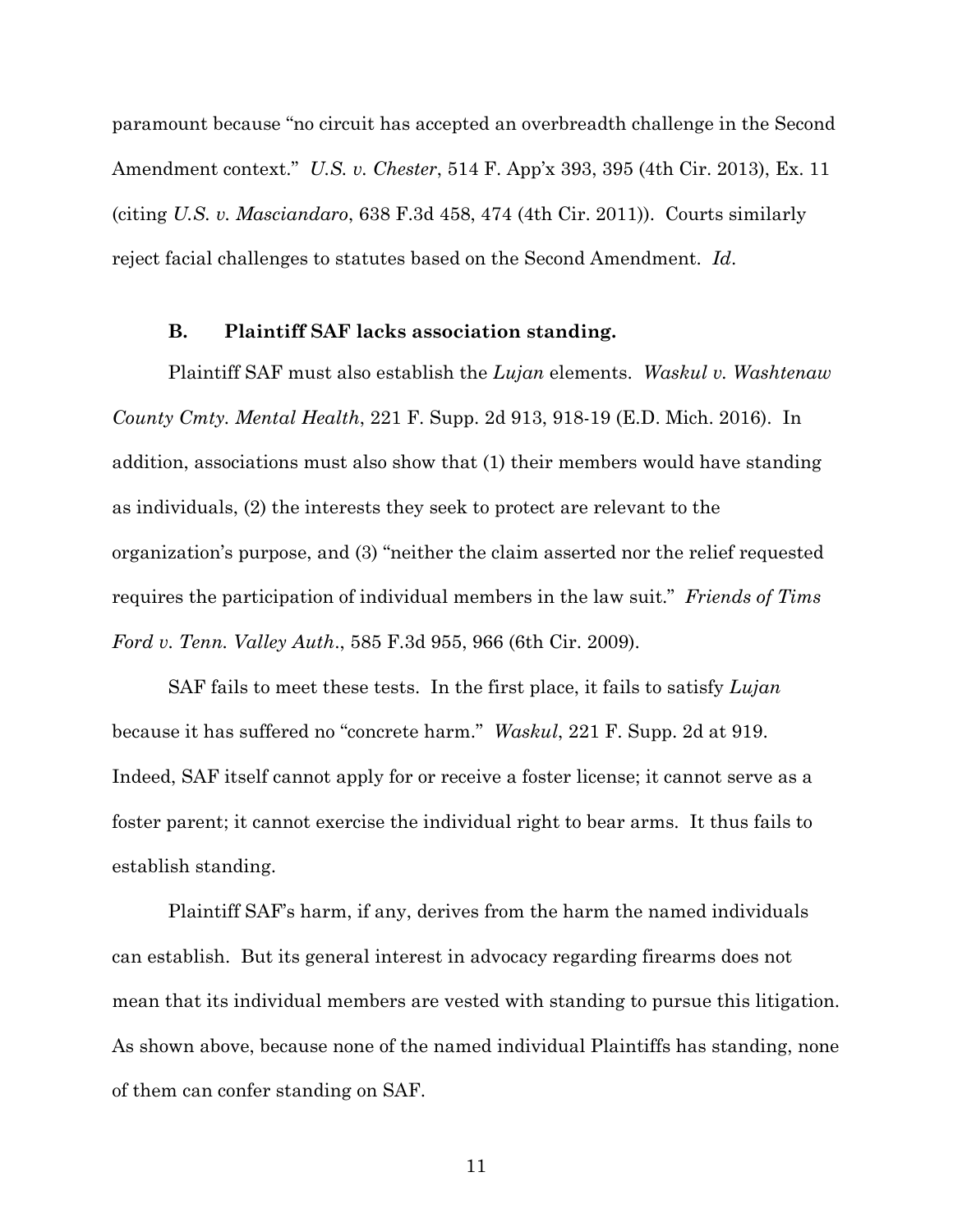paramount because "no circuit has accepted an overbreadth challenge in the Second Amendment context." *U.S. v. Chester*, 514 F. App'x 393, 395 (4th Cir. 2013), Ex. 11 (citing *U.S. v. Masciandaro*, 638 F.3d 458, 474 (4th Cir. 2011)). Courts similarly reject facial challenges to statutes based on the Second Amendment. *Id*.

#### **B. Plaintiff SAF lacks association standing.**

Plaintiff SAF must also establish the *Lujan* elements. *Waskul v. Washtenaw County Cmty. Mental Health*, 221 F. Supp. 2d 913, 918-19 (E.D. Mich. 2016). In addition, associations must also show that (1) their members would have standing as individuals, (2) the interests they seek to protect are relevant to the organization's purpose, and (3) "neither the claim asserted nor the relief requested requires the participation of individual members in the law suit." *Friends of Tims Ford v. Tenn. Valley Auth*., 585 F.3d 955, 966 (6th Cir. 2009).

SAF fails to meet these tests. In the first place, it fails to satisfy *Lujan* because it has suffered no "concrete harm." *Waskul*, 221 F. Supp. 2d at 919. Indeed, SAF itself cannot apply for or receive a foster license; it cannot serve as a foster parent; it cannot exercise the individual right to bear arms. It thus fails to establish standing.

Plaintiff SAF's harm, if any, derives from the harm the named individuals can establish. But its general interest in advocacy regarding firearms does not mean that its individual members are vested with standing to pursue this litigation. As shown above, because none of the named individual Plaintiffs has standing, none of them can confer standing on SAF.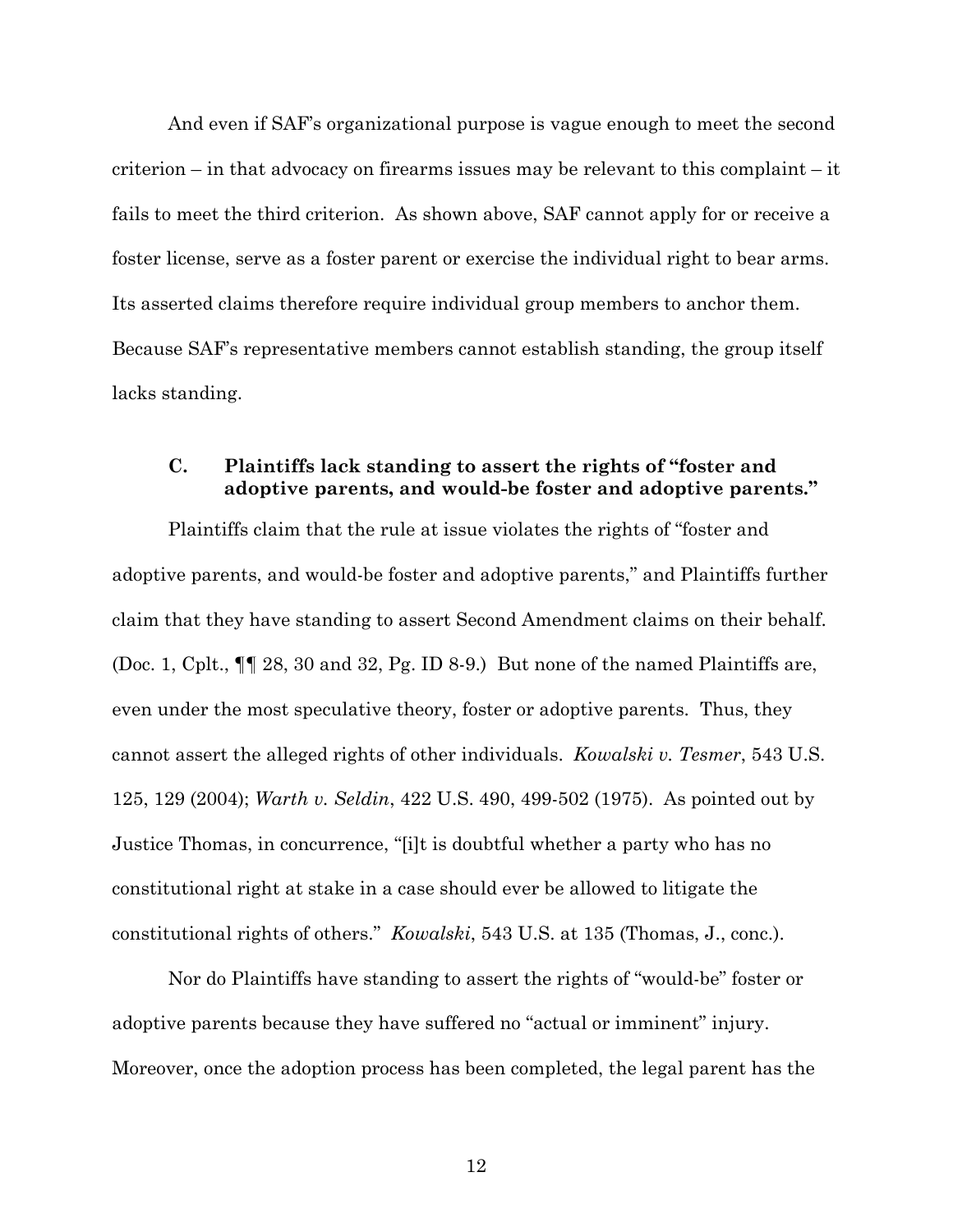And even if SAF's organizational purpose is vague enough to meet the second criterion – in that advocacy on firearms issues may be relevant to this complaint – it fails to meet the third criterion. As shown above, SAF cannot apply for or receive a foster license, serve as a foster parent or exercise the individual right to bear arms. Its asserted claims therefore require individual group members to anchor them. Because SAF's representative members cannot establish standing, the group itself lacks standing.

# **C. Plaintiffs lack standing to assert the rights of "foster and adoptive parents, and would-be foster and adoptive parents."**

Plaintiffs claim that the rule at issue violates the rights of "foster and adoptive parents, and would-be foster and adoptive parents," and Plaintiffs further claim that they have standing to assert Second Amendment claims on their behalf. (Doc. 1, Cplt., ¶¶ 28, 30 and 32, Pg. ID 8-9.) But none of the named Plaintiffs are, even under the most speculative theory, foster or adoptive parents. Thus, they cannot assert the alleged rights of other individuals. *Kowalski v. Tesmer*, 543 U.S. 125, 129 (2004); *Warth v. Seldin*, 422 U.S. 490, 499-502 (1975). As pointed out by Justice Thomas, in concurrence, "[i]t is doubtful whether a party who has no constitutional right at stake in a case should ever be allowed to litigate the constitutional rights of others." *Kowalski*, 543 U.S. at 135 (Thomas, J., conc.).

Nor do Plaintiffs have standing to assert the rights of "would-be" foster or adoptive parents because they have suffered no "actual or imminent" injury. Moreover, once the adoption process has been completed, the legal parent has the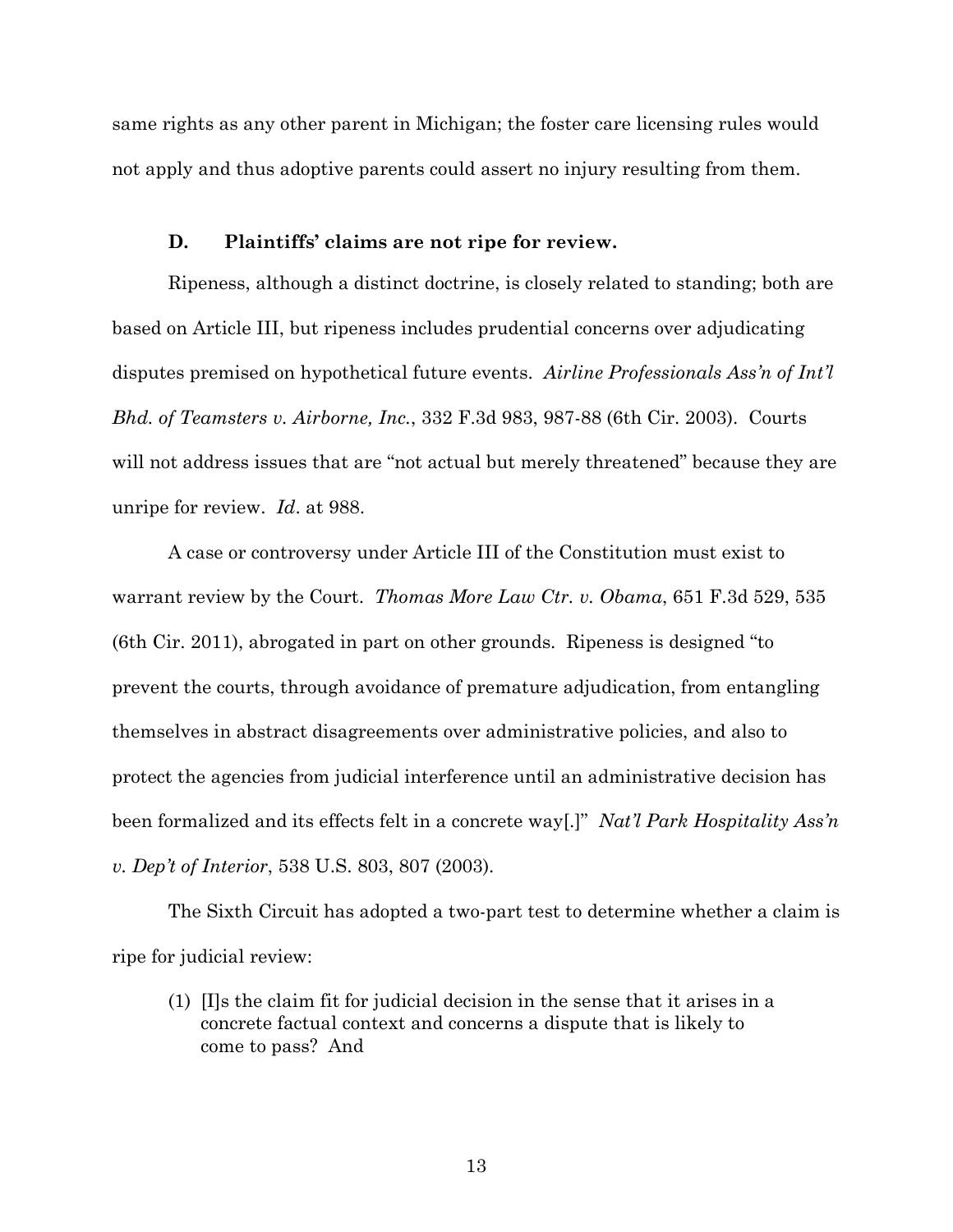same rights as any other parent in Michigan; the foster care licensing rules would not apply and thus adoptive parents could assert no injury resulting from them.

## **D. Plaintiffs' claims are not ripe for review.**

Ripeness, although a distinct doctrine, is closely related to standing; both are based on Article III, but ripeness includes prudential concerns over adjudicating disputes premised on hypothetical future events. *Airline Professionals Ass'n of Int'l Bhd. of Teamsters v. Airborne, Inc.*, 332 F.3d 983, 987-88 (6th Cir. 2003). Courts will not address issues that are "not actual but merely threatened" because they are unripe for review. *Id*. at 988.

A case or controversy under Article III of the Constitution must exist to warrant review by the Court. *Thomas More Law Ctr. v. Obama*, 651 F.3d 529, 535 (6th Cir. 2011), abrogated in part on other grounds. Ripeness is designed "to prevent the courts, through avoidance of premature adjudication, from entangling themselves in abstract disagreements over administrative policies, and also to protect the agencies from judicial interference until an administrative decision has been formalized and its effects felt in a concrete way[.]" *Nat'l Park Hospitality Ass'n v. Dep't of Interior*, 538 U.S. 803, 807 (2003).

The Sixth Circuit has adopted a two-part test to determine whether a claim is ripe for judicial review:

(1) [I]s the claim fit for judicial decision in the sense that it arises in a concrete factual context and concerns a dispute that is likely to come to pass? And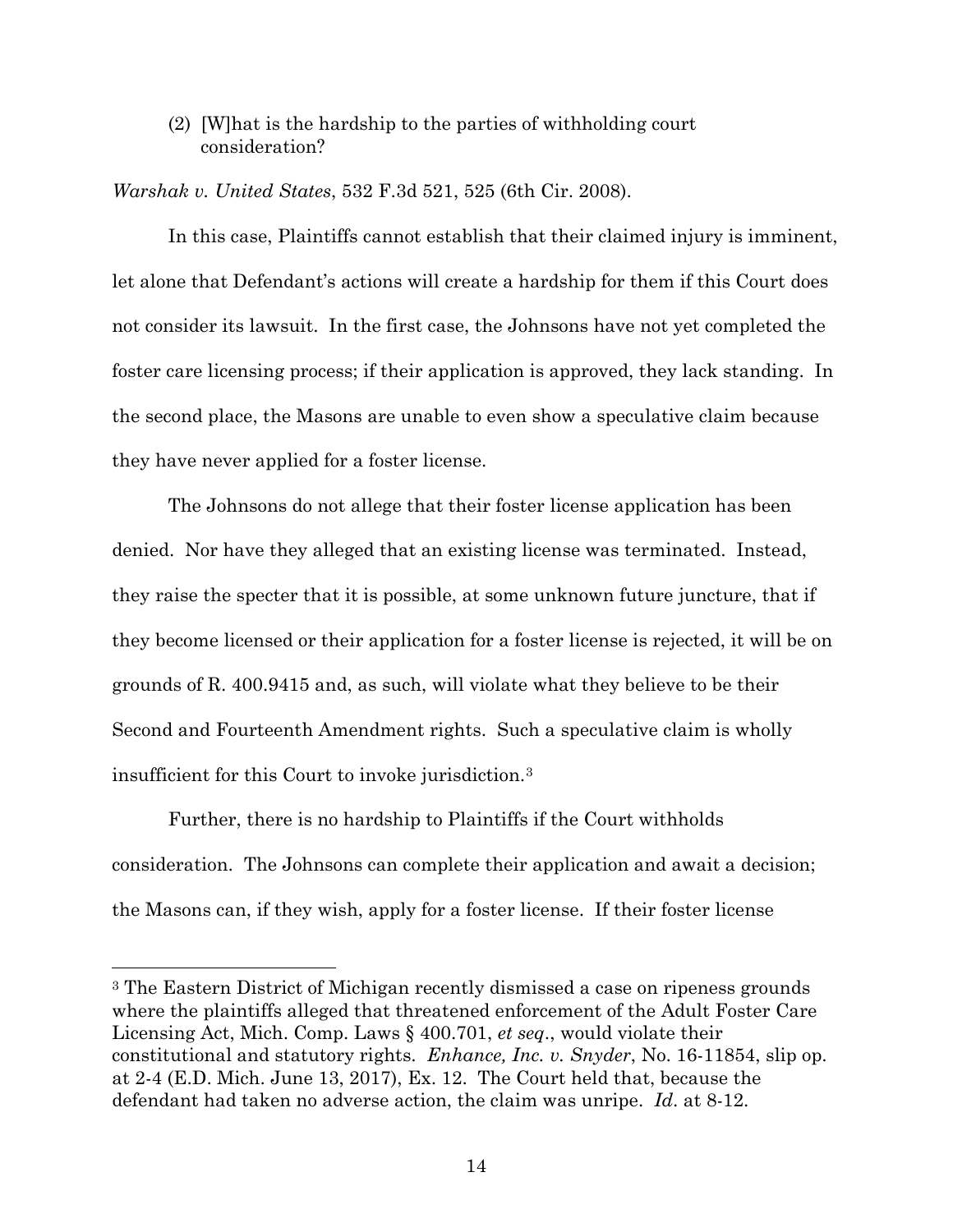(2) [W]hat is the hardship to the parties of withholding court consideration?

*Warshak v. United States*, 532 F.3d 521, 525 (6th Cir. 2008).

In this case, Plaintiffs cannot establish that their claimed injury is imminent, let alone that Defendant's actions will create a hardship for them if this Court does not consider its lawsuit. In the first case, the Johnsons have not yet completed the foster care licensing process; if their application is approved, they lack standing. In the second place, the Masons are unable to even show a speculative claim because they have never applied for a foster license.

The Johnsons do not allege that their foster license application has been denied. Nor have they alleged that an existing license was terminated. Instead, they raise the specter that it is possible, at some unknown future juncture, that if they become licensed or their application for a foster license is rejected, it will be on grounds of R. 400.9415 and, as such, will violate what they believe to be their Second and Fourteenth Amendment rights. Such a speculative claim is wholly insufficient for this Court to invoke jurisdiction.3

Further, there is no hardship to Plaintiffs if the Court withholds consideration. The Johnsons can complete their application and await a decision; the Masons can, if they wish, apply for a foster license. If their foster license

 $\overline{a}$ 

<sup>3</sup> The Eastern District of Michigan recently dismissed a case on ripeness grounds where the plaintiffs alleged that threatened enforcement of the Adult Foster Care Licensing Act, Mich. Comp. Laws § 400.701, *et seq*., would violate their constitutional and statutory rights. *Enhance, Inc. v. Snyder*, No. 16-11854, slip op. at 2-4 (E.D. Mich. June 13, 2017), Ex. 12. The Court held that, because the defendant had taken no adverse action, the claim was unripe. *Id*. at 8-12.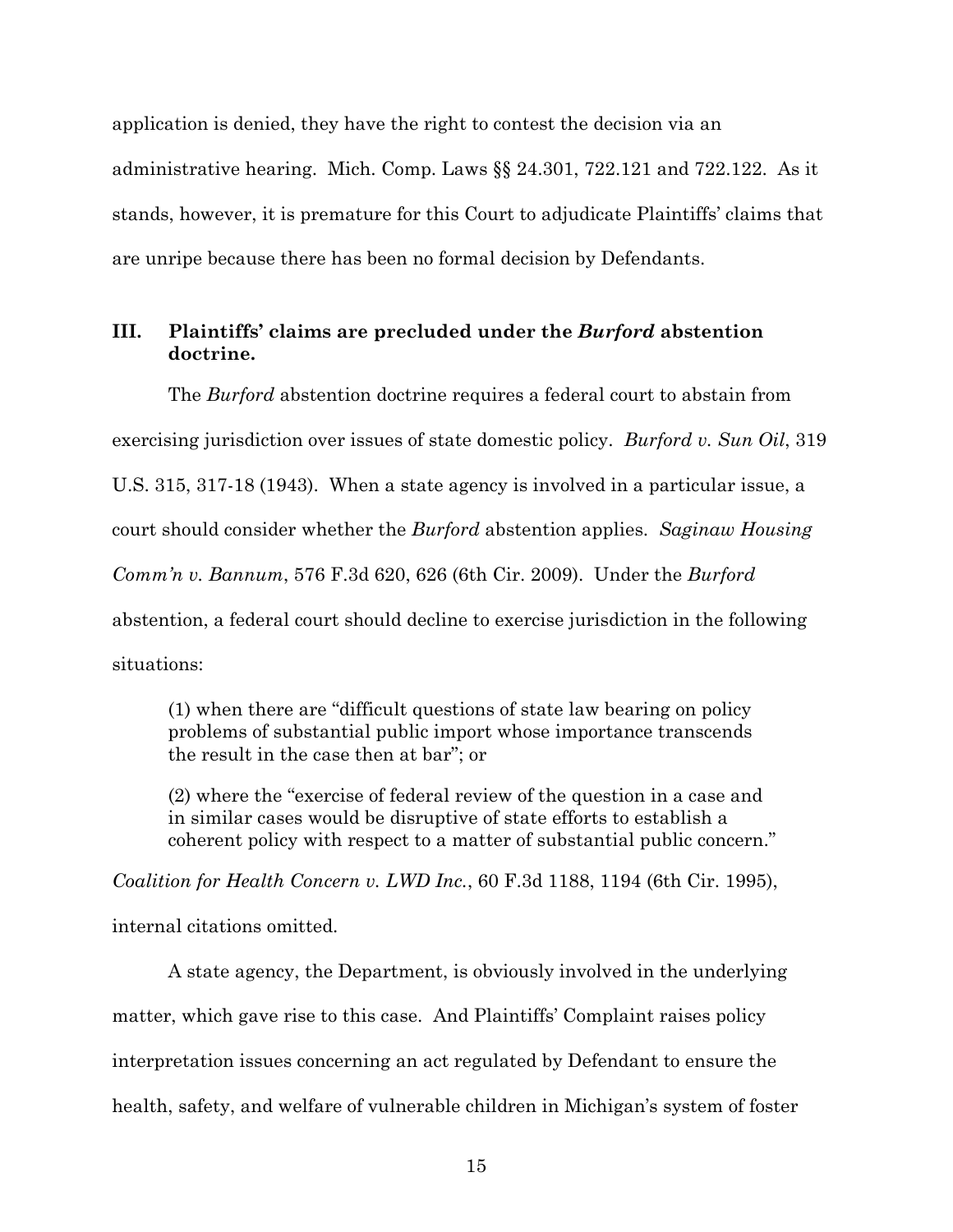application is denied, they have the right to contest the decision via an administrative hearing. Mich. Comp. Laws §§ 24.301, 722.121 and 722.122. As it stands, however, it is premature for this Court to adjudicate Plaintiffs' claims that are unripe because there has been no formal decision by Defendants.

# **III. Plaintiffs' claims are precluded under the** *Burford* **abstention doctrine.**

The *Burford* abstention doctrine requires a federal court to abstain from exercising jurisdiction over issues of state domestic policy. *Burford v. Sun Oil*, 319 U.S. 315, 317-18 (1943). When a state agency is involved in a particular issue, a court should consider whether the *Burford* abstention applies. *Saginaw Housing Comm'n v. Bannum*, 576 F.3d 620, 626 (6th Cir. 2009). Under the *Burford* abstention, a federal court should decline to exercise jurisdiction in the following situations:

(1) when there are "difficult questions of state law bearing on policy problems of substantial public import whose importance transcends the result in the case then at bar"; or

(2) where the "exercise of federal review of the question in a case and in similar cases would be disruptive of state efforts to establish a coherent policy with respect to a matter of substantial public concern."

*Coalition for Health Concern v. LWD Inc.*, 60 F.3d 1188, 1194 (6th Cir. 1995),

internal citations omitted.

A state agency, the Department, is obviously involved in the underlying matter, which gave rise to this case. And Plaintiffs' Complaint raises policy interpretation issues concerning an act regulated by Defendant to ensure the health, safety, and welfare of vulnerable children in Michigan's system of foster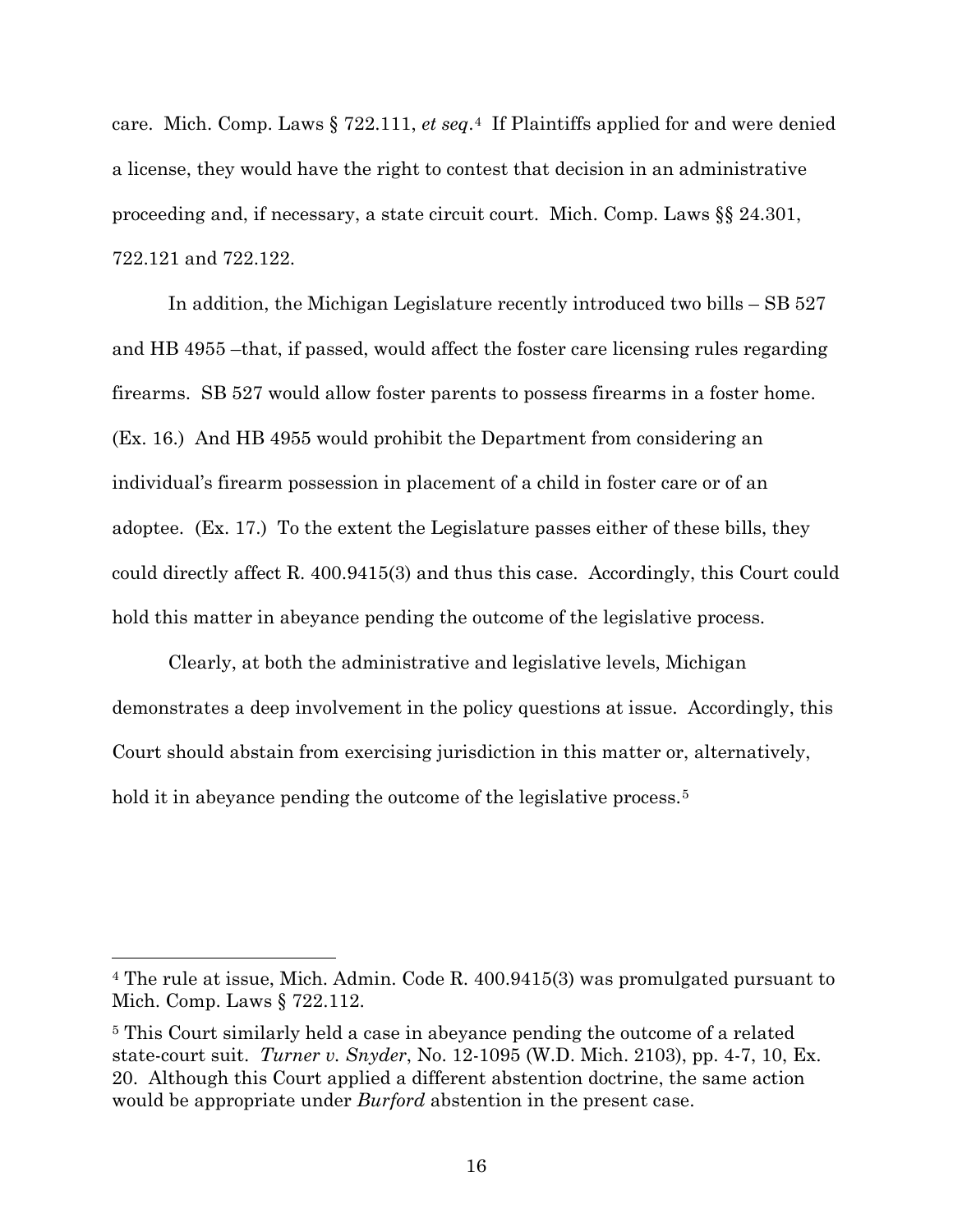care. Mich. Comp. Laws § 722.111, *et seq*.4 If Plaintiffs applied for and were denied a license, they would have the right to contest that decision in an administrative proceeding and, if necessary, a state circuit court. Mich. Comp. Laws §§ 24.301, 722.121 and 722.122.

In addition, the Michigan Legislature recently introduced two bills – SB 527 and HB 4955 –that, if passed, would affect the foster care licensing rules regarding firearms. SB 527 would allow foster parents to possess firearms in a foster home. (Ex. 16.) And HB 4955 would prohibit the Department from considering an individual's firearm possession in placement of a child in foster care or of an adoptee. (Ex. 17.) To the extent the Legislature passes either of these bills, they could directly affect R. 400.9415(3) and thus this case. Accordingly, this Court could hold this matter in abeyance pending the outcome of the legislative process.

Clearly, at both the administrative and legislative levels, Michigan demonstrates a deep involvement in the policy questions at issue. Accordingly, this Court should abstain from exercising jurisdiction in this matter or, alternatively, hold it in abeyance pending the outcome of the legislative process.<sup>5</sup>

 $\overline{a}$ 

<sup>4</sup> The rule at issue, Mich. Admin. Code R. 400.9415(3) was promulgated pursuant to Mich. Comp. Laws § 722.112.

<sup>5</sup> This Court similarly held a case in abeyance pending the outcome of a related state-court suit. *Turner v. Snyder*, No. 12-1095 (W.D. Mich. 2103), pp. 4-7, 10, Ex. 20. Although this Court applied a different abstention doctrine, the same action would be appropriate under *Burford* abstention in the present case.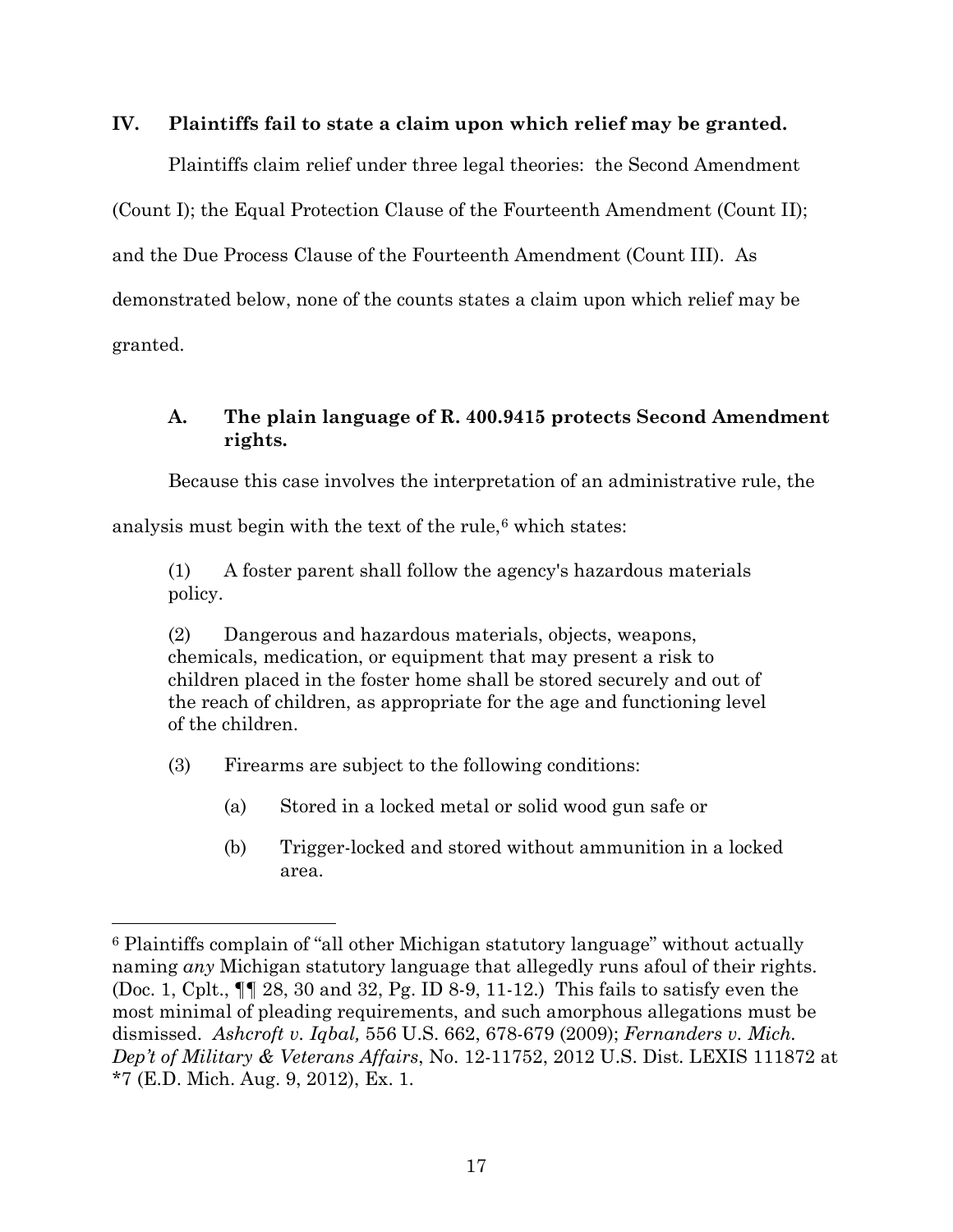# **IV. Plaintiffs fail to state a claim upon which relief may be granted.**

Plaintiffs claim relief under three legal theories: the Second Amendment (Count I); the Equal Protection Clause of the Fourteenth Amendment (Count II); and the Due Process Clause of the Fourteenth Amendment (Count III). As demonstrated below, none of the counts states a claim upon which relief may be granted.

# **A. The plain language of R. 400.9415 protects Second Amendment rights.**

Because this case involves the interpretation of an administrative rule, the

analysis must begin with the text of the rule, $6$  which states:

(1) A foster parent shall follow the agency's hazardous materials policy.

(2) Dangerous and hazardous materials, objects, weapons, chemicals, medication, or equipment that may present a risk to children placed in the foster home shall be stored securely and out of the reach of children, as appropriate for the age and functioning level of the children.

(3) Firearms are subject to the following conditions:

 $\overline{a}$ 

- (a) Stored in a locked metal or solid wood gun safe or
- (b) Trigger-locked and stored without ammunition in a locked area.

<sup>6</sup> Plaintiffs complain of "all other Michigan statutory language" without actually naming *any* Michigan statutory language that allegedly runs afoul of their rights. (Doc. 1, Cplt., ¶¶ 28, 30 and 32, Pg. ID 8-9, 11-12.) This fails to satisfy even the most minimal of pleading requirements, and such amorphous allegations must be dismissed. *Ashcroft v. Iqbal,* 556 U.S. 662, 678-679 (2009); *Fernanders v. Mich. Dep't of Military & Veterans Affairs*, No. 12-11752, 2012 U.S. Dist. LEXIS 111872 at \*7 (E.D. Mich. Aug. 9, 2012), Ex. 1.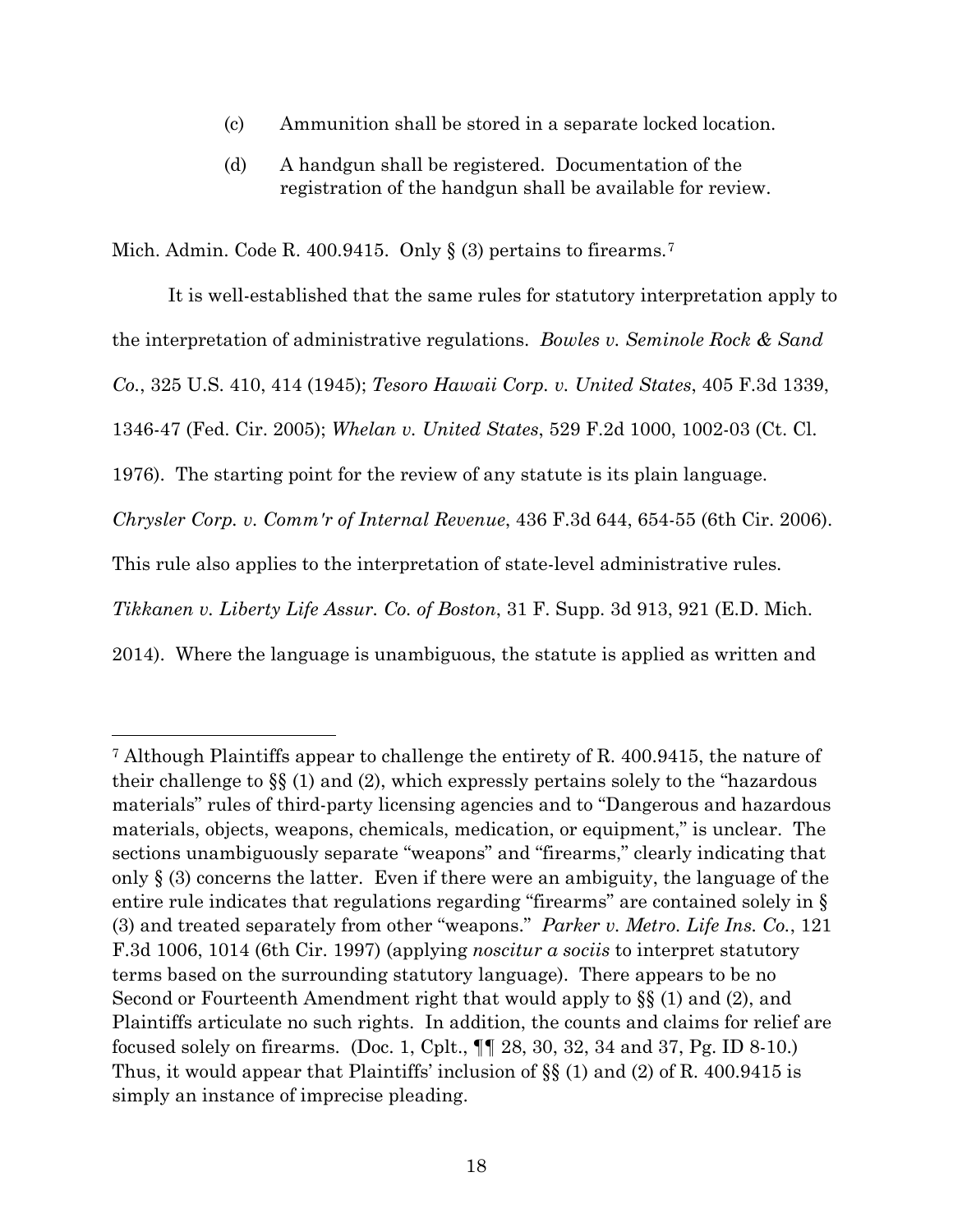- (c) Ammunition shall be stored in a separate locked location.
- (d) A handgun shall be registered. Documentation of the registration of the handgun shall be available for review.

Mich. Admin. Code R. 400.9415. Only  $\S$  (3) pertains to firearms.<sup>7</sup>

 $\overline{a}$ 

It is well-established that the same rules for statutory interpretation apply to the interpretation of administrative regulations. *Bowles v. Seminole Rock & Sand Co.*, 325 U.S. 410, 414 (1945); *Tesoro Hawaii Corp. v. United States*, 405 F.3d 1339, 1346-47 (Fed. Cir. 2005); *Whelan v. United States*, 529 F.2d 1000, 1002-03 (Ct. Cl. 1976). The starting point for the review of any statute is its plain language. *Chrysler Corp. v. Comm'r of Internal Revenue*, 436 F.3d 644, 654-55 (6th Cir. 2006). This rule also applies to the interpretation of state-level administrative rules. *Tikkanen v. Liberty Life Assur. Co. of Boston*, 31 F. Supp. 3d 913, 921 (E.D. Mich. 2014). Where the language is unambiguous, the statute is applied as written and

<sup>7</sup> Although Plaintiffs appear to challenge the entirety of R. 400.9415, the nature of their challenge to §§ (1) and (2), which expressly pertains solely to the "hazardous materials" rules of third-party licensing agencies and to "Dangerous and hazardous materials, objects, weapons, chemicals, medication, or equipment," is unclear. The sections unambiguously separate "weapons" and "firearms," clearly indicating that only  $\S$  (3) concerns the latter. Even if there were an ambiguity, the language of the entire rule indicates that regulations regarding "firearms" are contained solely in § (3) and treated separately from other "weapons." *Parker v. Metro. Life Ins. Co.*, 121 F.3d 1006, 1014 (6th Cir. 1997) (applying *noscitur a sociis* to interpret statutory terms based on the surrounding statutory language). There appears to be no Second or Fourteenth Amendment right that would apply to §§ (1) and (2), and Plaintiffs articulate no such rights. In addition, the counts and claims for relief are focused solely on firearms. (Doc. 1, Cplt., ¶¶ 28, 30, 32, 34 and 37, Pg. ID 8-10.) Thus, it would appear that Plaintiffs' inclusion of §§ (1) and (2) of R. 400.9415 is simply an instance of imprecise pleading.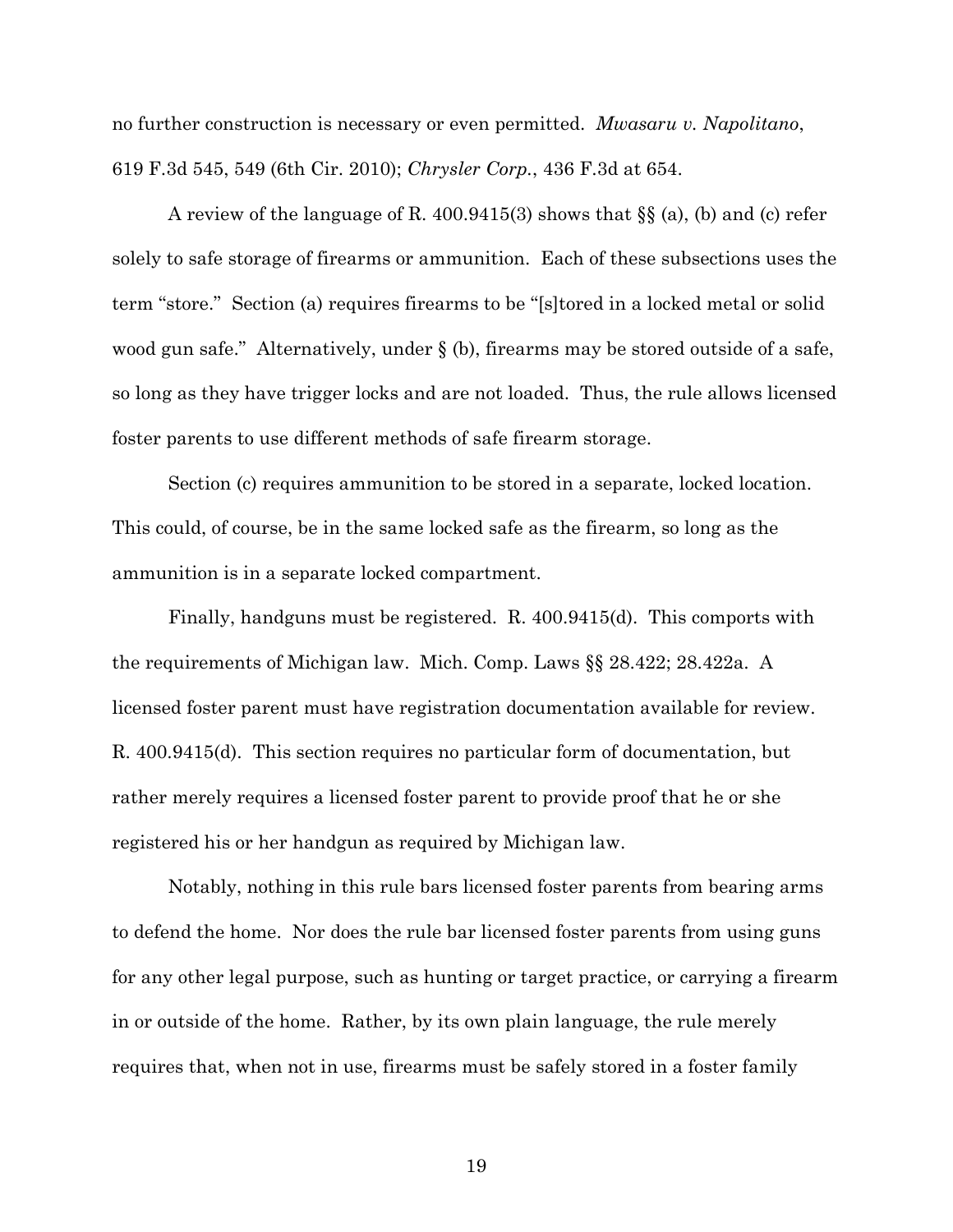no further construction is necessary or even permitted. *Mwasaru v. Napolitano*, 619 F.3d 545, 549 (6th Cir. 2010); *Chrysler Corp.*, 436 F.3d at 654.

A review of the language of R. 400.9415(3) shows that §§ (a), (b) and (c) refer solely to safe storage of firearms or ammunition. Each of these subsections uses the term "store." Section (a) requires firearms to be "[s]tored in a locked metal or solid wood gun safe." Alternatively, under  $\S$  (b), firearms may be stored outside of a safe, so long as they have trigger locks and are not loaded. Thus, the rule allows licensed foster parents to use different methods of safe firearm storage.

Section (c) requires ammunition to be stored in a separate, locked location. This could, of course, be in the same locked safe as the firearm, so long as the ammunition is in a separate locked compartment.

Finally, handguns must be registered. R. 400.9415(d). This comports with the requirements of Michigan law. Mich. Comp. Laws §§ 28.422; 28.422a. A licensed foster parent must have registration documentation available for review. R. 400.9415(d). This section requires no particular form of documentation, but rather merely requires a licensed foster parent to provide proof that he or she registered his or her handgun as required by Michigan law.

Notably, nothing in this rule bars licensed foster parents from bearing arms to defend the home. Nor does the rule bar licensed foster parents from using guns for any other legal purpose, such as hunting or target practice, or carrying a firearm in or outside of the home. Rather, by its own plain language, the rule merely requires that, when not in use, firearms must be safely stored in a foster family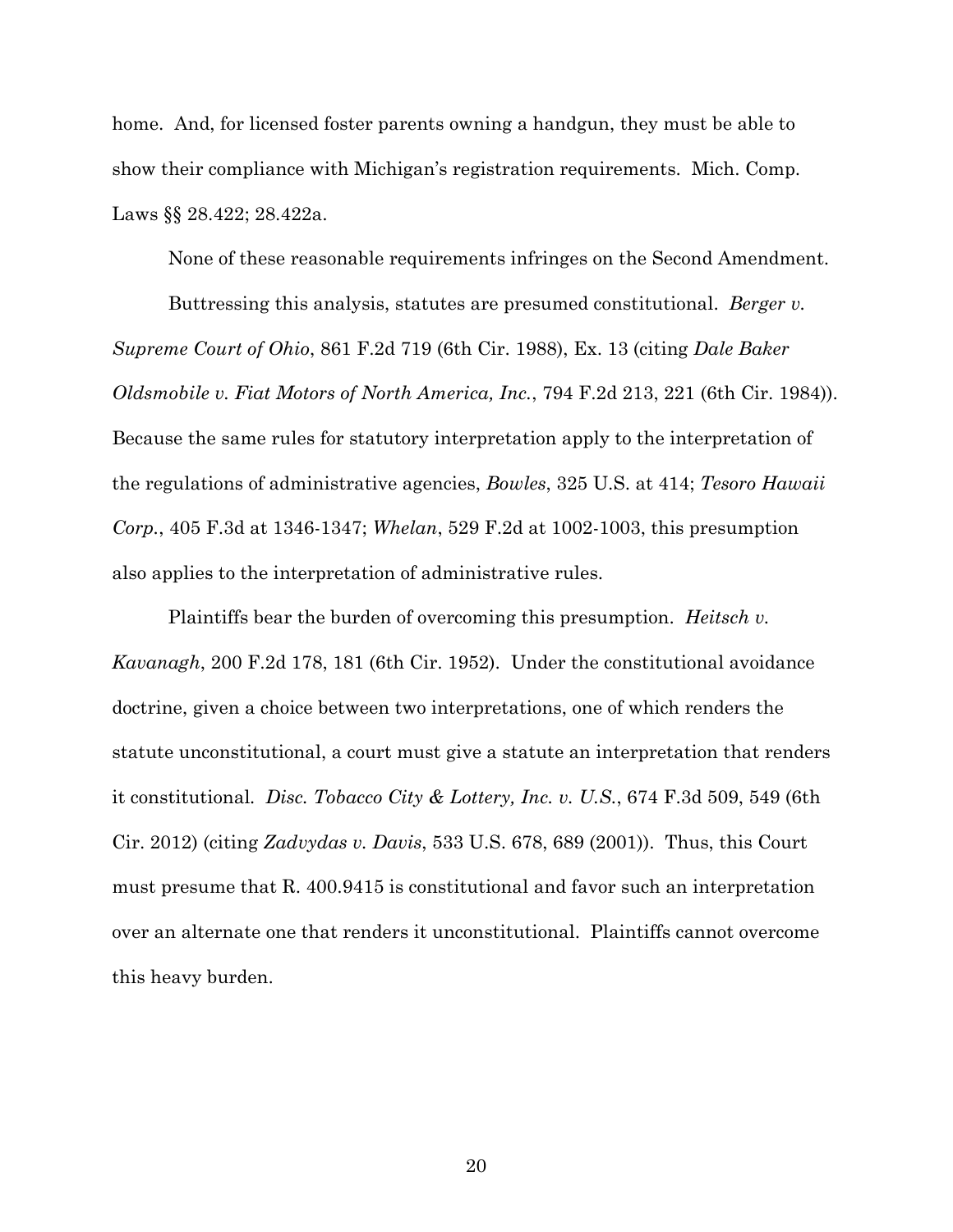home. And, for licensed foster parents owning a handgun, they must be able to show their compliance with Michigan's registration requirements. Mich. Comp. Laws §§ 28.422; 28.422a.

None of these reasonable requirements infringes on the Second Amendment.

Buttressing this analysis, statutes are presumed constitutional. *Berger v. Supreme Court of Ohio*, 861 F.2d 719 (6th Cir. 1988), Ex. 13 (citing *Dale Baker Oldsmobile v. Fiat Motors of North America, Inc.*, 794 F.2d 213, 221 (6th Cir. 1984)). Because the same rules for statutory interpretation apply to the interpretation of the regulations of administrative agencies, *Bowles*, 325 U.S. at 414; *Tesoro Hawaii Corp.*, 405 F.3d at 1346-1347; *Whelan*, 529 F.2d at 1002-1003, this presumption also applies to the interpretation of administrative rules.

Plaintiffs bear the burden of overcoming this presumption. *Heitsch v. Kavanagh*, 200 F.2d 178, 181 (6th Cir. 1952). Under the constitutional avoidance doctrine, given a choice between two interpretations, one of which renders the statute unconstitutional, a court must give a statute an interpretation that renders it constitutional*. Disc. Tobacco City & Lottery, Inc. v. U.S.*, 674 F.3d 509, 549 (6th Cir. 2012) (citing *Zadvydas v. Davis*, 533 U.S. 678, 689 (2001)). Thus, this Court must presume that R. 400.9415 is constitutional and favor such an interpretation over an alternate one that renders it unconstitutional. Plaintiffs cannot overcome this heavy burden.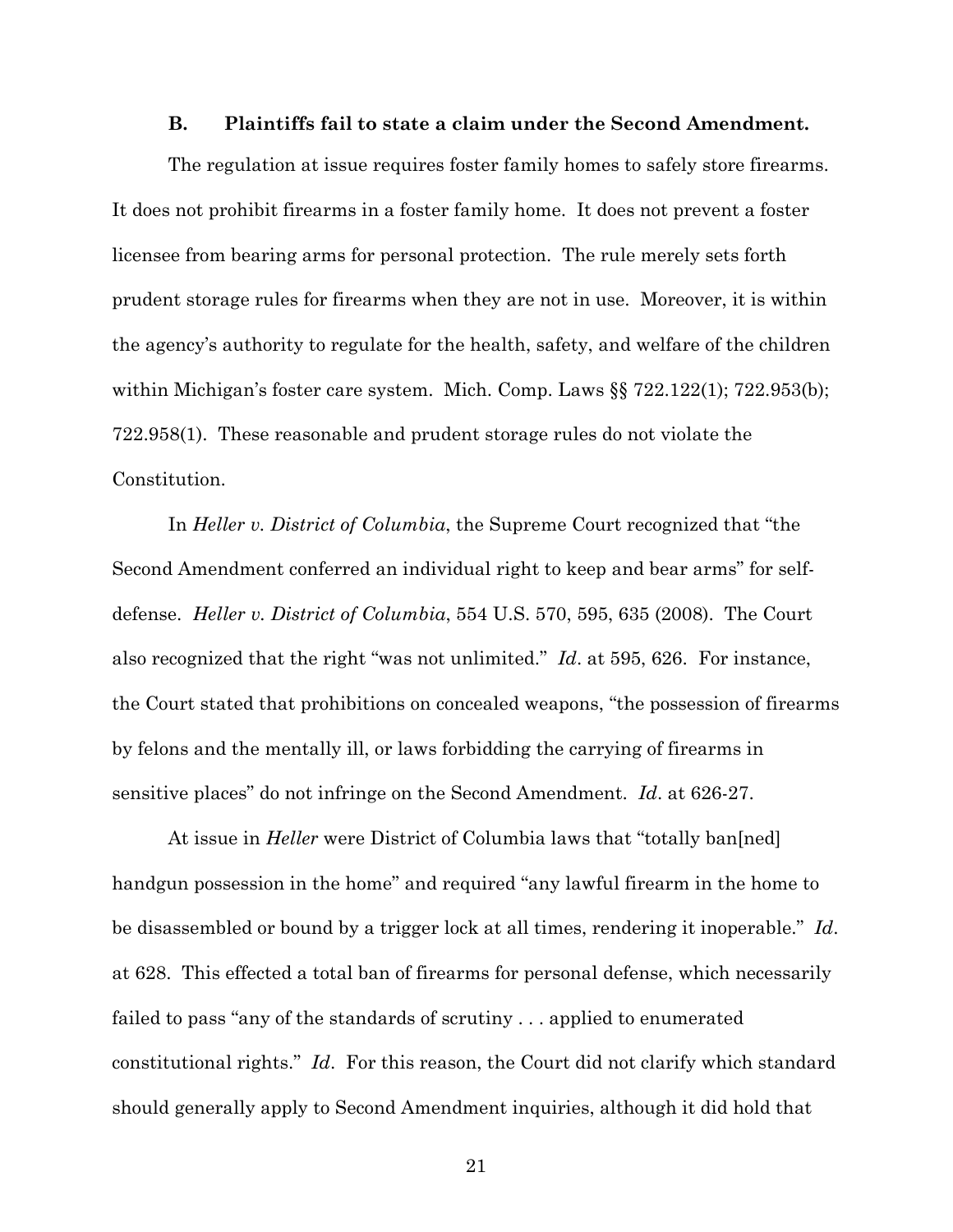#### **B. Plaintiffs fail to state a claim under the Second Amendment.**

The regulation at issue requires foster family homes to safely store firearms. It does not prohibit firearms in a foster family home. It does not prevent a foster licensee from bearing arms for personal protection. The rule merely sets forth prudent storage rules for firearms when they are not in use. Moreover, it is within the agency's authority to regulate for the health, safety, and welfare of the children within Michigan's foster care system. Mich. Comp. Laws §§ 722.122(1); 722.953(b); 722.958(1). These reasonable and prudent storage rules do not violate the Constitution.

In *Heller v. District of Columbia*, the Supreme Court recognized that "the Second Amendment conferred an individual right to keep and bear arms" for selfdefense. *Heller v. District of Columbia*, 554 U.S. 570, 595, 635 (2008). The Court also recognized that the right "was not unlimited." *Id*. at 595, 626. For instance, the Court stated that prohibitions on concealed weapons, "the possession of firearms by felons and the mentally ill, or laws forbidding the carrying of firearms in sensitive places" do not infringe on the Second Amendment. *Id*. at 626-27.

At issue in *Heller* were District of Columbia laws that "totally ban[ned] handgun possession in the home" and required "any lawful firearm in the home to be disassembled or bound by a trigger lock at all times, rendering it inoperable." *Id*. at 628. This effected a total ban of firearms for personal defense, which necessarily failed to pass "any of the standards of scrutiny . . . applied to enumerated constitutional rights." *Id*. For this reason, the Court did not clarify which standard should generally apply to Second Amendment inquiries, although it did hold that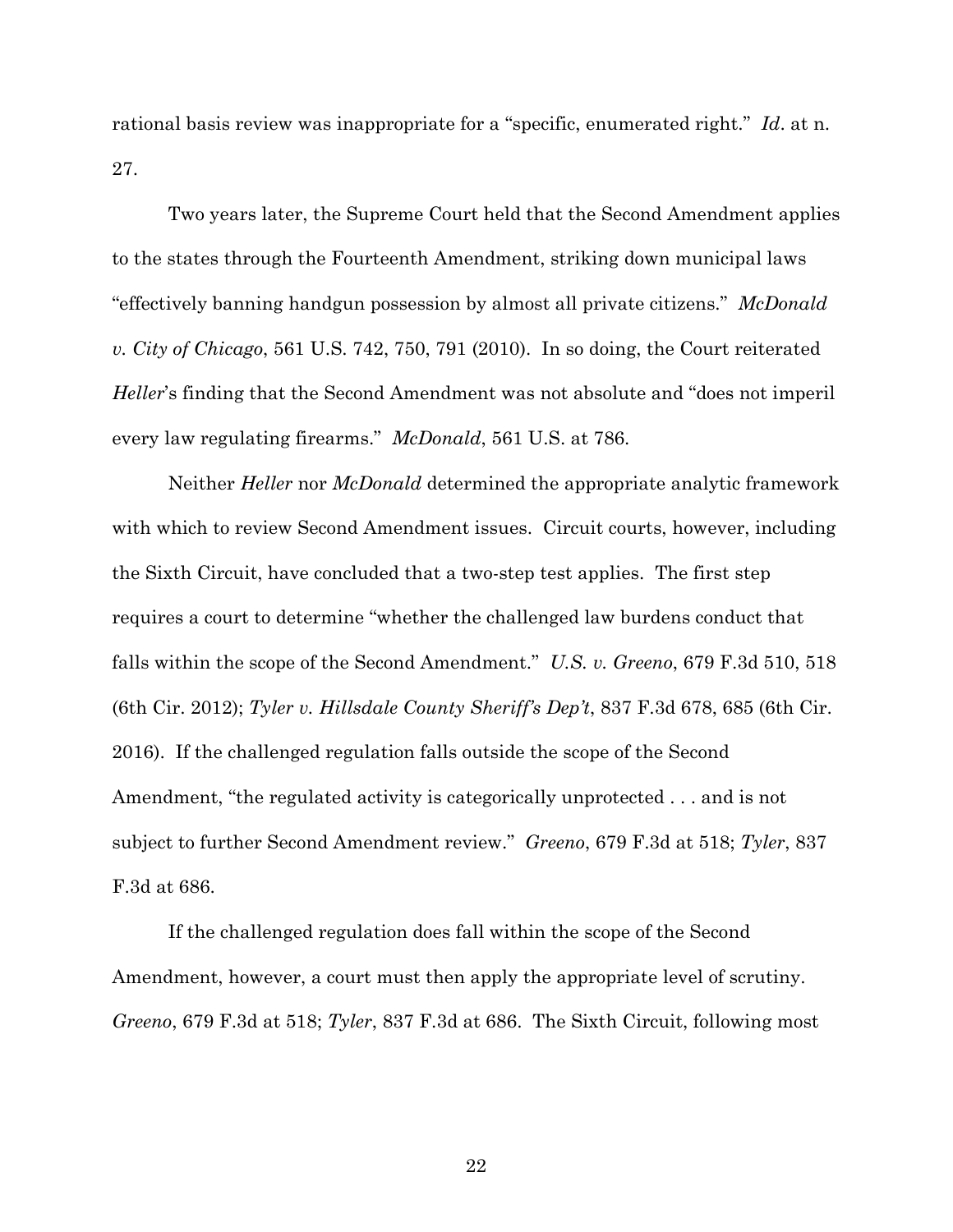rational basis review was inappropriate for a "specific, enumerated right." *Id*. at n. 27.

Two years later, the Supreme Court held that the Second Amendment applies to the states through the Fourteenth Amendment, striking down municipal laws "effectively banning handgun possession by almost all private citizens." *McDonald v. City of Chicago*, 561 U.S. 742, 750, 791 (2010). In so doing, the Court reiterated *Heller*'s finding that the Second Amendment was not absolute and "does not imperil every law regulating firearms." *McDonald*, 561 U.S. at 786.

Neither *Heller* nor *McDonald* determined the appropriate analytic framework with which to review Second Amendment issues. Circuit courts, however, including the Sixth Circuit, have concluded that a two-step test applies. The first step requires a court to determine "whether the challenged law burdens conduct that falls within the scope of the Second Amendment." *U.S. v. Greeno*, 679 F.3d 510, 518 (6th Cir. 2012); *Tyler v. Hillsdale County Sheriff's Dep't*, 837 F.3d 678, 685 (6th Cir. 2016). If the challenged regulation falls outside the scope of the Second Amendment, "the regulated activity is categorically unprotected . . . and is not subject to further Second Amendment review." *Greeno*, 679 F.3d at 518; *Tyler*, 837 F.3d at 686.

If the challenged regulation does fall within the scope of the Second Amendment, however, a court must then apply the appropriate level of scrutiny. *Greeno*, 679 F.3d at 518; *Tyler*, 837 F.3d at 686. The Sixth Circuit, following most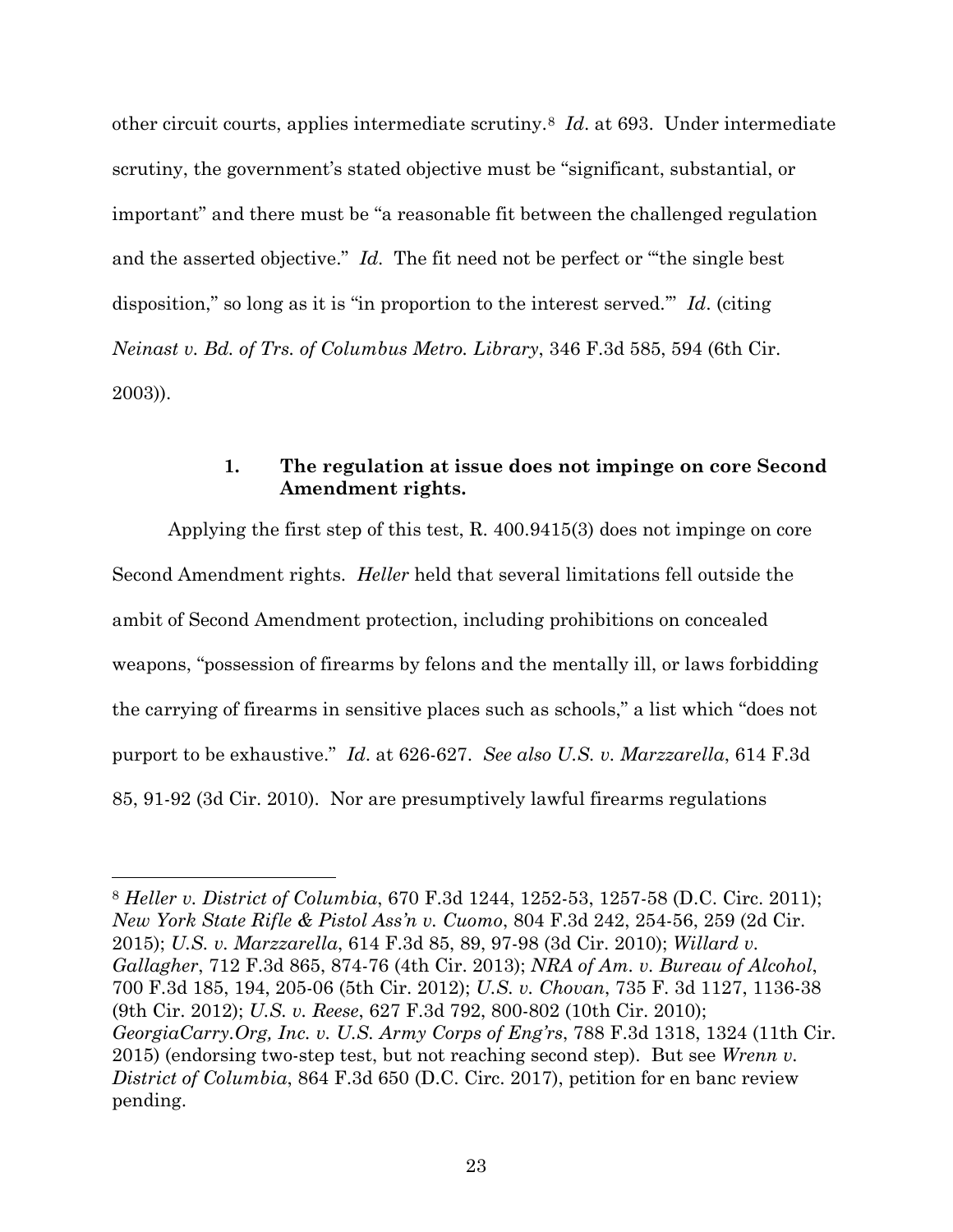other circuit courts, applies intermediate scrutiny.8 *Id*. at 693. Under intermediate scrutiny, the government's stated objective must be "significant, substantial, or important" and there must be "a reasonable fit between the challenged regulation and the asserted objective." *Id*. The fit need not be perfect or "'the single best disposition," so long as it is "in proportion to the interest served.'" *Id*. (citing *Neinast v. Bd. of Trs. of Columbus Metro. Library*, 346 F.3d 585, 594 (6th Cir. 2003)).

# **1. The regulation at issue does not impinge on core Second Amendment rights.**

Applying the first step of this test, R. 400.9415(3) does not impinge on core Second Amendment rights. *Heller* held that several limitations fell outside the ambit of Second Amendment protection, including prohibitions on concealed weapons, "possession of firearms by felons and the mentally ill, or laws forbidding the carrying of firearms in sensitive places such as schools," a list which "does not purport to be exhaustive." *Id*. at 626-627. *See also U.S. v. Marzzarella*, 614 F.3d 85, 91-92 (3d Cir. 2010). Nor are presumptively lawful firearms regulations

 $\overline{a}$ 

<sup>8</sup> *Heller v. District of Columbia*, 670 F.3d 1244, 1252-53, 1257-58 (D.C. Circ. 2011); *New York State Rifle & Pistol Ass'n v. Cuomo*, 804 F.3d 242, 254-56, 259 (2d Cir. 2015); *U.S. v. Marzzarella*, 614 F.3d 85, 89, 97-98 (3d Cir. 2010); *Willard v. Gallagher*, 712 F.3d 865, 874-76 (4th Cir. 2013); *NRA of Am. v. Bureau of Alcohol*, 700 F.3d 185, 194, 205-06 (5th Cir. 2012); *U.S. v. Chovan*, 735 F. 3d 1127, 1136-38 (9th Cir. 2012); *U.S. v. Reese*, 627 F.3d 792, 800-802 (10th Cir. 2010); *GeorgiaCarry.Org, Inc. v. U.S. Army Corps of Eng'rs*, 788 F.3d 1318, 1324 (11th Cir. 2015) (endorsing two-step test, but not reaching second step). But see *Wrenn v. District of Columbia*, 864 F.3d 650 (D.C. Circ. 2017), petition for en banc review pending.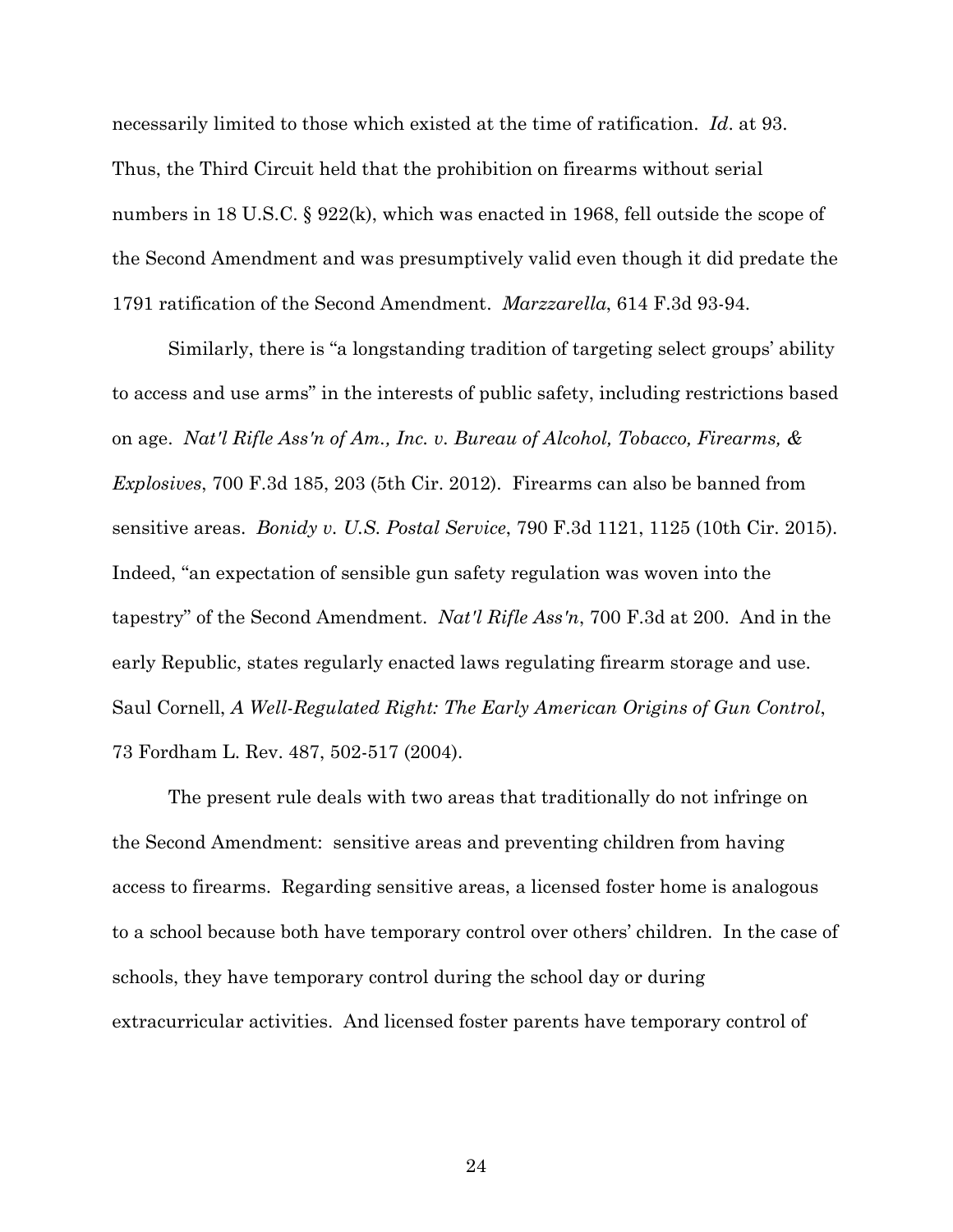necessarily limited to those which existed at the time of ratification. *Id*. at 93. Thus, the Third Circuit held that the prohibition on firearms without serial numbers in 18 U.S.C. § 922(k), which was enacted in 1968, fell outside the scope of the Second Amendment and was presumptively valid even though it did predate the 1791 ratification of the Second Amendment. *Marzzarella*, 614 F.3d 93-94.

Similarly, there is "a longstanding tradition of targeting select groups' ability to access and use arms" in the interests of public safety, including restrictions based on age. *Nat'l Rifle Ass'n of Am., Inc. v. Bureau of Alcohol, Tobacco, Firearms, & Explosives*, 700 F.3d 185, 203 (5th Cir. 2012). Firearms can also be banned from sensitive areas. *Bonidy v. U.S. Postal Service*, 790 F.3d 1121, 1125 (10th Cir. 2015). Indeed, "an expectation of sensible gun safety regulation was woven into the tapestry" of the Second Amendment. *Nat'l Rifle Ass'n*, 700 F.3d at 200. And in the early Republic, states regularly enacted laws regulating firearm storage and use. Saul Cornell, *A Well-Regulated Right: The Early American Origins of Gun Control*, 73 Fordham L. Rev. 487, 502-517 (2004).

The present rule deals with two areas that traditionally do not infringe on the Second Amendment: sensitive areas and preventing children from having access to firearms. Regarding sensitive areas, a licensed foster home is analogous to a school because both have temporary control over others' children. In the case of schools, they have temporary control during the school day or during extracurricular activities. And licensed foster parents have temporary control of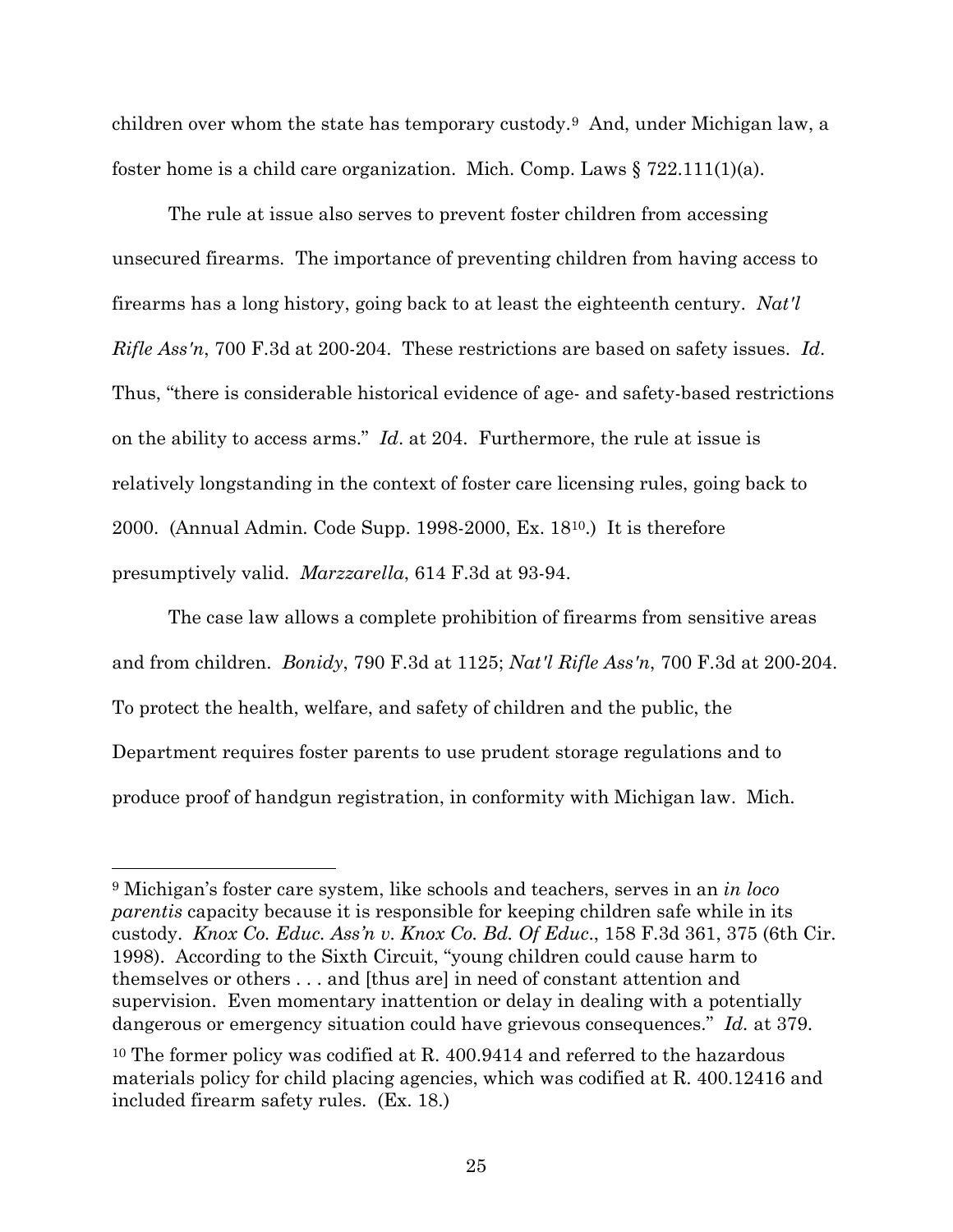children over whom the state has temporary custody.9 And, under Michigan law, a foster home is a child care organization. Mich. Comp. Laws  $\S 722.111(1)(a)$ .

The rule at issue also serves to prevent foster children from accessing unsecured firearms. The importance of preventing children from having access to firearms has a long history, going back to at least the eighteenth century. *Nat'l Rifle Ass'n*, 700 F.3d at 200-204. These restrictions are based on safety issues. *Id*. Thus, "there is considerable historical evidence of age- and safety-based restrictions on the ability to access arms." *Id*. at 204. Furthermore, the rule at issue is relatively longstanding in the context of foster care licensing rules, going back to 2000. (Annual Admin. Code Supp. 1998-2000, Ex. 1810.) It is therefore presumptively valid. *Marzzarella*, 614 F.3d at 93-94.

The case law allows a complete prohibition of firearms from sensitive areas and from children. *Bonidy*, 790 F.3d at 1125; *Nat'l Rifle Ass'n*, 700 F.3d at 200-204. To protect the health, welfare, and safety of children and the public, the Department requires foster parents to use prudent storage regulations and to produce proof of handgun registration, in conformity with Michigan law. Mich.

 $\overline{a}$ 

<sup>9</sup> Michigan's foster care system, like schools and teachers, serves in an *in loco parentis* capacity because it is responsible for keeping children safe while in its custody. *Knox Co. Educ. Ass'n v. Knox Co. Bd. Of Educ*., 158 F.3d 361, 375 (6th Cir. 1998). According to the Sixth Circuit, "young children could cause harm to themselves or others . . . and [thus are] in need of constant attention and supervision. Even momentary inattention or delay in dealing with a potentially dangerous or emergency situation could have grievous consequences." *Id.* at 379.

<sup>&</sup>lt;sup>10</sup> The former policy was codified at R. 400.9414 and referred to the hazardous materials policy for child placing agencies, which was codified at R. 400.12416 and included firearm safety rules. (Ex. 18.)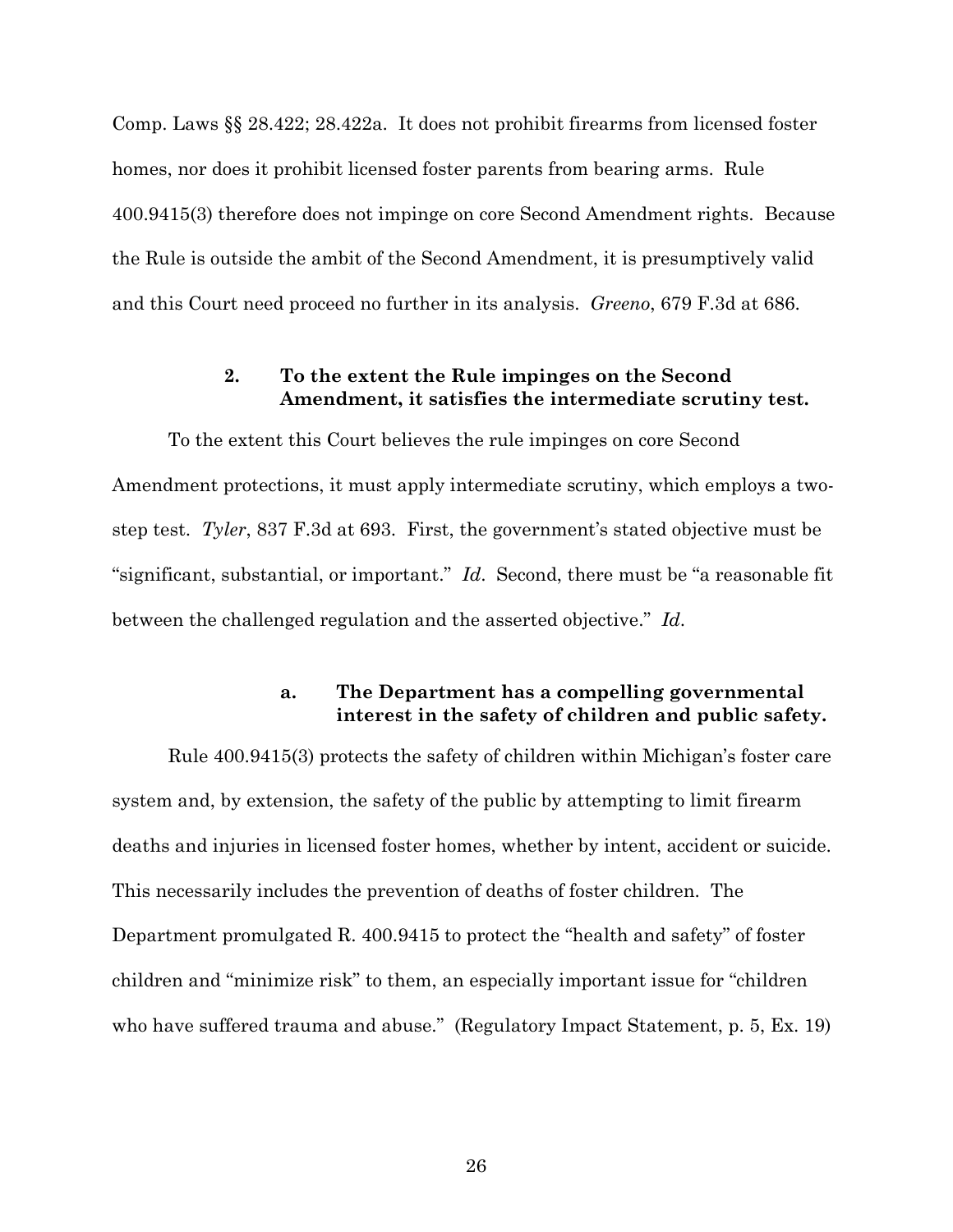Comp. Laws §§ 28.422; 28.422a. It does not prohibit firearms from licensed foster homes, nor does it prohibit licensed foster parents from bearing arms. Rule 400.9415(3) therefore does not impinge on core Second Amendment rights. Because the Rule is outside the ambit of the Second Amendment, it is presumptively valid and this Court need proceed no further in its analysis. *Greeno*, 679 F.3d at 686.

# **2. To the extent the Rule impinges on the Second Amendment, it satisfies the intermediate scrutiny test.**

To the extent this Court believes the rule impinges on core Second Amendment protections, it must apply intermediate scrutiny, which employs a twostep test. *Tyler*, 837 F.3d at 693. First, the government's stated objective must be "significant, substantial, or important." *Id*. Second, there must be "a reasonable fit between the challenged regulation and the asserted objective." *Id*.

# **a. The Department has a compelling governmental interest in the safety of children and public safety.**

Rule 400.9415(3) protects the safety of children within Michigan's foster care system and, by extension, the safety of the public by attempting to limit firearm deaths and injuries in licensed foster homes, whether by intent, accident or suicide. This necessarily includes the prevention of deaths of foster children. The Department promulgated R. 400.9415 to protect the "health and safety" of foster children and "minimize risk" to them, an especially important issue for "children who have suffered trauma and abuse." (Regulatory Impact Statement, p. 5, Ex. 19)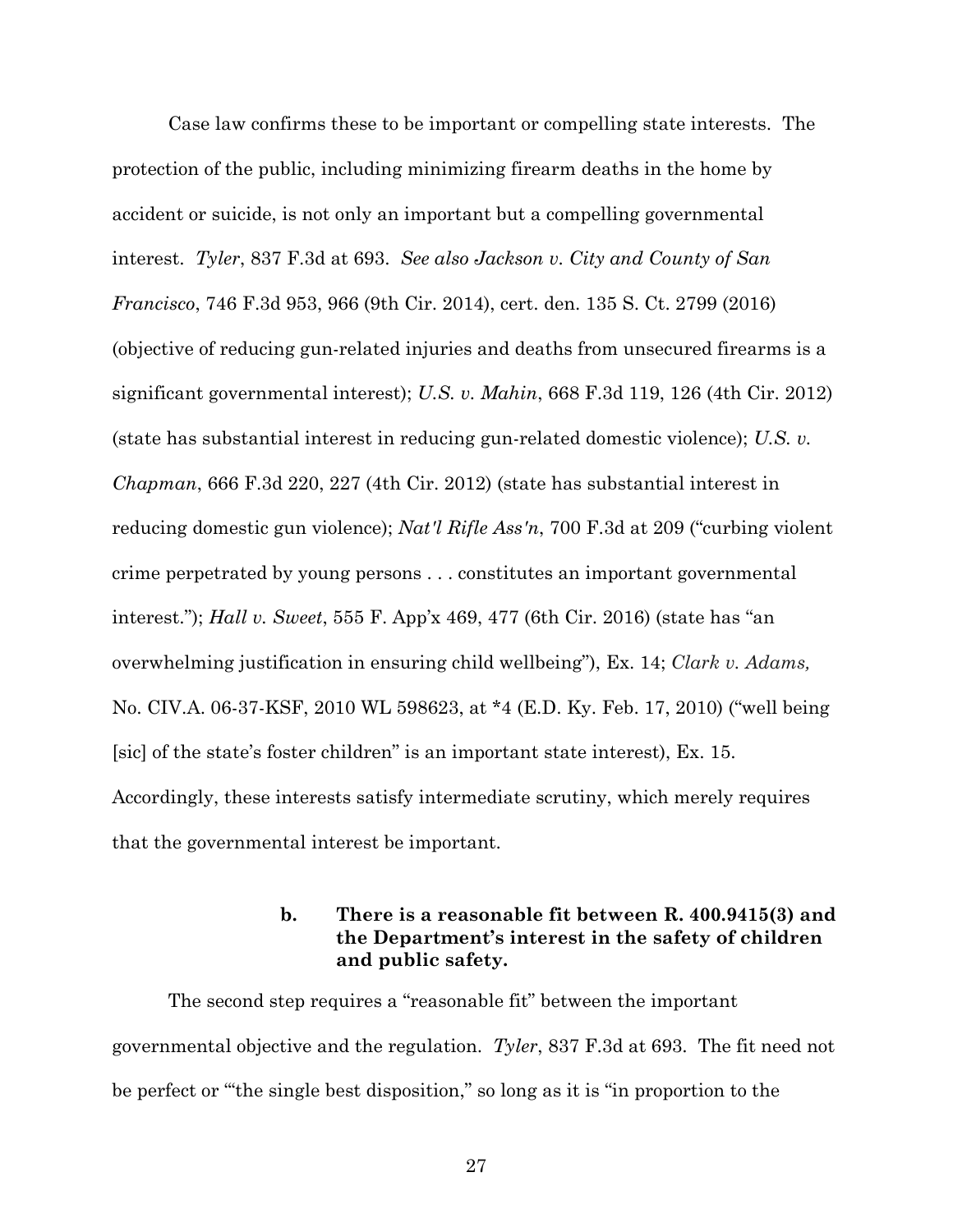Case law confirms these to be important or compelling state interests. The protection of the public, including minimizing firearm deaths in the home by accident or suicide, is not only an important but a compelling governmental interest. *Tyler*, 837 F.3d at 693. *See also Jackson v. City and County of San Francisco*, 746 F.3d 953, 966 (9th Cir. 2014), cert. den. 135 S. Ct. 2799 (2016) (objective of reducing gun-related injuries and deaths from unsecured firearms is a significant governmental interest); *U.S. v. Mahin*, 668 F.3d 119, 126 (4th Cir. 2012) (state has substantial interest in reducing gun-related domestic violence); *U.S. v. Chapman*, 666 F.3d 220, 227 (4th Cir. 2012) (state has substantial interest in reducing domestic gun violence); *Nat'l Rifle Ass'n*, 700 F.3d at 209 ("curbing violent crime perpetrated by young persons . . . constitutes an important governmental interest."); *Hall v. Sweet*, 555 F. App'x 469, 477 (6th Cir. 2016) (state has "an overwhelming justification in ensuring child wellbeing"), Ex. 14; *Clark v. Adams,* No. CIV.A. 06-37-KSF, 2010 WL 598623, at \*4 (E.D. Ky. Feb. 17, 2010) ("well being [sic] of the state's foster children" is an important state interest), Ex. 15. Accordingly, these interests satisfy intermediate scrutiny, which merely requires that the governmental interest be important.

# **b. There is a reasonable fit between R. 400.9415(3) and the Department's interest in the safety of children and public safety.**

The second step requires a "reasonable fit" between the important governmental objective and the regulation. *Tyler*, 837 F.3d at 693. The fit need not be perfect or "'the single best disposition," so long as it is "in proportion to the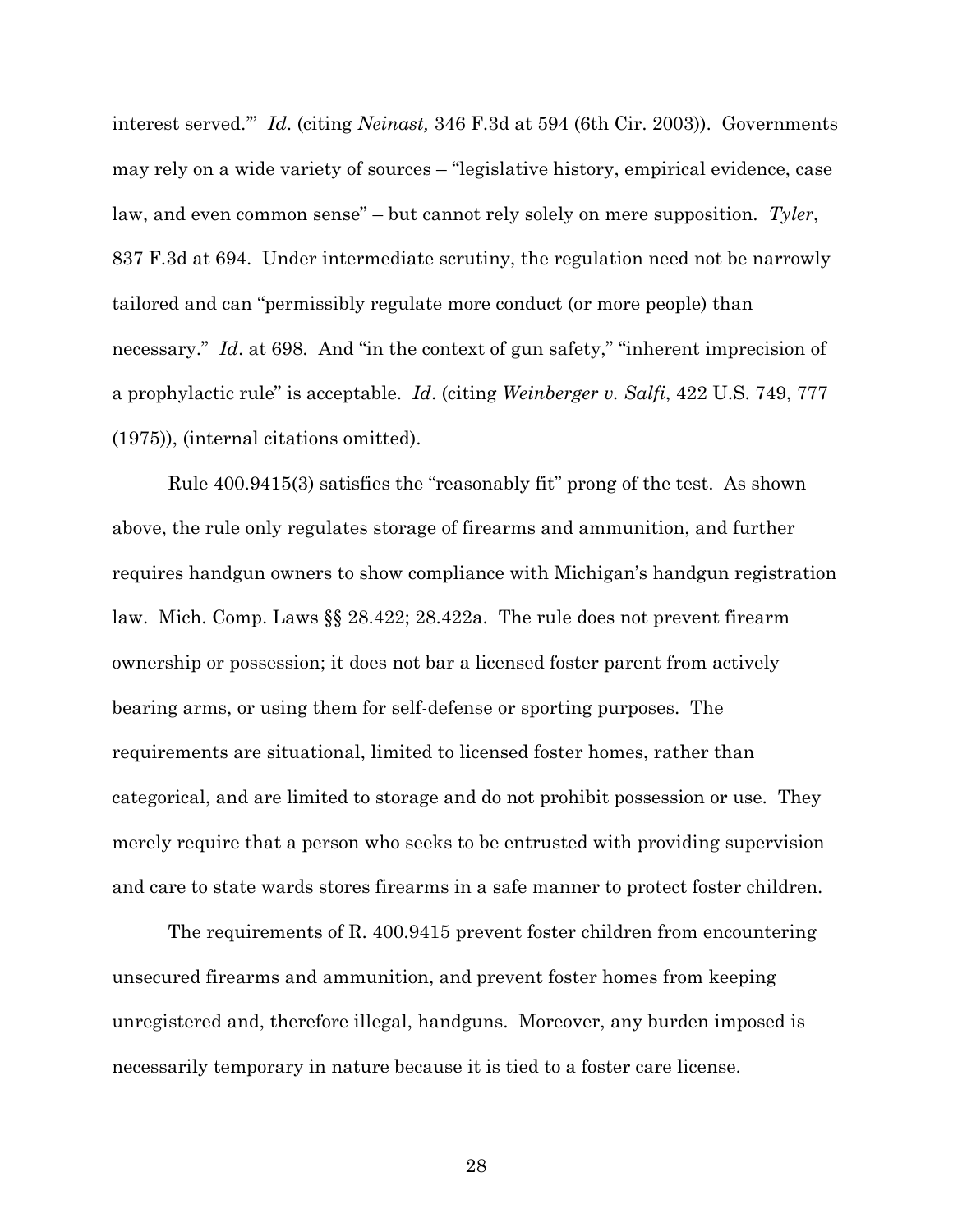interest served.'" *Id*. (citing *Neinast,* 346 F.3d at 594 (6th Cir. 2003)). Governments may rely on a wide variety of sources – "legislative history, empirical evidence, case law, and even common sense" – but cannot rely solely on mere supposition. *Tyler*, 837 F.3d at 694. Under intermediate scrutiny, the regulation need not be narrowly tailored and can "permissibly regulate more conduct (or more people) than necessary." *Id*. at 698. And "in the context of gun safety," "inherent imprecision of a prophylactic rule" is acceptable. *Id*. (citing *Weinberger v. Salfi*, 422 U.S. 749, 777 (1975)), (internal citations omitted).

Rule 400.9415(3) satisfies the "reasonably fit" prong of the test. As shown above, the rule only regulates storage of firearms and ammunition, and further requires handgun owners to show compliance with Michigan's handgun registration law. Mich. Comp. Laws §§ 28.422; 28.422a. The rule does not prevent firearm ownership or possession; it does not bar a licensed foster parent from actively bearing arms, or using them for self-defense or sporting purposes. The requirements are situational, limited to licensed foster homes, rather than categorical, and are limited to storage and do not prohibit possession or use. They merely require that a person who seeks to be entrusted with providing supervision and care to state wards stores firearms in a safe manner to protect foster children.

The requirements of R. 400.9415 prevent foster children from encountering unsecured firearms and ammunition, and prevent foster homes from keeping unregistered and, therefore illegal, handguns. Moreover, any burden imposed is necessarily temporary in nature because it is tied to a foster care license.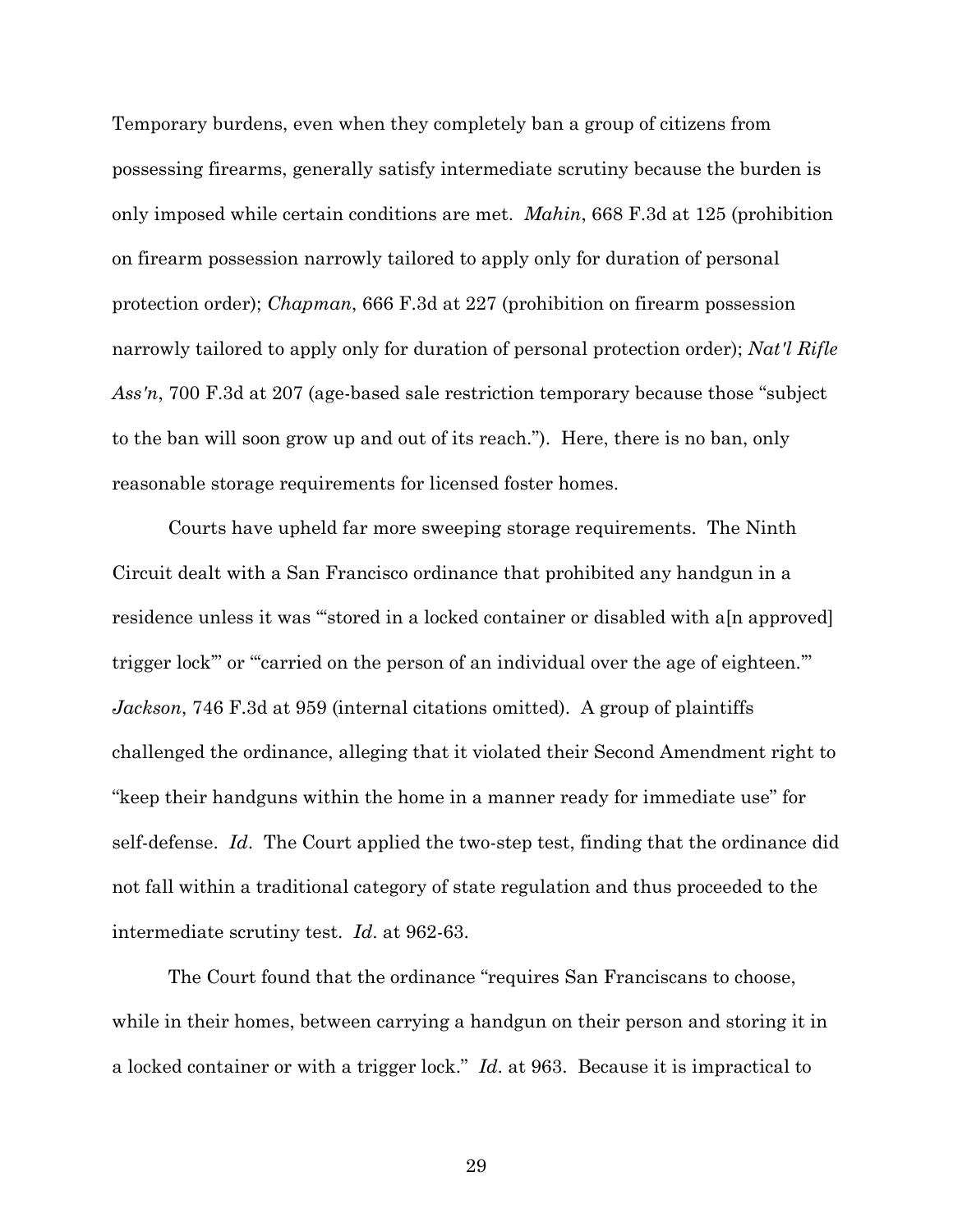Temporary burdens, even when they completely ban a group of citizens from possessing firearms, generally satisfy intermediate scrutiny because the burden is only imposed while certain conditions are met. *Mahin*, 668 F.3d at 125 (prohibition on firearm possession narrowly tailored to apply only for duration of personal protection order); *Chapman*, 666 F.3d at 227 (prohibition on firearm possession narrowly tailored to apply only for duration of personal protection order); *Nat'l Rifle Ass'n*, 700 F.3d at 207 (age-based sale restriction temporary because those "subject to the ban will soon grow up and out of its reach."). Here, there is no ban, only reasonable storage requirements for licensed foster homes.

Courts have upheld far more sweeping storage requirements. The Ninth Circuit dealt with a San Francisco ordinance that prohibited any handgun in a residence unless it was "stored in a locked container or disabled with a<sup>[n approved]</sup> trigger lock" or "carried on the person of an individual over the age of eighteen." *Jackson*, 746 F.3d at 959 (internal citations omitted). A group of plaintiffs challenged the ordinance, alleging that it violated their Second Amendment right to "keep their handguns within the home in a manner ready for immediate use" for self-defense. *Id*. The Court applied the two-step test, finding that the ordinance did not fall within a traditional category of state regulation and thus proceeded to the intermediate scrutiny test. *Id*. at 962-63.

The Court found that the ordinance "requires San Franciscans to choose, while in their homes, between carrying a handgun on their person and storing it in a locked container or with a trigger lock." *Id*. at 963. Because it is impractical to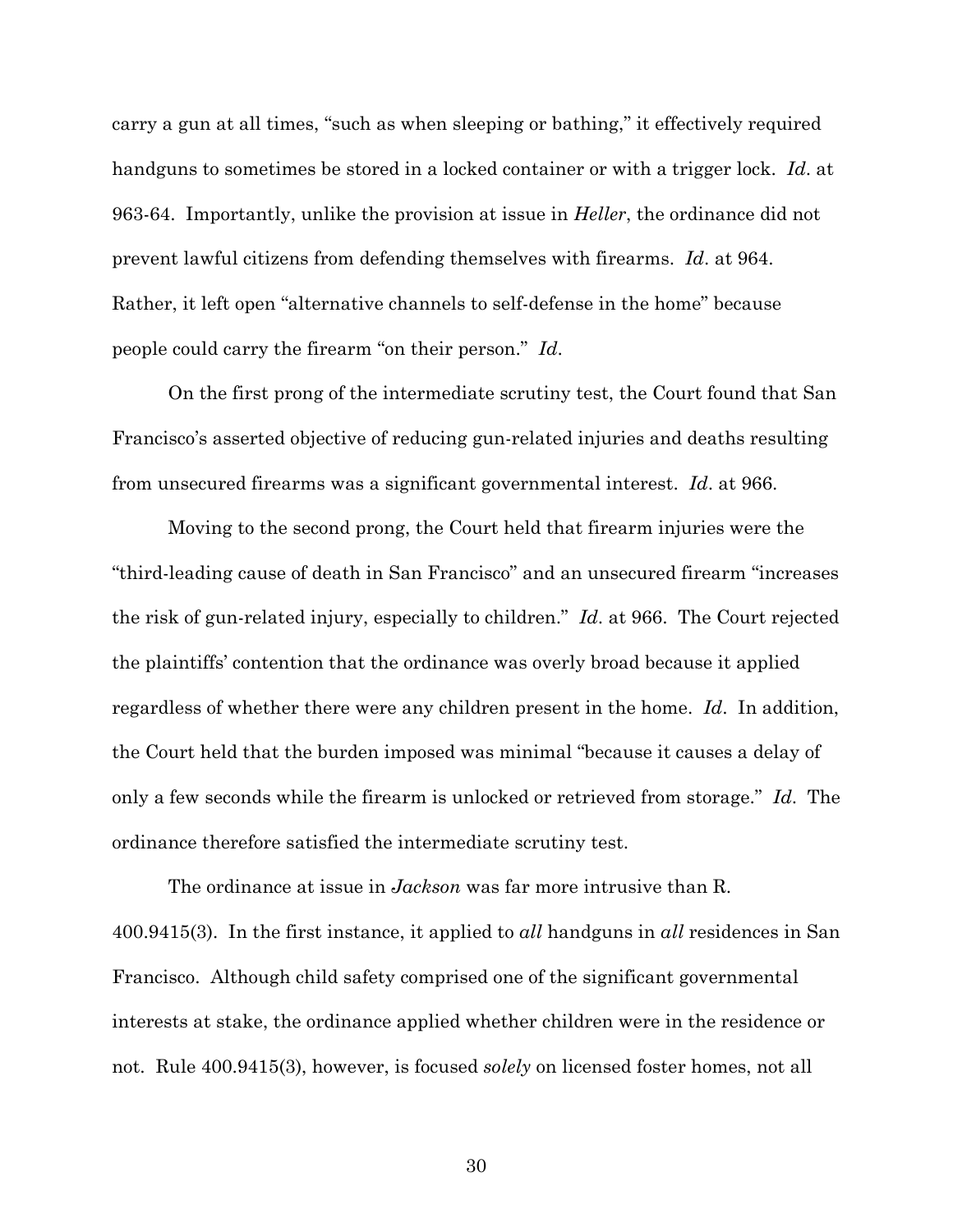carry a gun at all times, "such as when sleeping or bathing," it effectively required handguns to sometimes be stored in a locked container or with a trigger lock. *Id*. at 963-64. Importantly, unlike the provision at issue in *Heller*, the ordinance did not prevent lawful citizens from defending themselves with firearms. *Id*. at 964. Rather, it left open "alternative channels to self-defense in the home" because people could carry the firearm "on their person." *Id*.

On the first prong of the intermediate scrutiny test, the Court found that San Francisco's asserted objective of reducing gun-related injuries and deaths resulting from unsecured firearms was a significant governmental interest. *Id*. at 966.

Moving to the second prong, the Court held that firearm injuries were the "third-leading cause of death in San Francisco" and an unsecured firearm "increases the risk of gun-related injury, especially to children." *Id*. at 966. The Court rejected the plaintiffs' contention that the ordinance was overly broad because it applied regardless of whether there were any children present in the home. *Id*. In addition, the Court held that the burden imposed was minimal "because it causes a delay of only a few seconds while the firearm is unlocked or retrieved from storage." *Id*. The ordinance therefore satisfied the intermediate scrutiny test.

The ordinance at issue in *Jackson* was far more intrusive than R. 400.9415(3). In the first instance, it applied to *all* handguns in *all* residences in San Francisco. Although child safety comprised one of the significant governmental interests at stake, the ordinance applied whether children were in the residence or not. Rule 400.9415(3), however, is focused *solely* on licensed foster homes, not all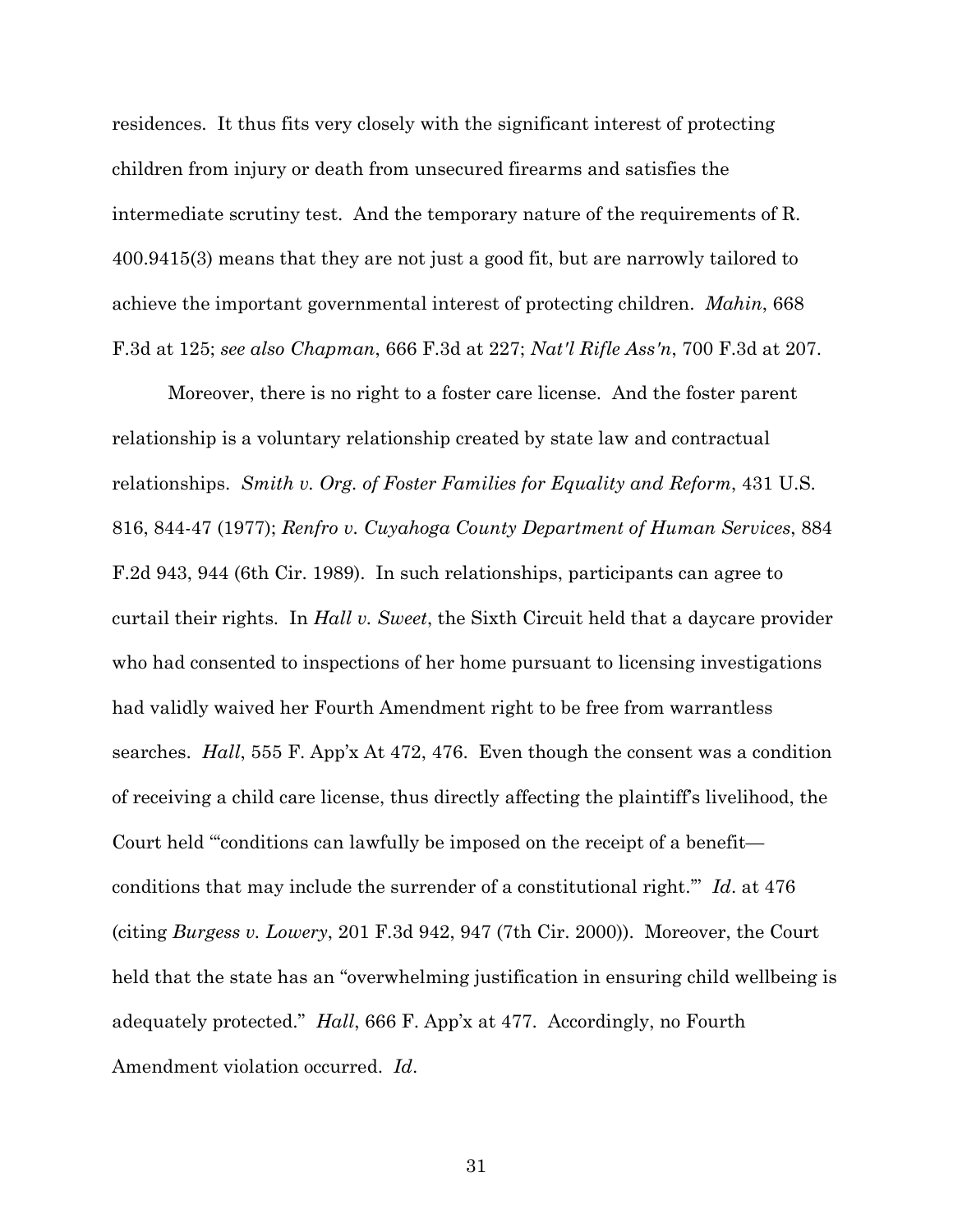residences. It thus fits very closely with the significant interest of protecting children from injury or death from unsecured firearms and satisfies the intermediate scrutiny test. And the temporary nature of the requirements of R. 400.9415(3) means that they are not just a good fit, but are narrowly tailored to achieve the important governmental interest of protecting children. *Mahin*, 668 F.3d at 125; *see also Chapman*, 666 F.3d at 227; *Nat'l Rifle Ass'n*, 700 F.3d at 207.

Moreover, there is no right to a foster care license. And the foster parent relationship is a voluntary relationship created by state law and contractual relationships. *Smith v. Org. of Foster Families for Equality and Reform*, 431 U.S. 816, 844-47 (1977); *Renfro v. Cuyahoga County Department of Human Services*, 884 F.2d 943, 944 (6th Cir. 1989). In such relationships, participants can agree to curtail their rights. In *Hall v. Sweet*, the Sixth Circuit held that a daycare provider who had consented to inspections of her home pursuant to licensing investigations had validly waived her Fourth Amendment right to be free from warrantless searches. *Hall*, 555 F. App'x At 472, 476. Even though the consent was a condition of receiving a child care license, thus directly affecting the plaintiff's livelihood, the Court held "'conditions can lawfully be imposed on the receipt of a benefit conditions that may include the surrender of a constitutional right.'" *Id*. at 476 (citing *Burgess v. Lowery*, 201 F.3d 942, 947 (7th Cir. 2000)). Moreover, the Court held that the state has an "overwhelming justification in ensuring child wellbeing is adequately protected." *Hall*, 666 F. App'x at 477. Accordingly, no Fourth Amendment violation occurred. *Id*.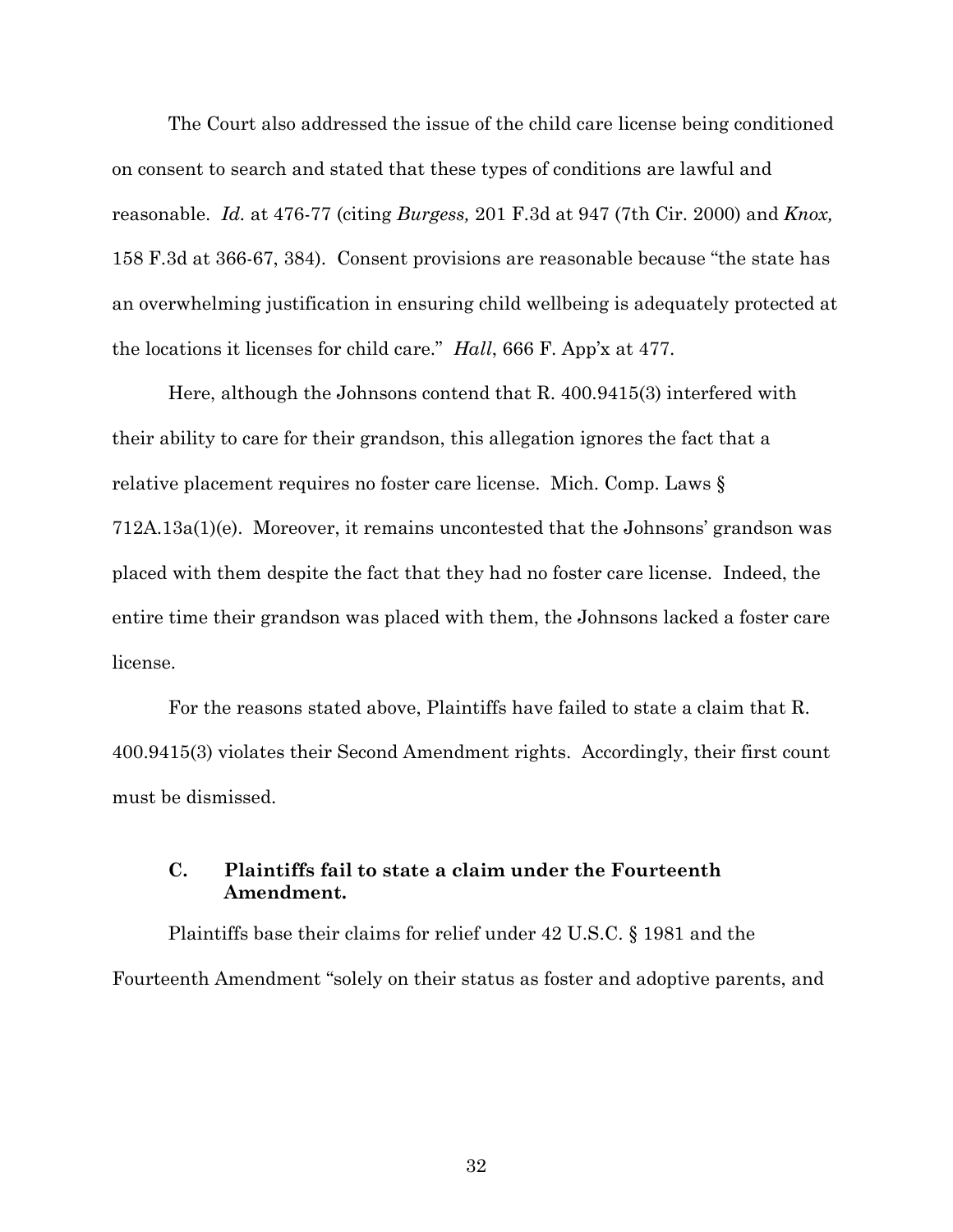The Court also addressed the issue of the child care license being conditioned on consent to search and stated that these types of conditions are lawful and reasonable. *Id.* at 476-77 (citing *Burgess,* 201 F.3d at 947 (7th Cir. 2000) and *Knox,* 158 F.3d at 366-67, 384). Consent provisions are reasonable because "the state has an overwhelming justification in ensuring child wellbeing is adequately protected at the locations it licenses for child care." *Hall*, 666 F. App'x at 477.

Here, although the Johnsons contend that R. 400.9415(3) interfered with their ability to care for their grandson, this allegation ignores the fact that a relative placement requires no foster care license. Mich. Comp. Laws § 712A.13a(1)(e). Moreover, it remains uncontested that the Johnsons' grandson was placed with them despite the fact that they had no foster care license. Indeed, the entire time their grandson was placed with them, the Johnsons lacked a foster care license.

For the reasons stated above, Plaintiffs have failed to state a claim that R. 400.9415(3) violates their Second Amendment rights. Accordingly, their first count must be dismissed.

# **C. Plaintiffs fail to state a claim under the Fourteenth Amendment.**

Plaintiffs base their claims for relief under 42 U.S.C. § 1981 and the Fourteenth Amendment "solely on their status as foster and adoptive parents, and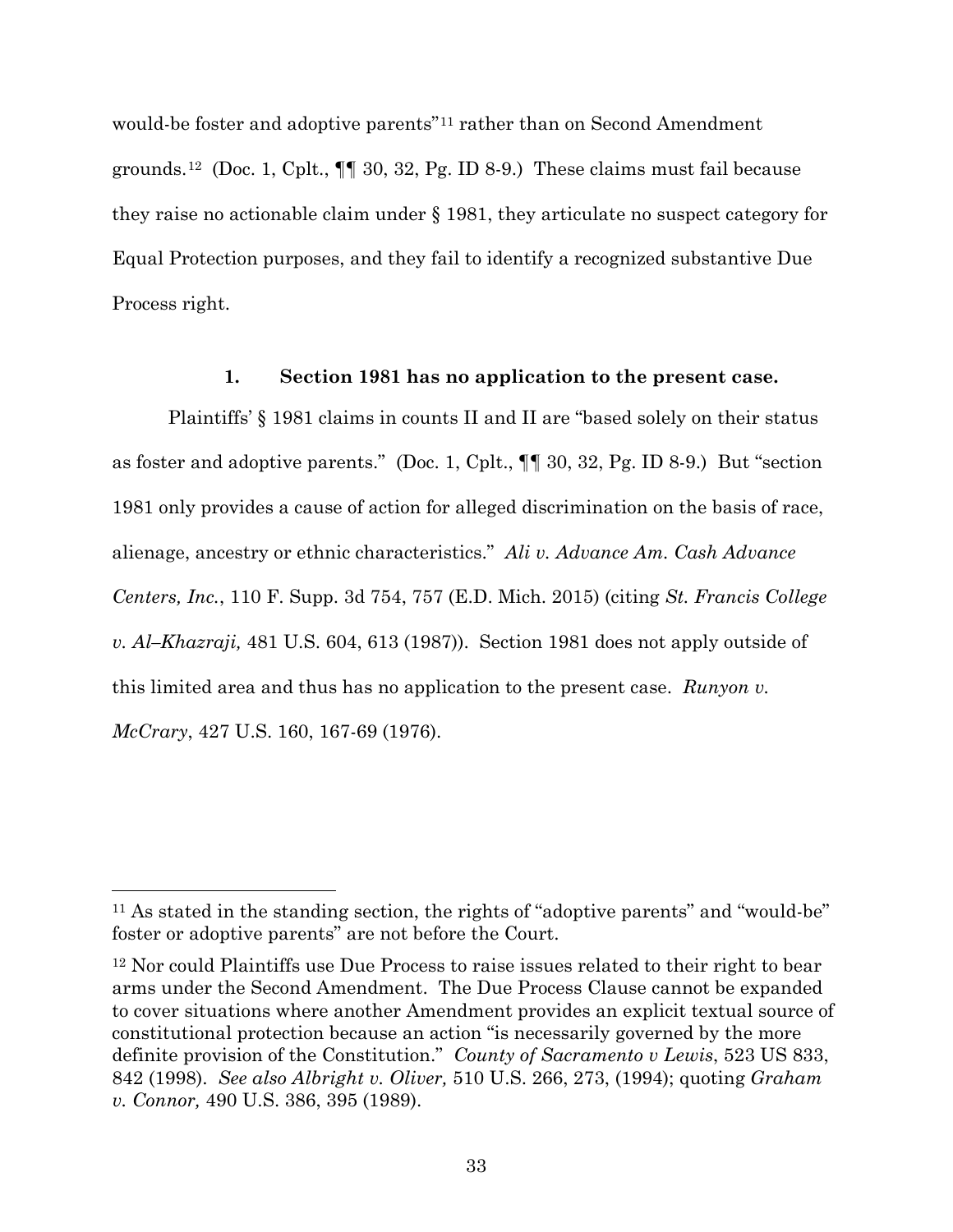would-be foster and adoptive parents"11 rather than on Second Amendment grounds.<sup>12</sup> (Doc. 1, Cplt.,  $\P\P$  30, 32, Pg. ID 8-9.) These claims must fail because they raise no actionable claim under § 1981, they articulate no suspect category for Equal Protection purposes, and they fail to identify a recognized substantive Due Process right.

## **1. Section 1981 has no application to the present case.**

Plaintiffs' § 1981 claims in counts II and II are "based solely on their status as foster and adoptive parents." (Doc. 1, Cplt., ¶¶ 30, 32, Pg. ID 8-9.) But "section 1981 only provides a cause of action for alleged discrimination on the basis of race, alienage, ancestry or ethnic characteristics." *Ali v. Advance Am. Cash Advance Centers, Inc.*, 110 F. Supp. 3d 754, 757 (E.D. Mich. 2015) (citing *St. Francis College v. Al–Khazraji,* 481 U.S. 604, 613 (1987)). Section 1981 does not apply outside of this limited area and thus has no application to the present case. *Runyon v. McCrary*, 427 U.S. 160, 167-69 (1976).

 $\overline{a}$ 

<sup>11</sup> As stated in the standing section, the rights of "adoptive parents" and "would-be" foster or adoptive parents" are not before the Court.

<sup>12</sup> Nor could Plaintiffs use Due Process to raise issues related to their right to bear arms under the Second Amendment. The Due Process Clause cannot be expanded to cover situations where another Amendment provides an explicit textual source of constitutional protection because an action "is necessarily governed by the more definite provision of the Constitution." *County of Sacramento v Lewis*, 523 US 833, 842 (1998). *See also Albright v. Oliver,* 510 U.S. 266, 273, (1994); quoting *Graham v. Connor,* 490 U.S. 386, 395 (1989).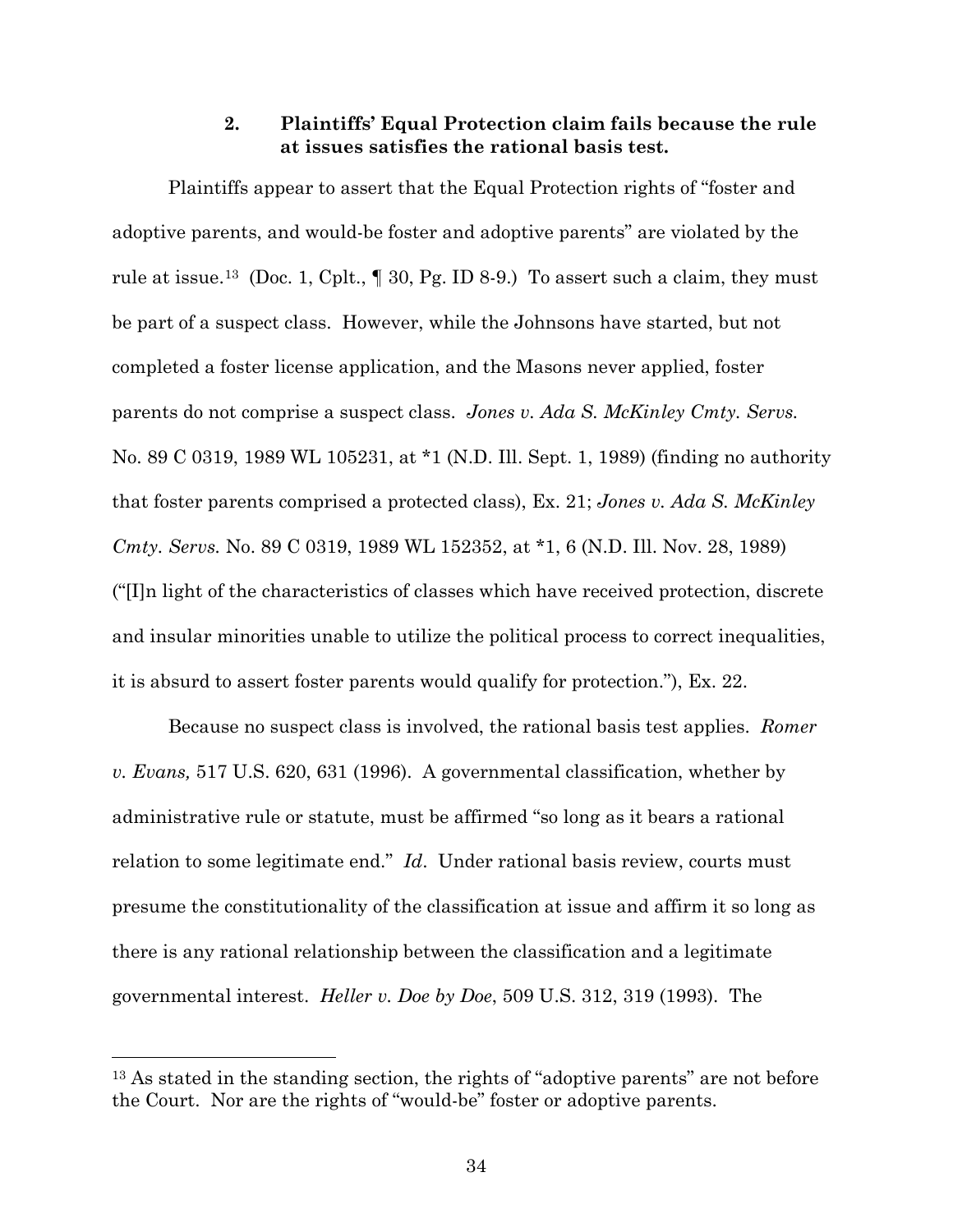## **2. Plaintiffs' Equal Protection claim fails because the rule at issues satisfies the rational basis test.**

Plaintiffs appear to assert that the Equal Protection rights of "foster and adoptive parents, and would-be foster and adoptive parents" are violated by the rule at issue.<sup>13</sup> (Doc. 1, Cplt.,  $\parallel$  30, Pg. ID 8-9.) To assert such a claim, they must be part of a suspect class. However, while the Johnsons have started, but not completed a foster license application, and the Masons never applied, foster parents do not comprise a suspect class. *Jones v. Ada S. McKinley Cmty. Servs.* No. 89 C 0319, 1989 WL 105231, at \*1 (N.D. Ill. Sept. 1, 1989) (finding no authority that foster parents comprised a protected class), Ex. 21; *Jones v. Ada S. McKinley Cmty. Servs.* No. 89 C 0319, 1989 WL 152352, at \*1, 6 (N.D. Ill. Nov. 28, 1989) ("[I]n light of the characteristics of classes which have received protection, discrete and insular minorities unable to utilize the political process to correct inequalities, it is absurd to assert foster parents would qualify for protection."), Ex. 22.

Because no suspect class is involved, the rational basis test applies. *Romer v. Evans,* 517 U.S. 620, 631 (1996). A governmental classification, whether by administrative rule or statute, must be affirmed "so long as it bears a rational relation to some legitimate end." *Id*. Under rational basis review, courts must presume the constitutionality of the classification at issue and affirm it so long as there is any rational relationship between the classification and a legitimate governmental interest. *Heller v. Doe by Doe*, 509 U.S. 312, 319 (1993). The

 $\overline{a}$ 

<sup>&</sup>lt;sup>13</sup> As stated in the standing section, the rights of "adoptive parents" are not before the Court. Nor are the rights of "would-be" foster or adoptive parents.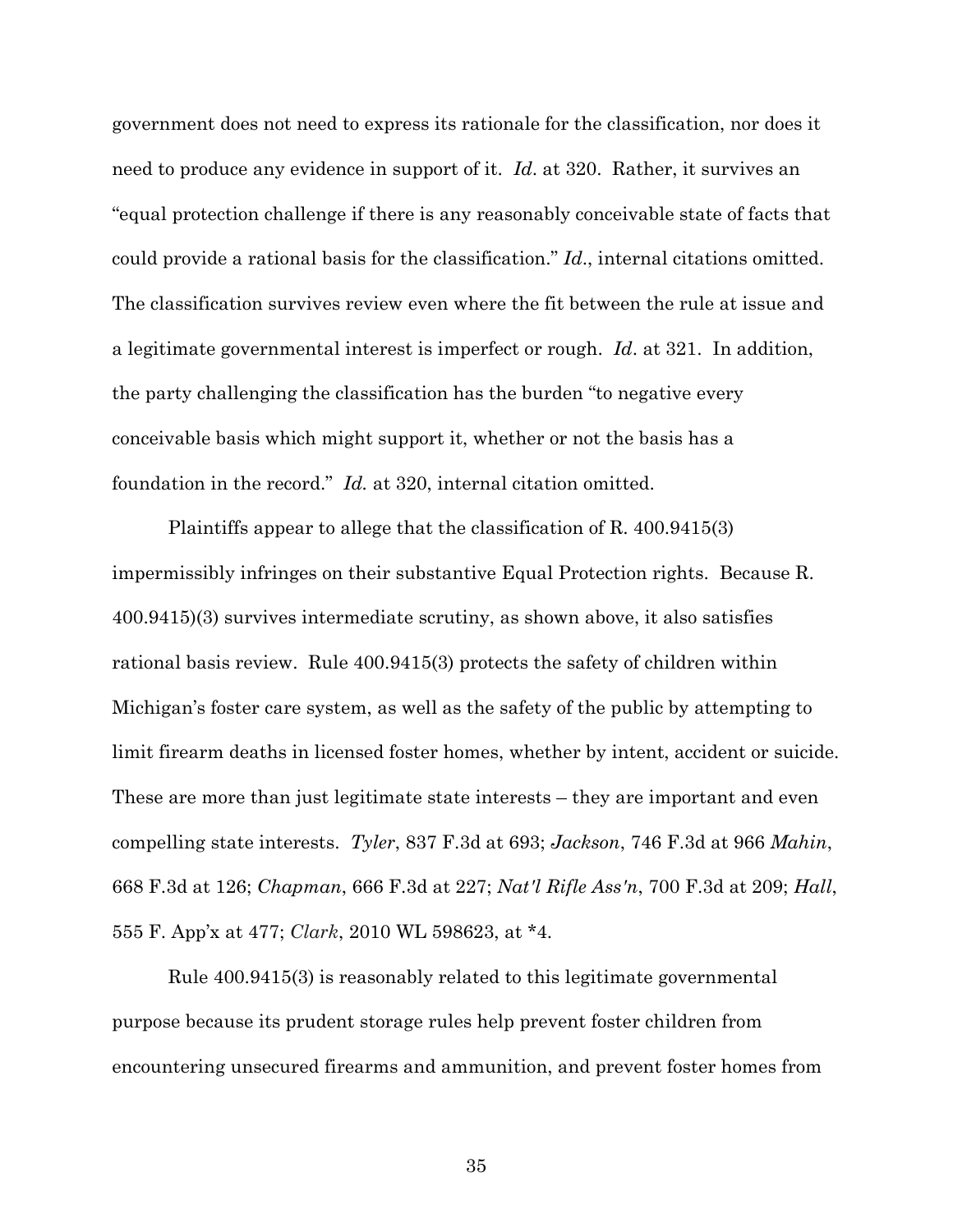government does not need to express its rationale for the classification, nor does it need to produce any evidence in support of it. *Id*. at 320. Rather, it survives an "equal protection challenge if there is any reasonably conceivable state of facts that could provide a rational basis for the classification." *Id*., internal citations omitted. The classification survives review even where the fit between the rule at issue and a legitimate governmental interest is imperfect or rough. *Id*. at 321. In addition, the party challenging the classification has the burden "to negative every conceivable basis which might support it, whether or not the basis has a foundation in the record." *Id.* at 320, internal citation omitted.

Plaintiffs appear to allege that the classification of R. 400.9415(3) impermissibly infringes on their substantive Equal Protection rights. Because R. 400.9415)(3) survives intermediate scrutiny, as shown above, it also satisfies rational basis review. Rule 400.9415(3) protects the safety of children within Michigan's foster care system, as well as the safety of the public by attempting to limit firearm deaths in licensed foster homes, whether by intent, accident or suicide. These are more than just legitimate state interests – they are important and even compelling state interests. *Tyler*, 837 F.3d at 693; *Jackson*, 746 F.3d at 966 *Mahin*, 668 F.3d at 126; *Chapman*, 666 F.3d at 227; *Nat'l Rifle Ass'n*, 700 F.3d at 209; *Hall*, 555 F. App'x at 477; *Clark*, 2010 WL 598623, at \*4.

Rule 400.9415(3) is reasonably related to this legitimate governmental purpose because its prudent storage rules help prevent foster children from encountering unsecured firearms and ammunition, and prevent foster homes from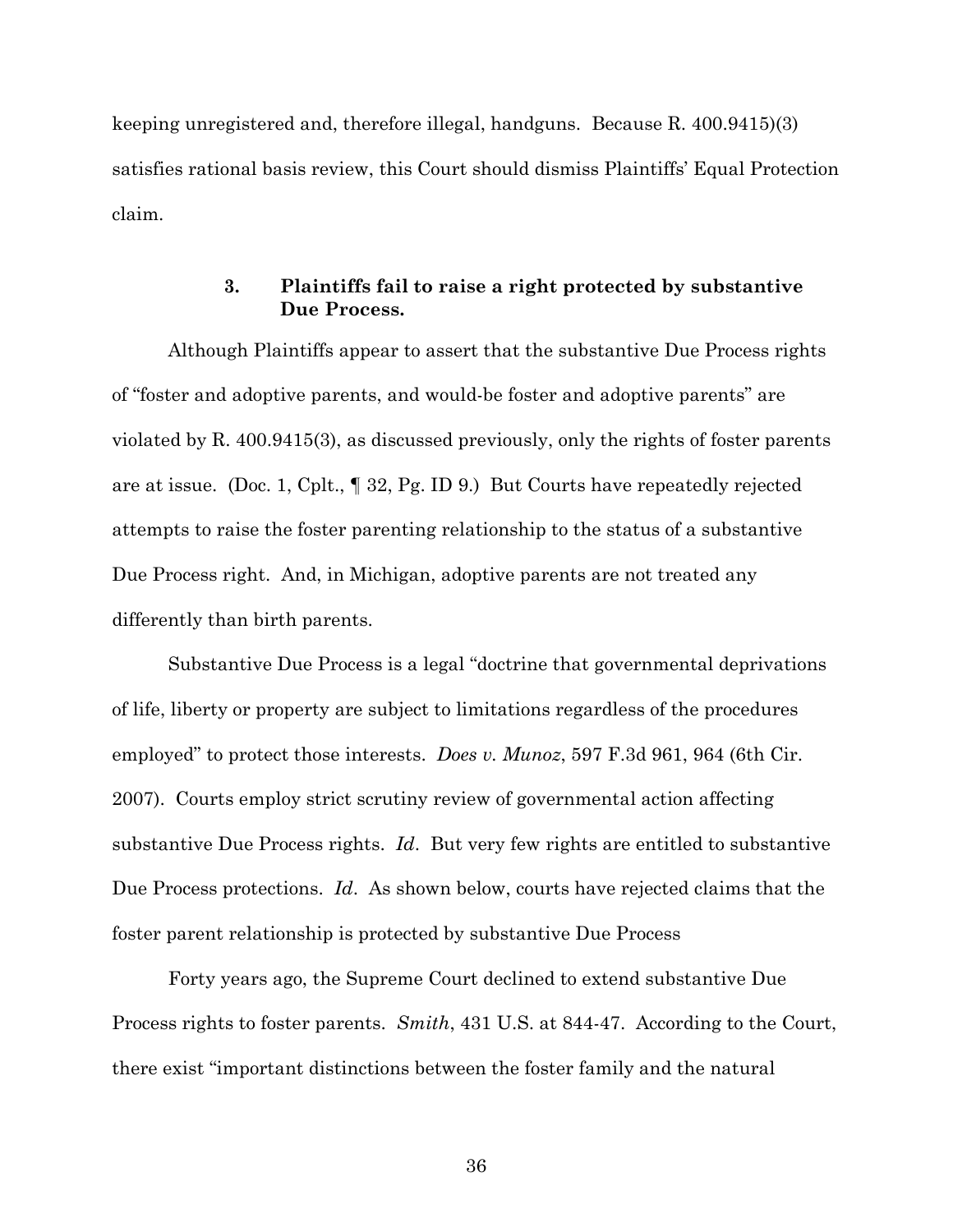keeping unregistered and, therefore illegal, handguns. Because R. 400.9415)(3) satisfies rational basis review, this Court should dismiss Plaintiffs' Equal Protection claim.

# **3. Plaintiffs fail to raise a right protected by substantive Due Process.**

Although Plaintiffs appear to assert that the substantive Due Process rights of "foster and adoptive parents, and would-be foster and adoptive parents" are violated by R. 400.9415(3), as discussed previously, only the rights of foster parents are at issue. (Doc. 1, Cplt., ¶ 32, Pg. ID 9.) But Courts have repeatedly rejected attempts to raise the foster parenting relationship to the status of a substantive Due Process right. And, in Michigan, adoptive parents are not treated any differently than birth parents.

Substantive Due Process is a legal "doctrine that governmental deprivations of life, liberty or property are subject to limitations regardless of the procedures employed" to protect those interests. *Does v. Munoz*, 597 F.3d 961, 964 (6th Cir. 2007). Courts employ strict scrutiny review of governmental action affecting substantive Due Process rights. *Id*. But very few rights are entitled to substantive Due Process protections. *Id*. As shown below, courts have rejected claims that the foster parent relationship is protected by substantive Due Process

Forty years ago, the Supreme Court declined to extend substantive Due Process rights to foster parents. *Smith*, 431 U.S. at 844-47. According to the Court, there exist "important distinctions between the foster family and the natural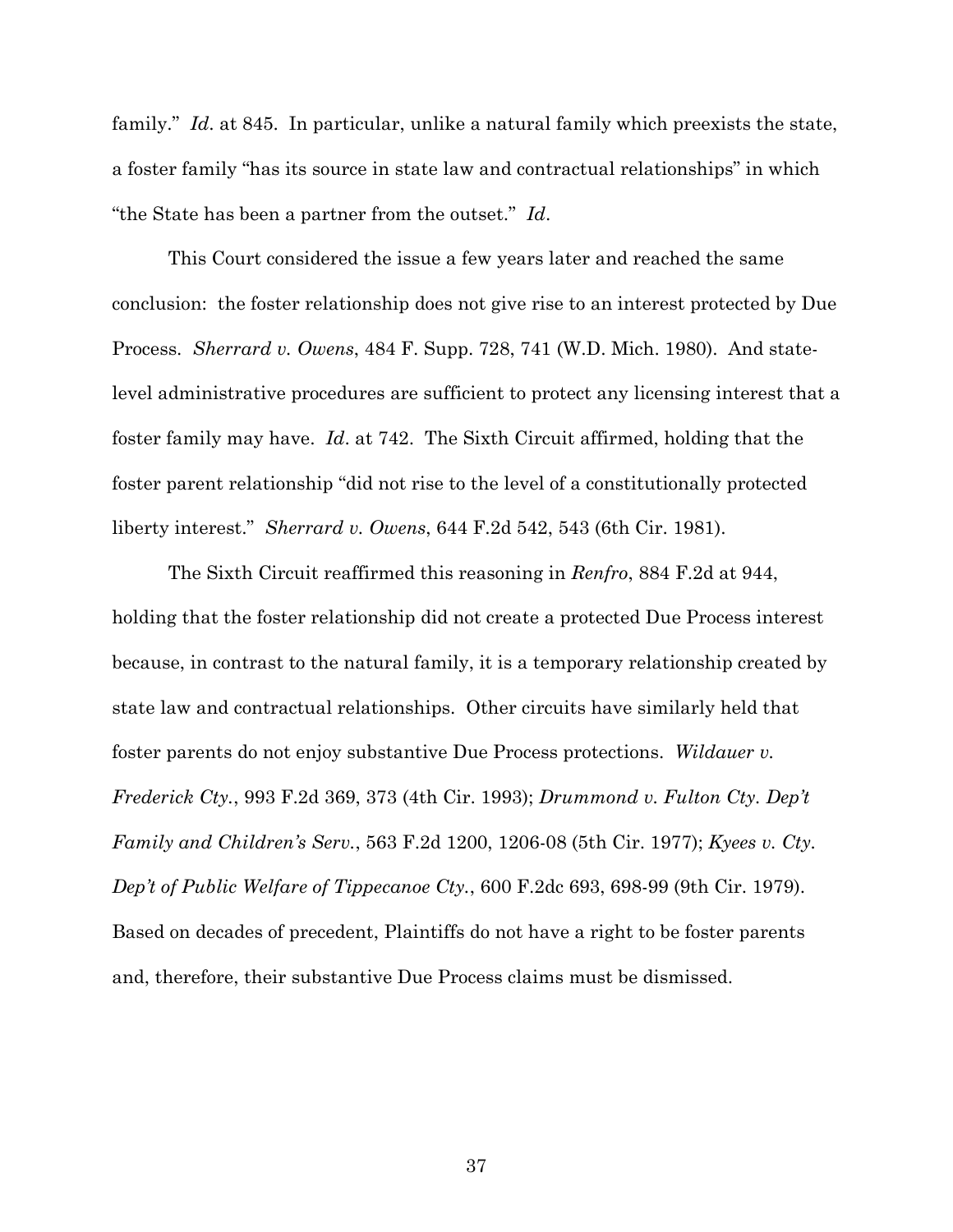family." *Id.* at 845. In particular, unlike a natural family which preexists the state, a foster family "has its source in state law and contractual relationships" in which "the State has been a partner from the outset." *Id*.

This Court considered the issue a few years later and reached the same conclusion: the foster relationship does not give rise to an interest protected by Due Process. *Sherrard v. Owens*, 484 F. Supp. 728, 741 (W.D. Mich. 1980). And statelevel administrative procedures are sufficient to protect any licensing interest that a foster family may have. *Id*. at 742. The Sixth Circuit affirmed, holding that the foster parent relationship "did not rise to the level of a constitutionally protected liberty interest." *Sherrard v. Owens*, 644 F.2d 542, 543 (6th Cir. 1981).

The Sixth Circuit reaffirmed this reasoning in *Renfro*, 884 F.2d at 944, holding that the foster relationship did not create a protected Due Process interest because, in contrast to the natural family, it is a temporary relationship created by state law and contractual relationships. Other circuits have similarly held that foster parents do not enjoy substantive Due Process protections. *Wildauer v. Frederick Cty.*, 993 F.2d 369, 373 (4th Cir. 1993); *Drummond v. Fulton Cty. Dep't Family and Children's Serv.*, 563 F.2d 1200, 1206-08 (5th Cir. 1977); *Kyees v. Cty. Dep't of Public Welfare of Tippecanoe Cty.*, 600 F.2dc 693, 698-99 (9th Cir. 1979). Based on decades of precedent, Plaintiffs do not have a right to be foster parents and, therefore, their substantive Due Process claims must be dismissed.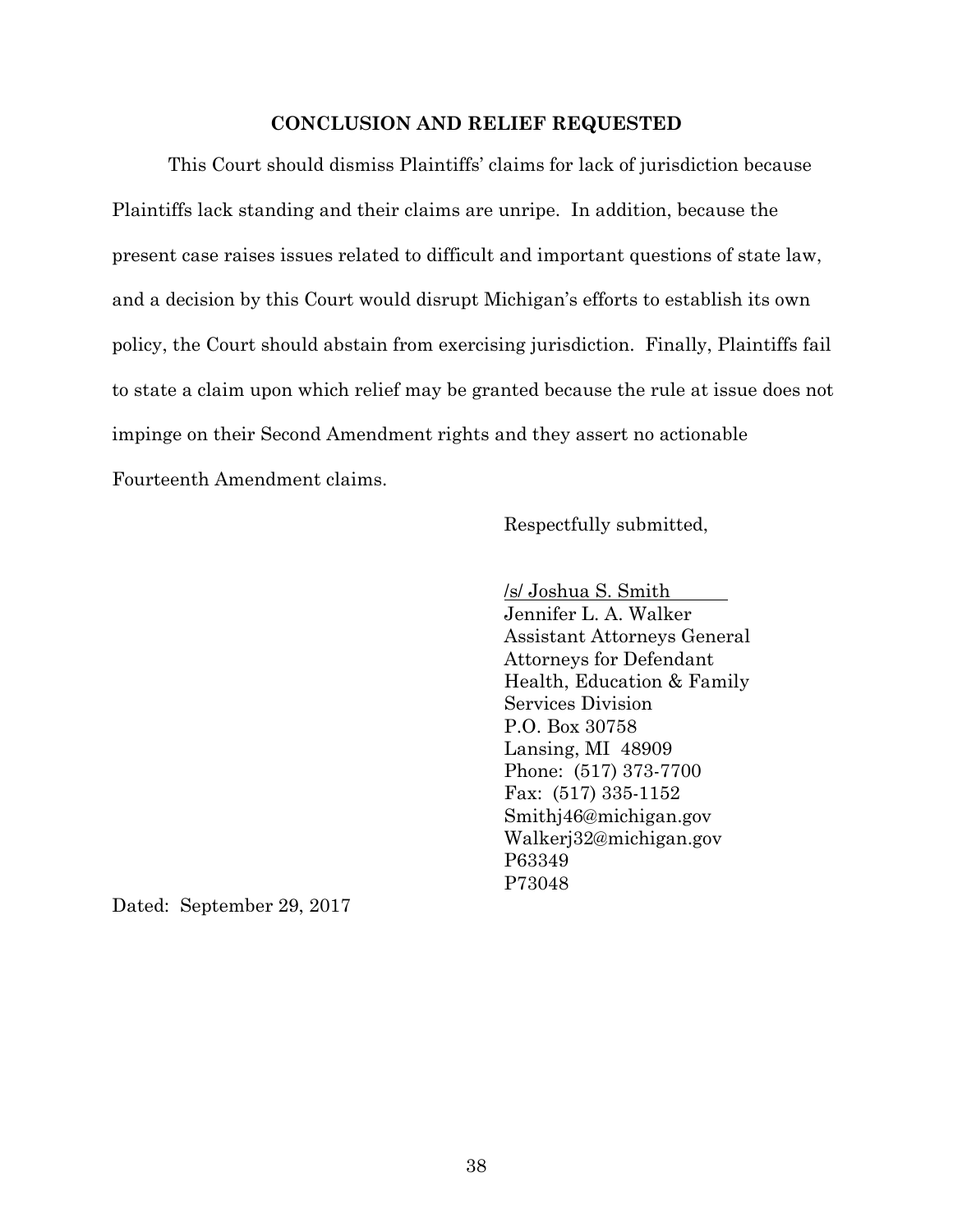#### **CONCLUSION AND RELIEF REQUESTED**

This Court should dismiss Plaintiffs' claims for lack of jurisdiction because Plaintiffs lack standing and their claims are unripe. In addition, because the present case raises issues related to difficult and important questions of state law, and a decision by this Court would disrupt Michigan's efforts to establish its own policy, the Court should abstain from exercising jurisdiction. Finally, Plaintiffs fail to state a claim upon which relief may be granted because the rule at issue does not impinge on their Second Amendment rights and they assert no actionable Fourteenth Amendment claims.

Respectfully submitted,

/s/ Joshua S. Smith Jennifer L. A. Walker Assistant Attorneys General Attorneys for Defendant Health, Education & Family Services Division P.O. Box 30758 Lansing, MI 48909 Phone: (517) 373-7700 Fax: (517) 335-1152 Smithj46@michigan.gov Walkerj32@michigan.gov P63349 P73048

Dated: September 29, 2017